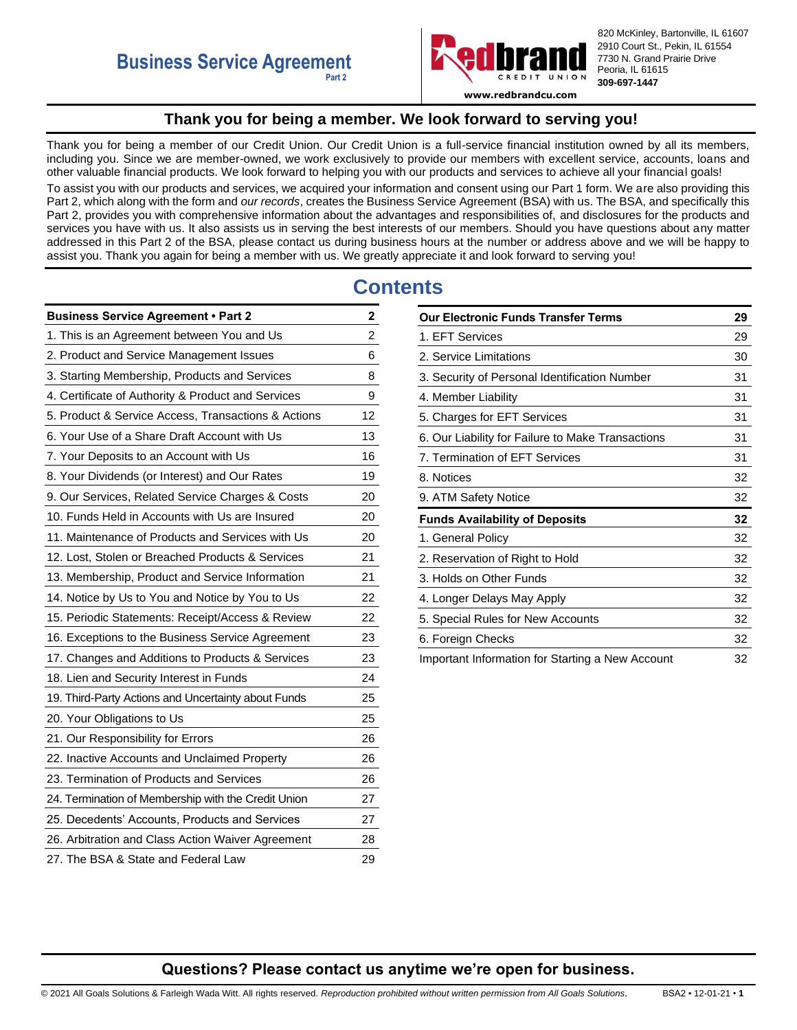

820 McKinley, Bartonville, IL 61607 2910 Court St., Pekin, IL 61554 7730 N. Grand Prairie Drive Peoria, IL 61615 **309-697-1447**

**www.redbrandcu.com**

## **Thank you for being a member. We look forward to serving you!**

<span id="page-0-0"></span>Thank you for being a member of our Credit Union. Our Credit Union is a full-service financial institution owned by all its members, including you. Since we are member-owned, we work exclusively to provide our members with excellent service, accounts, loans and other valuable financial products. We look forward to helping you with our products and services to achieve all your financial goals! To assist you with our products and services, we acquired your information and consent using our Part 1 form. We are also providing this Part 2, which along with the form and *our records*, creates the Business Service Agreement (BSA) with us. The BSA, and specifically this Part 2, provides you with comprehensive information about the advantages and responsibilities of, and disclosures for the products and services you have with us. It also assists us in serving the best interests of our members. Should you have questions about any matter addressed in this Part 2 of the BSA, please contact us during business hours at the number or address above and we will be happy to assist you. Thank you again for being a member with us. We greatly appreciate it and look forward to serving you!

# **Contents**

| <b>Business Service Agreement • Part 2</b>          | 2                       |
|-----------------------------------------------------|-------------------------|
| 1. This is an Agreement between You and Us          | $\overline{\mathbf{c}}$ |
| 2. Product and Service Management Issues            | 6                       |
| 3. Starting Membership, Products and Services       | 8                       |
| 4. Certificate of Authority & Product and Services  | 9                       |
| 5. Product & Service Access, Transactions & Actions | 12                      |
| 6. Your Use of a Share Draft Account with Us        | 13                      |
| 7. Your Deposits to an Account with Us              | 16                      |
| 8. Your Dividends (or Interest) and Our Rates       | 19                      |
| 9. Our Services, Related Service Charges & Costs    | 20                      |
| 10. Funds Held in Accounts with Us are Insured      | 20                      |
| 11. Maintenance of Products and Services with Us    | 20                      |
| 12. Lost, Stolen or Breached Products & Services    | 21                      |
| 13. Membership, Product and Service Information     | 21                      |
| 14. Notice by Us to You and Notice by You to Us     | 22                      |
| 15. Periodic Statements: Receipt/Access & Review    | 22                      |
| 16. Exceptions to the Business Service Agreement    | 23                      |
| 17. Changes and Additions to Products & Services    | 23                      |
| 18. Lien and Security Interest in Funds             | 24                      |
| 19. Third-Party Actions and Uncertainty about Funds | 25                      |
| 20. Your Obligations to Us                          | 25                      |
| 21. Our Responsibility for Errors                   | 26                      |
| 22. Inactive Accounts and Unclaimed Property        | 26                      |
| 23. Termination of Products and Services            | 26                      |
| 24. Termination of Membership with the Credit Union | 27                      |
| 25. Decedents' Accounts, Products and Services      | 27                      |
| 26. Arbitration and Class Action Waiver Agreement   | 28                      |
| 27. The BSA & State and Federal Law                 | 29                      |

| <b>Our Electronic Funds Transfer Terms</b>        | 29 |
|---------------------------------------------------|----|
| 1. EFT Services                                   | 29 |
| 2. Service Limitations                            | 30 |
| 3. Security of Personal Identification Number     | 31 |
| 4. Member Liability                               | 31 |
| 5. Charges for EFT Services                       | 31 |
| 6. Our Liability for Failure to Make Transactions | 31 |
| 7. Termination of EFT Services                    | 31 |
| 8. Notices                                        | 32 |
| 9. ATM Safety Notice                              | 32 |
| <b>Funds Availability of Deposits</b>             | 32 |
| 1. General Policy                                 | 32 |
| 2. Reservation of Right to Hold                   | 32 |
| 3. Holds on Other Funds                           | 32 |
| 4. Longer Delays May Apply                        | 32 |
| 5. Special Rules for New Accounts                 | 32 |
| 6. Foreign Checks                                 | 32 |
| Important Information for Starting a New Account  | 32 |

## **Questions? Please contact us anytime we're open for business.**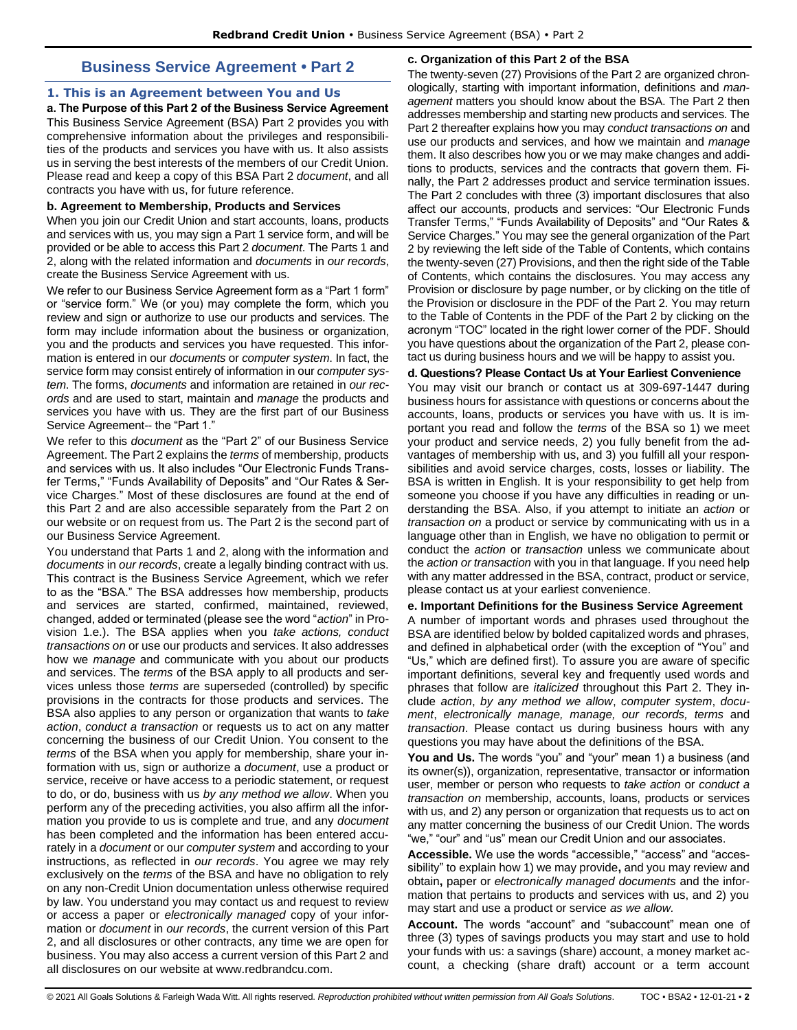# **Business Service Agreement • Part 2**

### <span id="page-1-1"></span><span id="page-1-0"></span>**1. This is an Agreement between You and Us**

**a. The Purpose of this Part 2 of the Business Service Agreement**  This Business Service Agreement (BSA) Part 2 provides you with comprehensive information about the privileges and responsibilities of the products and services you have with us. It also assists us in serving the best interests of the members of our Credit Union. Please read and keep a copy of this BSA Part 2 *document*, and all contracts you have with us, for future reference.

### **b. Agreement to Membership, Products and Services**

When you join our Credit Union and start accounts, loans, products and services with us, you may sign a Part 1 service form, and will be provided or be able to access this Part 2 *document*. The Parts 1 and 2, along with the related information and *documents* in *our records*, create the Business Service Agreement with us.

We refer to our Business Service Agreement form as a "Part 1 form" or "service form." We (or you) may complete the form, which you review and sign or authorize to use our products and services. The form may include information about the business or organization, you and the products and services you have requested. This information is entered in our *documents* or *computer system*. In fact, the service form may consist entirely of information in our *computer system*. The forms, *documents* and information are retained in *our records* and are used to start, maintain and *manage* the products and services you have with us. They are the first part of our Business Service Agreement-- the "Part 1."

We refer to this *document* as the "Part 2" of our Business Service Agreement. The Part 2 explains the *terms* of membership, products and services with us. It also includes "Our Electronic Funds Transfer Terms," "Funds Availability of Deposits" and "Our Rates & Service Charges." Most of these disclosures are found at the end of this Part 2 and are also accessible separately from the Part 2 on our website or on request from us. The Part 2 is the second part of our Business Service Agreement.

You understand that Parts 1 and 2, along with the information and *documents* in *our records*, create a legally binding contract with us. This contract is the Business Service Agreement, which we refer to as the "BSA." The BSA addresses how membership, products and services are started, confirmed, maintained, reviewed, changed, added or terminated (please see the word "*action*" in Provision 1.e.). The BSA applies when you *take actions, conduct transactions on* or use our products and services. It also addresses how we *manage* and communicate with you about our products and services. The *terms* of the BSA apply to all products and services unless those *terms* are superseded (controlled) by specific provisions in the contracts for those products and services. The BSA also applies to any person or organization that wants to *take action*, *conduct a transaction* or requests us to act on any matter concerning the business of our Credit Union. You consent to the *terms* of the BSA when you apply for membership, share your information with us, sign or authorize a *document*, use a product or service, receive or have access to a periodic statement, or request to do, or do, business with us *by any method we allow*. When you perform any of the preceding activities, you also affirm all the information you provide to us is complete and true, and any *document* has been completed and the information has been entered accurately in a *document* or our *computer system* and according to your instructions, as reflected in *our records*. You agree we may rely exclusively on the *terms* of the BSA and have no obligation to rely on any non-Credit Union documentation unless otherwise required by law. You understand you may contact us and request to review or access a paper or *electronically managed* copy of your information or *document* in *our records*, the current version of this Part 2, and all disclosures or other contracts, any time we are open for business. You may also access a current version of this Part 2 and all disclosures on our website at www.redbrandcu.com.

### **c. Organization of this Part 2 of the BSA**

The twenty-seven (27) Provisions of the Part 2 are organized chronologically, starting with important information, definitions and *management* matters you should know about the BSA. The Part 2 then addresses membership and starting new products and services. The Part 2 thereafter explains how you may *conduct transactions on* and use our products and services, and how we maintain and *manage*  them. It also describes how you or we may make changes and additions to products, services and the contracts that govern them. Finally, the Part 2 addresses product and service termination issues. The Part 2 concludes with three (3) important disclosures that also affect our accounts, products and services: "Our Electronic Funds Transfer Terms," "Funds Availability of Deposits" and "Our Rates & Service Charges." You may see the general organization of the Part 2 by reviewing the left side of the Table of Contents, which contains the twenty-seven (27) Provisions, and then the right side of the Table of Contents, which contains the disclosures. You may access any Provision or disclosure by page number, or by clicking on the title of the Provision or disclosure in the PDF of the Part 2. You may return to the Table of Contents in the PDF of the Part 2 by clicking on the acronym "TOC" located in the right lower corner of the PDF. Should you have questions about the organization of the Part 2, please contact us during business hours and we will be happy to assist you.

### **d. Questions? Please Contact Us at Your Earliest Convenience**

You may visit our branch or contact us at 309-697-1447 during business hours for assistance with questions or concerns about the accounts, loans, products or services you have with us. It is important you read and follow the *terms* of the BSA so 1) we meet your product and service needs, 2) you fully benefit from the advantages of membership with us, and 3) you fulfill all your responsibilities and avoid service charges, costs, losses or liability. The BSA is written in English. It is your responsibility to get help from someone you choose if you have any difficulties in reading or understanding the BSA. Also, if you attempt to initiate an *action* or *transaction on* a product or service by communicating with us in a language other than in English, we have no obligation to permit or conduct the *action* or *transaction* unless we communicate about the *action or transaction* with you in that language. If you need help with any matter addressed in the BSA, contract, product or service, please contact us at your earliest convenience.

### **e. Important Definitions for the Business Service Agreement**

A number of important words and phrases used throughout the BSA are identified below by bolded capitalized words and phrases, and defined in alphabetical order (with the exception of "You" and "Us," which are defined first). To assure you are aware of specific important definitions, several key and frequently used words and phrases that follow are *italicized* throughout this Part 2. They include *action*, *by any method we allow*, *computer system*, *document*, *electronically manage, manage, our records, terms* and *transaction*. Please contact us during business hours with any questions you may have about the definitions of the BSA.

**You and Us.** The words "you" and "your" mean 1) a business (and its owner(s)), organization, representative, transactor or information user, member or person who requests to *take action* or *conduct a transaction on* membership, accounts, loans, products or services with us, and 2) any person or organization that requests us to act on any matter concerning the business of our Credit Union. The words "we," "our" and "us" mean our Credit Union and our associates.

**Accessible.** We use the words "accessible," "access" and "accessibility" to explain how 1) we may provide**,** and you may review and obtain**,** paper or *electronically managed documents* and the information that pertains to products and services with us, and 2) you may start and use a product or service *as we allow.* 

**Account.** The words "account" and "subaccount" mean one of three (3) types of savings products you may start and use to hold your funds with us: a savings (share) account, a money market account, a checking (share draft) account or a term account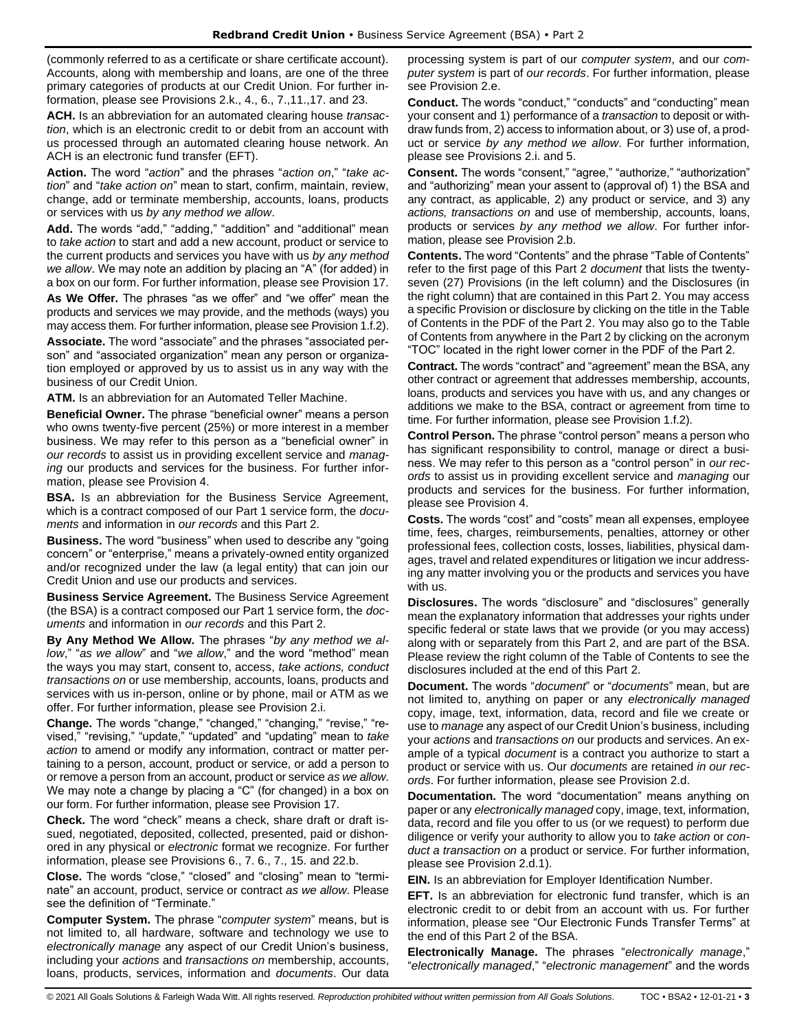(commonly referred to as a certificate or share certificate account). Accounts, along with membership and loans, are one of the three primary categories of products at our Credit Union. For further information, please see Provisions 2.k., 4., 6., 7.,11.,17. and 23.

**ACH.** Is an abbreviation for an automated clearing house *transaction*, which is an electronic credit to or debit from an account with us processed through an automated clearing house network. An ACH is an electronic fund transfer (EFT).

**Action.** The word "*action*" and the phrases "*action on*," "*take action*" and "*take action on*" mean to start, confirm, maintain, review, change, add or terminate membership, accounts, loans, products or services with us *by any method we allow*.

**Add.** The words "add," "adding," "addition" and "additional" mean to *take action* to start and add a new account, product or service to the current products and services you have with us *by any method we allow*. We may note an addition by placing an "A" (for added) in a box on our form. For further information, please see Provision 17.

**As We Offer.** The phrases "as we offer" and "we offer" mean the products and services we may provide, and the methods (ways) you may access them. For further information, please see Provision 1.f.2).

**Associate.** The word "associate" and the phrases "associated person" and "associated organization" mean any person or organization employed or approved by us to assist us in any way with the business of our Credit Union.

**ATM.** Is an abbreviation for an Automated Teller Machine.

**Beneficial Owner.** The phrase "beneficial owner" means a person who owns twenty-five percent (25%) or more interest in a member business. We may refer to this person as a "beneficial owner" in *our records* to assist us in providing excellent service and *managing* our products and services for the business. For further information, please see Provision 4.

**BSA.** Is an abbreviation for the Business Service Agreement, which is a contract composed of our Part 1 service form, the *documents* and information in *our records* and this Part 2.

**Business.** The word "business" when used to describe any "going concern" or "enterprise," means a privately-owned entity organized and/or recognized under the law (a legal entity) that can join our Credit Union and use our products and services.

**Business Service Agreement.** The Business Service Agreement (the BSA) is a contract composed our Part 1 service form, the *documents* and information in *our records* and this Part 2.

**By Any Method We Allow.** The phrases "*by any method we allow*," "*as we allow*" and "*we allow*," and the word "method" mean the ways you may start, consent to, access, *take actions, conduct transactions on* or use membership, accounts, loans, products and services with us in-person, online or by phone, mail or ATM as we offer. For further information, please see Provision 2.i.

**Change.** The words "change," "changed," "changing," "revise," "revised," "revising," "update," "updated" and "updating" mean to *take action* to amend or modify any information, contract or matter pertaining to a person, account, product or service, or add a person to or remove a person from an account, product or service *as we allow*. We may note a change by placing a "C" (for changed) in a box on our form. For further information, please see Provision 17.

**Check.** The word "check" means a check, share draft or draft issued, negotiated, deposited, collected, presented, paid or dishonored in any physical or *electronic* format we recognize. For further information, please see Provisions 6., 7. 6., 7., 15. and 22.b.

**Close.** The words "close," "closed" and "closing" mean to "terminate" an account, product, service or contract *as we allow*. Please see the definition of "Terminate."

**Computer System.** The phrase "*computer system*" means, but is not limited to, all hardware, software and technology we use to *electronically manage* any aspect of our Credit Union's business, including your *actions* and *transactions on* membership, accounts, loans, products, services, information and *documents*. Our data

processing system is part of our *computer system*, and our *computer system* is part of *our records*. For further information, please see Provision 2.e.

**Conduct.** The words "conduct," "conducts" and "conducting" mean your consent and 1) performance of a *transaction* to deposit or withdraw funds from, 2) access to information about, or 3) use of, a product or service *by any method we allow*. For further information, please see Provisions 2.i. and 5.

**Consent.** The words "consent," "agree," "authorize," "authorization" and "authorizing" mean your assent to (approval of) 1) the BSA and any contract, as applicable, 2) any product or service, and 3) any *actions, transactions on* and use of membership, accounts, loans, products or services *by any method we allow*. For further information, please see Provision 2.b.

**Contents.** The word "Contents" and the phrase "Table of Contents" refer to the first page of this Part 2 *document* that lists the twentyseven (27) Provisions (in the left column) and the Disclosures (in the right column) that are contained in this Part 2. You may access a specific Provision or disclosure by clicking on the title in the Table of Contents in the PDF of the Part 2. You may also go to the Table of Contents from anywhere in the Part 2 by clicking on the acronym "TOC" located in the right lower corner in the PDF of the Part 2.

**Contract.** The words "contract" and "agreement" mean the BSA, any other contract or agreement that addresses membership, accounts, loans, products and services you have with us, and any changes or additions we make to the BSA, contract or agreement from time to time. For further information, please see Provision 1.f.2).

**Control Person.** The phrase "control person" means a person who has significant responsibility to control, manage or direct a business. We may refer to this person as a "control person" in *our records* to assist us in providing excellent service and *managing* our products and services for the business. For further information, please see Provision 4.

**Costs.** The words "cost" and "costs" mean all expenses, employee time, fees, charges, reimbursements, penalties, attorney or other professional fees, collection costs, losses, liabilities, physical damages, travel and related expenditures or litigation we incur addressing any matter involving you or the products and services you have with us.

**Disclosures.** The words "disclosure" and "disclosures" generally mean the explanatory information that addresses your rights under specific federal or state laws that we provide (or you may access) along with or separately from this Part 2, and are part of the BSA. Please review the right column of the Table of Contents to see the disclosures included at the end of this Part 2.

**Document.** The words "*document*" or "*documents*" mean, but are not limited to, anything on paper or any *electronically managed*  copy, image, text, information, data, record and file we create or use to *manage* any aspect of our Credit Union's business, including your *actions* and *transactions on* our products and services. An example of a typical *document* is a contract you authorize to start a product or service with us. Our *documents* are retained *in our records*. For further information, please see Provision 2.d.

**Documentation.** The word "documentation" means anything on paper or any *electronically managed* copy, image, text, information, data, record and file you offer to us (or we request) to perform due diligence or verify your authority to allow you to *take action* or *conduct a transaction on* a product or service. For further information, please see Provision 2.d.1).

**EIN.** Is an abbreviation for Employer Identification Number.

**EFT.** Is an abbreviation for electronic fund transfer, which is an electronic credit to or debit from an account with us. For further information, please see "Our Electronic Funds Transfer Terms" at the end of this Part 2 of the BSA.

**Electronically Manage.** The phrases "*electronically manage*," "*electronically managed*," "*electronic management*" and the words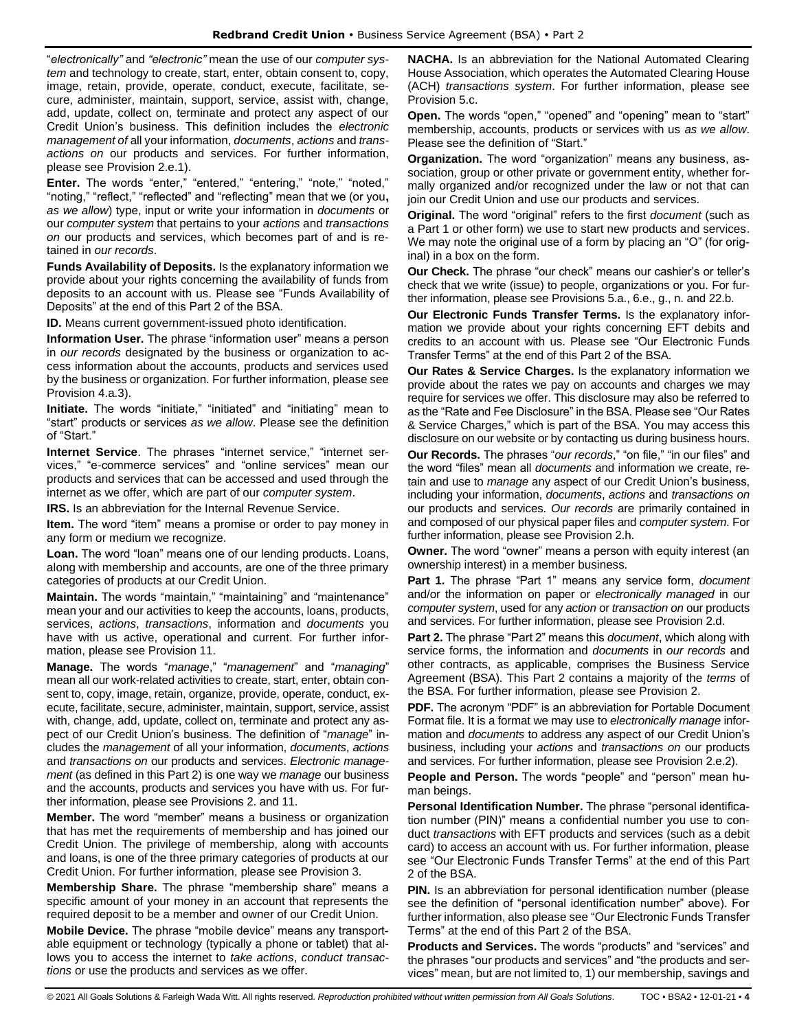"*electronically"* and *"electronic"* mean the use of our *computer system* and technology to create, start, enter, obtain consent to, copy, image, retain, provide, operate, conduct, execute, facilitate, secure, administer, maintain, support, service, assist with, change, add, update, collect on, terminate and protect any aspect of our Credit Union's business. This definition includes the *electronic management of* all your information, *documents*, *actions* and *transactions on* our products and services. For further information, please see Provision 2.e.1).

**Enter.** The words "enter," "entered," "entering," "note," "noted," "noting," "reflect," "reflected" and "reflecting" mean that we (or you**,** *as we allow*) type, input or write your information in *documents* or our *computer system* that pertains to your *actions* and *transactions on* our products and services, which becomes part of and is retained in *our records*.

**Funds Availability of Deposits.** Is the explanatory information we provide about your rights concerning the availability of funds from deposits to an account with us. Please see "Funds Availability of Deposits" at the end of this Part 2 of the BSA.

**ID.** Means current government-issued photo identification.

**Information User.** The phrase "information user" means a person in *our records* designated by the business or organization to access information about the accounts, products and services used by the business or organization. For further information, please see Provision 4.a.3).

**Initiate.** The words "initiate," "initiated" and "initiating" mean to "start" products or services *as we allow*. Please see the definition of "Start."

**Internet Service**. The phrases "internet service," "internet services," "e-commerce services" and "online services" mean our products and services that can be accessed and used through the internet as we offer, which are part of our *computer system*.

**IRS.** Is an abbreviation for the Internal Revenue Service.

**Item.** The word "item" means a promise or order to pay money in any form or medium we recognize.

**Loan.** The word "loan" means one of our lending products. Loans, along with membership and accounts, are one of the three primary categories of products at our Credit Union.

**Maintain.** The words "maintain," "maintaining" and "maintenance" mean your and our activities to keep the accounts, loans, products, services, *actions*, *transactions*, information and *documents* you have with us active, operational and current. For further information, please see Provision 11.

**Manage.** The words "*manage*," "*management*" and "*managing*" mean all our work-related activities to create, start, enter, obtain consent to, copy, image, retain, organize, provide, operate, conduct, execute, facilitate, secure, administer, maintain, support, service, assist with, change, add, update, collect on, terminate and protect any aspect of our Credit Union's business. The definition of "*manage*" includes the *management* of all your information, *documents*, *actions* and *transactions on* our products and services. *Electronic management* (as defined in this Part 2) is one way we *manage* our business and the accounts, products and services you have with us. For further information, please see Provisions 2. and 11.

**Member.** The word "member" means a business or organization that has met the requirements of membership and has joined our Credit Union. The privilege of membership, along with accounts and loans, is one of the three primary categories of products at our Credit Union. For further information, please see Provision 3.

**Membership Share.** The phrase "membership share" means a specific amount of your money in an account that represents the required deposit to be a member and owner of our Credit Union.

**Mobile Device.** The phrase "mobile device" means any transportable equipment or technology (typically a phone or tablet) that allows you to access the internet to *take actions*, *conduct transactions* or use the products and services as we offer.

**NACHA.** Is an abbreviation for the National Automated Clearing House Association, which operates the Automated Clearing House (ACH) *transactions system*. For further information, please see Provision 5.c.

**Open.** The words "open," "opened" and "opening" mean to "start" membership, accounts, products or services with us *as we allow*. Please see the definition of "Start."

**Organization.** The word "organization" means any business, association, group or other private or government entity, whether formally organized and/or recognized under the law or not that can join our Credit Union and use our products and services.

**Original.** The word "original" refers to the first *document* (such as a Part 1 or other form) we use to start new products and services. We may note the original use of a form by placing an "O" (for original) in a box on the form.

**Our Check.** The phrase "our check" means our cashier's or teller's check that we write (issue) to people, organizations or you. For further information, please see Provisions 5.a., 6.e., g., n. and 22.b.

**Our Electronic Funds Transfer Terms.** Is the explanatory information we provide about your rights concerning EFT debits and credits to an account with us. Please see "Our Electronic Funds Transfer Terms" at the end of this Part 2 of the BSA.

**Our Rates & Service Charges.** Is the explanatory information we provide about the rates we pay on accounts and charges we may require for services we offer. This disclosure may also be referred to as the "Rate and Fee Disclosure" in the BSA. Please see "Our Rates & Service Charges," which is part of the BSA. You may access this

disclosure on our website or by contacting us during business hours. **Our Records.** The phrases "*our records*," "on file," "in our files" and the word "files" mean all *documents* and information we create, retain and use to *manage* any aspect of our Credit Union's business, including your information, *documents*, *actions* and *transactions on* our products and services. *Our records* are primarily contained in and composed of our physical paper files and *computer system*. For further information, please see Provision 2.h.

**Owner.** The word "owner" means a person with equity interest (an ownership interest) in a member business.

**Part 1.** The phrase "Part 1" means any service form, *document* and/or the information on paper or *electronically managed* in our *computer system*, used for any *action* or *transaction on* our products and services. For further information, please see Provision 2.d.

**Part 2.** The phrase "Part 2" means this *document*, which along with service forms, the information and *documents* in *our records* and other contracts, as applicable, comprises the Business Service Agreement (BSA). This Part 2 contains a majority of the *terms* of the BSA. For further information, please see Provision 2.

**PDF.** The acronym "PDF" is an abbreviation for Portable Document Format file. It is a format we may use to *electronically manage* information and *documents* to address any aspect of our Credit Union's business, including your *actions* and *transactions on* our products and services. For further information, please see Provision 2.e.2).

**People and Person.** The words "people" and "person" mean human beings.

**Personal Identification Number.** The phrase "personal identification number (PIN)" means a confidential number you use to conduct *transactions* with EFT products and services (such as a debit card) to access an account with us. For further information, please see "Our Electronic Funds Transfer Terms" at the end of this Part 2 of the BSA.

**PIN.** Is an abbreviation for personal identification number (please see the definition of "personal identification number" above). For further information, also please see "Our Electronic Funds Transfer Terms" at the end of this Part 2 of the BSA.

**Products and Services.** The words "products" and "services" and the phrases "our products and services" and "the products and services" mean, but are not limited to, 1) our membership, savings and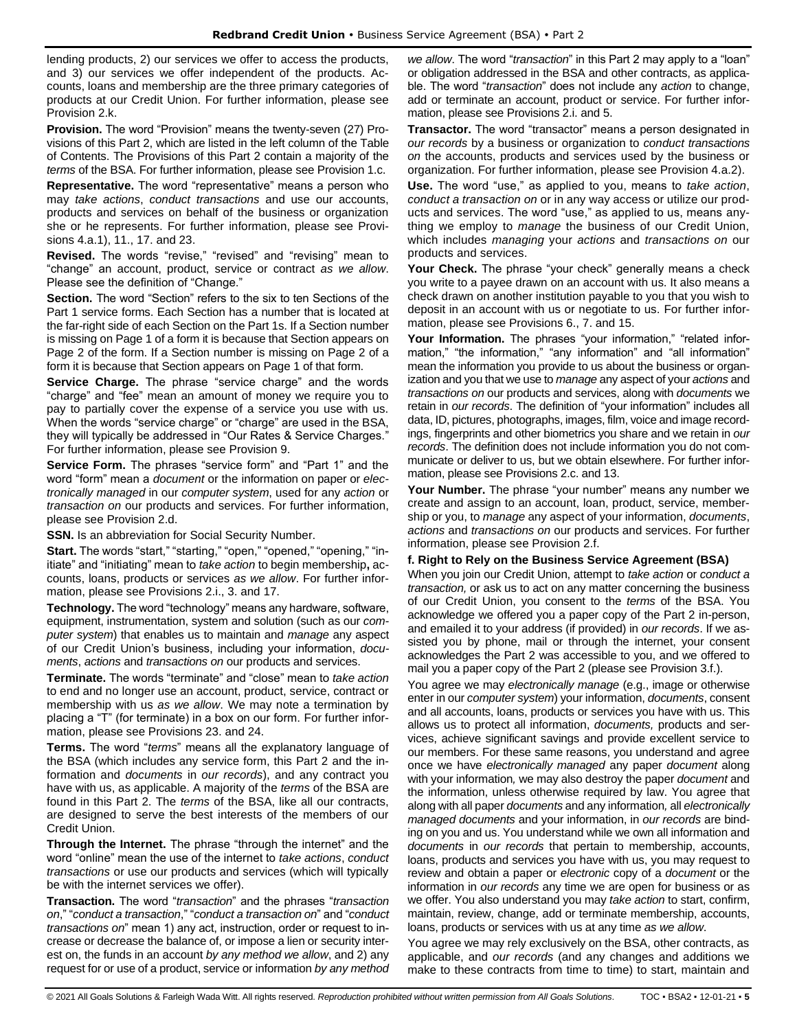lending products, 2) our services we offer to access the products, and 3) our services we offer independent of the products. Accounts, loans and membership are the three primary categories of products at our Credit Union. For further information, please see Provision 2 k.

**Provision.** The word "Provision" means the twenty-seven (27) Provisions of this Part 2, which are listed in the left column of the Table of Contents. The Provisions of this Part 2 contain a majority of the *terms* of the BSA. For further information, please see Provision 1.c.

**Representative.** The word "representative" means a person who may *take actions*, *conduct transactions* and use our accounts, products and services on behalf of the business or organization she or he represents. For further information, please see Provisions 4.a.1), 11., 17. and 23.

**Revised.** The words "revise," "revised" and "revising" mean to "change" an account, product, service or contract *as we allow*. Please see the definition of "Change."

**Section.** The word "Section" refers to the six to ten Sections of the Part 1 service forms. Each Section has a number that is located at the far-right side of each Section on the Part 1s. If a Section number is missing on Page 1 of a form it is because that Section appears on Page 2 of the form. If a Section number is missing on Page 2 of a form it is because that Section appears on Page 1 of that form.

**Service Charge.** The phrase "service charge" and the words "charge" and "fee" mean an amount of money we require you to pay to partially cover the expense of a service you use with us. When the words "service charge" or "charge" are used in the BSA, they will typically be addressed in "Our Rates & Service Charges." For further information, please see Provision 9.

**Service Form.** The phrases "service form" and "Part 1" and the word "form" mean a *document* or the information on paper or *electronically managed* in our *computer system*, used for any *action* or *transaction on* our products and services. For further information, please see Provision 2.d.

**SSN.** Is an abbreviation for Social Security Number.

**Start.** The words "start," "starting," "open," "opened," "opening," "initiate" and "initiating" mean to *take action* to begin membership**,** accounts, loans, products or services *as we allow*. For further information, please see Provisions 2.i., 3. and 17.

**Technology.** The word "technology" means any hardware, software, equipment, instrumentation, system and solution (such as our *computer system*) that enables us to maintain and *manage* any aspect of our Credit Union's business, including your information, *documents*, *actions* and *transactions on* our products and services.

**Terminate.** The words "terminate" and "close" mean to *take action* to end and no longer use an account, product, service, contract or membership with us *as we allow*. We may note a termination by placing a "T" (for terminate) in a box on our form. For further information, please see Provisions 23. and 24.

**Terms.** The word "*terms*" means all the explanatory language of the BSA (which includes any service form, this Part 2 and the information and *documents* in *our records*), and any contract you have with us, as applicable. A majority of the *terms* of the BSA are found in this Part 2. The *terms* of the BSA, like all our contracts, are designed to serve the best interests of the members of our Credit Union.

**Through the Internet.** The phrase "through the internet" and the word "online" mean the use of the internet to *take actions*, *conduct transactions* or use our products and services (which will typically be with the internet services we offer).

**Transaction.** The word "*transaction*" and the phrases "*transaction on*," "*conduct a transaction*," "*conduct a transaction on*" and "*conduct transactions on*" mean 1) any act, instruction, order or request to increase or decrease the balance of, or impose a lien or security interest on, the funds in an account *by any method we allow*, and 2) any request for or use of a product, service or information *by any method* 

*we allow*. The word "*transaction*" in this Part 2 may apply to a "loan" or obligation addressed in the BSA and other contracts, as applicable. The word "*transaction*" does not include any *action* to change, add or terminate an account, product or service. For further information, please see Provisions 2.i. and 5.

**Transactor.** The word "transactor" means a person designated in *our records* by a business or organization to *conduct transactions on* the accounts, products and services used by the business or organization. For further information, please see Provision 4.a.2).

**Use.** The word "use," as applied to you, means to *take action*, *conduct a transaction on* or in any way access or utilize our products and services. The word "use," as applied to us, means anything we employ to *manage* the business of our Credit Union, which includes *managing* your *actions* and *transactions on* our products and services.

**Your Check.** The phrase "your check" generally means a check you write to a payee drawn on an account with us. It also means a check drawn on another institution payable to you that you wish to deposit in an account with us or negotiate to us. For further information, please see Provisions 6., 7. and 15.

**Your Information.** The phrases "your information," "related information," "the information," "any information" and "all information" mean the information you provide to us about the business or organization and you that we use to *manage* any aspect of your *actions* and *transactions on* our products and services, along with *documents* we retain in *our records*. The definition of "your information" includes all data, ID, pictures, photographs, images, film, voice and image recordings, fingerprints and other biometrics you share and we retain in *our records*. The definition does not include information you do not communicate or deliver to us, but we obtain elsewhere. For further information, please see Provisions 2.c. and 13.

**Your Number.** The phrase "your number" means any number we create and assign to an account, loan, product, service, membership or you, to *manage* any aspect of your information, *documents*, *actions* and *transactions on* our products and services. For further information, please see Provision 2.f.

#### **f. Right to Rely on the Business Service Agreement (BSA)**

When you join our Credit Union, attempt to *take action* or *conduct a transaction,* or ask us to act on any matter concerning the business of our Credit Union, you consent to the *terms* of the BSA. You acknowledge we offered you a paper copy of the Part 2 in-person, and emailed it to your address (if provided) in *our records*. If we assisted you by phone, mail or through the internet, your consent acknowledges the Part 2 was accessible to you, and we offered to mail you a paper copy of the Part 2 (please see Provision 3.f.).

You agree we may *electronically manage* (e.g., image or otherwise enter in our *computer system*) your information, *documents*, consent and all accounts, loans, products or services you have with us. This allows us to protect all information, *documents,* products and services, achieve significant savings and provide excellent service to our members. For these same reasons, you understand and agree once we have *electronically managed* any paper *document* along with your information*,* we may also destroy the paper *document* and the information, unless otherwise required by law. You agree that along with all paper *documents* and any information*,* all *electronically managed documents* and your information, in *our records* are binding on you and us. You understand while we own all information and *documents* in *our records* that pertain to membership, accounts, loans, products and services you have with us, you may request to review and obtain a paper or *electronic* copy of a *document* or the information in *our records* any time we are open for business or as we offer. You also understand you may *take action* to start, confirm, maintain, review, change, add or terminate membership, accounts, loans, products or services with us at any time *as we allow*.

You agree we may rely exclusively on the BSA, other contracts, as applicable, and *our records* (and any changes and additions we make to these contracts from time to time) to start, maintain and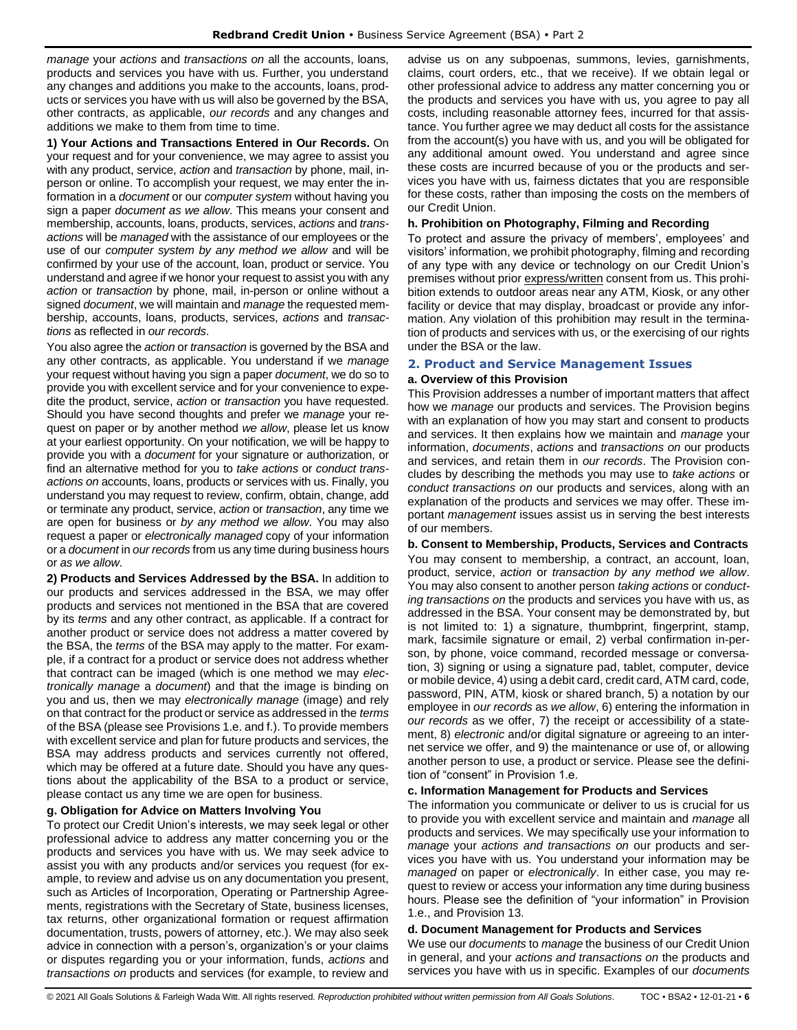*manage* your *actions* and *transactions on* all the accounts, loans, products and services you have with us. Further, you understand any changes and additions you make to the accounts, loans, products or services you have with us will also be governed by the BSA, other contracts, as applicable, *our records* and any changes and additions we make to them from time to time.

**1) Your Actions and Transactions Entered in Our Records.** On your request and for your convenience, we may agree to assist you with any product, service, *action* and *transaction* by phone, mail, inperson or online. To accomplish your request, we may enter the information in a *document* or our *computer system* without having you sign a paper *document as we allow*. This means your consent and membership, accounts, loans, products, services, *actions* and *transactions* will be *managed* with the assistance of our employees or the use of our *computer system by any method we allow* and will be confirmed by your use of the account, loan, product or service. You understand and agree if we honor your request to assist you with any *action* or *transaction* by phone, mail, in-person or online without a signed *document*, we will maintain and *manage* the requested membership, accounts, loans, products, services, *actions* and *transactions* as reflected in *our records*.

You also agree the *action* or *transaction* is governed by the BSA and any other contracts, as applicable. You understand if we *manage* your request without having you sign a paper *document*, we do so to provide you with excellent service and for your convenience to expedite the product, service, *action* or *transaction* you have requested. Should you have second thoughts and prefer we *manage* your request on paper or by another method *we allow*, please let us know at your earliest opportunity. On your notification, we will be happy to provide you with a *document* for your signature or authorization, or find an alternative method for you to *take actions* or *conduct transactions on* accounts, loans, products or services with us. Finally, you understand you may request to review, confirm, obtain, change, add or terminate any product, service, *action* or *transaction*, any time we are open for business or *by any method we allow*. You may also request a paper or *electronically managed* copy of your information or a *document* in *our records* from us any time during business hours or *as we allow*.

**2) Products and Services Addressed by the BSA.** In addition to our products and services addressed in the BSA, we may offer products and services not mentioned in the BSA that are covered by its *terms* and any other contract, as applicable. If a contract for another product or service does not address a matter covered by the BSA, the *terms* of the BSA may apply to the matter. For example, if a contract for a product or service does not address whether that contract can be imaged (which is one method we may *electronically manage* a *document*) and that the image is binding on you and us, then we may *electronically manage* (image) and rely on that contract for the product or service as addressed in the *terms* of the BSA (please see Provisions 1.e. and f.). To provide members with excellent service and plan for future products and services, the BSA may address products and services currently not offered, which may be offered at a future date. Should you have any questions about the applicability of the BSA to a product or service, please contact us any time we are open for business.

### **g. Obligation for Advice on Matters Involving You**

To protect our Credit Union's interests, we may seek legal or other professional advice to address any matter concerning you or the products and services you have with us. We may seek advice to assist you with any products and/or services you request (for example, to review and advise us on any documentation you present, such as Articles of Incorporation, Operating or Partnership Agreements, registrations with the Secretary of State, business licenses, tax returns, other organizational formation or request affirmation documentation, trusts, powers of attorney, etc.). We may also seek advice in connection with a person's, organization's or your claims or disputes regarding you or your information, funds, *actions* and *transactions on* products and services (for example, to review and

advise us on any subpoenas, summons, levies, garnishments, claims, court orders, etc., that we receive). If we obtain legal or other professional advice to address any matter concerning you or the products and services you have with us, you agree to pay all costs, including reasonable attorney fees, incurred for that assistance. You further agree we may deduct all costs for the assistance from the account(s) you have with us, and you will be obligated for any additional amount owed. You understand and agree since these costs are incurred because of you or the products and services you have with us, fairness dictates that you are responsible for these costs, rather than imposing the costs on the members of our Credit Union.

### **h. Prohibition on Photography, Filming and Recording**

To protect and assure the privacy of members', employees' and visitors' information, we prohibit photography, filming and recording of any type with any device or technology on our Credit Union's premises without prior express/written consent from us. This prohibition extends to outdoor areas near any ATM, Kiosk, or any other facility or device that may display, broadcast or provide any information. Any violation of this prohibition may result in the termination of products and services with us, or the exercising of our rights under the BSA or the law.

### <span id="page-5-0"></span>**2. Product and Service Management Issues**

### **a. Overview of this Provision**

This Provision addresses a number of important matters that affect how we *manage* our products and services. The Provision begins with an explanation of how you may start and consent to products and services. It then explains how we maintain and *manage* your information, *documents*, *actions* and *transactions on* our products and services, and retain them in *our records*. The Provision concludes by describing the methods you may use to *take actions* or *conduct transactions on* our products and services, along with an explanation of the products and services we may offer. These important *management* issues assist us in serving the best interests of our members.

### **b. Consent to Membership, Products, Services and Contracts**

You may consent to membership, a contract, an account, loan, product, service, *action* or *transaction by any method we allow*. You may also consent to another person *taking actions* or *conducting transactions on* the products and services you have with us, as addressed in the BSA. Your consent may be demonstrated by, but is not limited to: 1) a signature, thumbprint, fingerprint, stamp, mark, facsimile signature or email, 2) verbal confirmation in-person, by phone, voice command, recorded message or conversation, 3) signing or using a signature pad, tablet, computer, device or mobile device, 4) using a debit card, credit card, ATM card, code, password, PIN, ATM, kiosk or shared branch, 5) a notation by our employee in *our records* as *we allow*, 6) entering the information in *our records* as we offer, 7) the receipt or accessibility of a statement, 8) *electronic* and/or digital signature or agreeing to an internet service we offer, and 9) the maintenance or use of, or allowing another person to use, a product or service. Please see the definition of "consent" in Provision 1.e.

#### **c. Information Management for Products and Services**

The information you communicate or deliver to us is crucial for us to provide you with excellent service and maintain and *manage* all products and services. We may specifically use your information to *manage* your *actions and transactions on* our products and services you have with us. You understand your information may be *managed* on paper or *electronically*. In either case, you may request to review or access your information any time during business hours. Please see the definition of "your information" in Provision 1.e., and Provision 13.

### **d. Document Management for Products and Services**

We use our *documents* to *manage* the business of our Credit Union in general, and your *actions and transactions on* the products and services you have with us in specific. Examples of our *documents*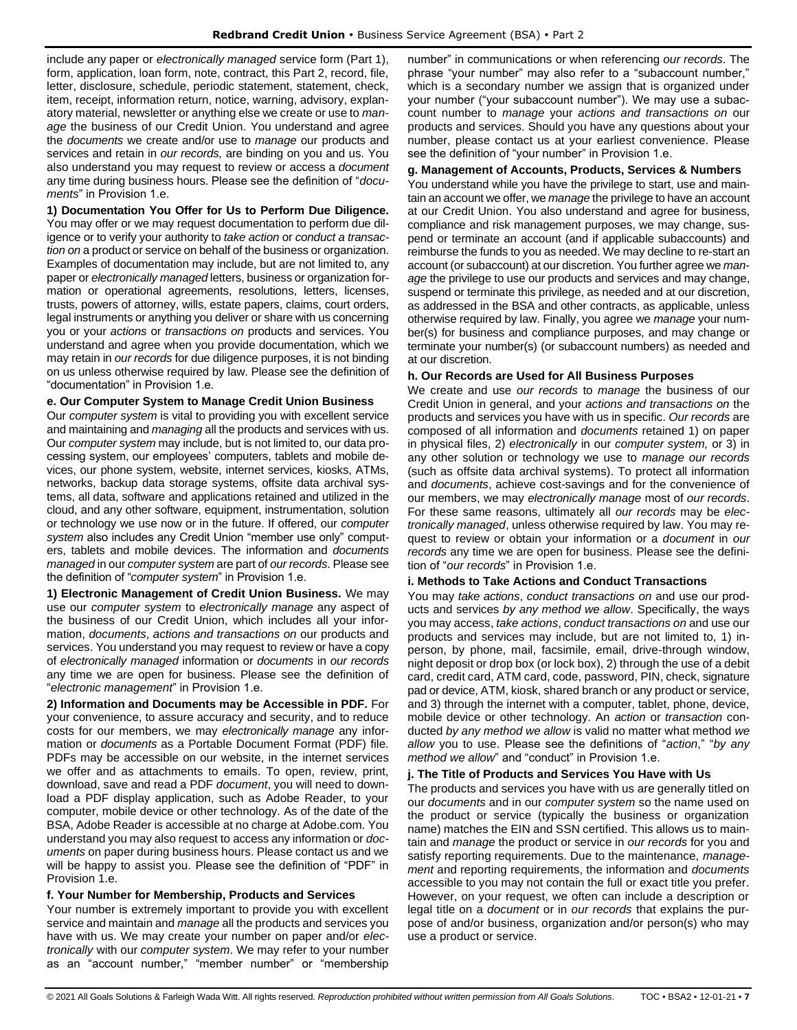include any paper or *electronically managed* service form (Part 1), form, application, loan form, note, contract, this Part 2, record, file, letter, disclosure, schedule, periodic statement, statement, check, item, receipt, information return, notice, warning, advisory, explanatory material, newsletter or anything else we create or use to *manage* the business of our Credit Union. You understand and agree the *documents* we create and/or use to *manage* our products and services and retain in *our records,* are binding on you and us. You also understand you may request to review or access a *document*  any time during business hours. Please see the definition of "*documents*" in Provision 1.e.

**1) Documentation You Offer for Us to Perform Due Diligence.** You may offer or we may request documentation to perform due diligence or to verify your authority to *take action* or *conduct a transaction on* a product or service on behalf of the business or organization. Examples of documentation may include, but are not limited to, any paper or *electronically managed* letters, business or organization formation or operational agreements, resolutions, letters, licenses, trusts, powers of attorney, wills, estate papers, claims, court orders, legal instruments or anything you deliver or share with us concerning you or your *actions* or *transactions on* products and services. You understand and agree when you provide documentation, which we may retain in *our records* for due diligence purposes, it is not binding on us unless otherwise required by law. Please see the definition of "documentation" in Provision 1.e.

### **e. Our Computer System to Manage Credit Union Business**

Our *computer system* is vital to providing you with excellent service and maintaining and *managing* all the products and services with us. Our *computer system* may include, but is not limited to, our data processing system, our employees' computers, tablets and mobile devices, our phone system, website, internet services, kiosks, ATMs, networks, backup data storage systems, offsite data archival systems, all data, software and applications retained and utilized in the cloud, and any other software, equipment, instrumentation, solution or technology we use now or in the future. If offered, our *computer system* also includes any Credit Union "member use only" computers, tablets and mobile devices. The information and *documents managed* in our *computer system* are part of *our records*. Please see the definition of "*computer system*" in Provision 1.e.

**1) Electronic Management of Credit Union Business.** We may use our *computer system* to *electronically manage* any aspect of the business of our Credit Union, which includes all your information, *documents*, *actions and transactions on* our products and services. You understand you may request to review or have a copy of *electronically managed* information or *documents* in *our records* any time we are open for business. Please see the definition of "*electronic management*" in Provision 1.e.

**2) Information and Documents may be Accessible in PDF.** For your convenience, to assure accuracy and security, and to reduce costs for our members, we may *electronically manage* any information or *documents* as a Portable Document Format (PDF) file. PDFs may be accessible on our website, in the internet services we offer and as attachments to emails. To open, review, print, download, save and read a PDF *document*, you will need to download a PDF display application, such as Adobe Reader, to your computer, mobile device or other technology. As of the date of the BSA, Adobe Reader is accessible at no charge at Adobe.com. You understand you may also request to access any information or *documents* on paper during business hours. Please contact us and we will be happy to assist you. Please see the definition of "PDF" in Provision 1 e.

### **f. Your Number for Membership, Products and Services**

Your number is extremely important to provide you with excellent service and maintain and *manage* all the products and services you have with us. We may create your number on paper and/or *electronically* with our *computer system*. We may refer to your number as an "account number," "member number" or "membership number" in communications or when referencing *our records*. The phrase "your number" may also refer to a "subaccount number," which is a secondary number we assign that is organized under your number ("your subaccount number"). We may use a subaccount number to *manage* your *actions and transactions on* our products and services. Should you have any questions about your number, please contact us at your earliest convenience. Please see the definition of "your number" in Provision 1.e.

### **g. Management of Accounts, Products, Services & Numbers**

You understand while you have the privilege to start, use and maintain an account we offer, we *manage* the privilege to have an account at our Credit Union. You also understand and agree for business, compliance and risk management purposes, we may change, suspend or terminate an account (and if applicable subaccounts) and reimburse the funds to you as needed. We may decline to re-start an account (or subaccount) at our discretion. You further agree we *manage* the privilege to use our products and services and may change, suspend or terminate this privilege, as needed and at our discretion, as addressed in the BSA and other contracts, as applicable, unless otherwise required by law. Finally, you agree we *manage* your number(s) for business and compliance purposes, and may change or terminate your number(s) (or subaccount numbers) as needed and at our discretion.

### **h. Our Records are Used for All Business Purposes**

We create and use *our records* to *manage* the business of our Credit Union in general, and your *actions and transactions on* the products and services you have with us in specific. *Our records* are composed of all information and *documents* retained 1) on paper in physical files, 2) *electronically* in our *computer system,* or 3) in any other solution or technology we use to *manage our records* (such as offsite data archival systems). To protect all information and *documents*, achieve cost-savings and for the convenience of our members, we may *electronically manage* most of *our records*. For these same reasons, ultimately all *our records* may be *electronically managed*, unless otherwise required by law. You may request to review or obtain your information or a *document* in *our records* any time we are open for business. Please see the definition of "*our records*" in Provision 1.e.

#### **i. Methods to Take Actions and Conduct Transactions**

You may *take actions*, *conduct transactions on* and use our products and services *by any method we allow*. Specifically, the ways you may access, *take actions*, *conduct transactions on* and use our products and services may include, but are not limited to, 1) inperson, by phone, mail, facsimile, email, drive-through window, night deposit or drop box (or lock box), 2) through the use of a debit card, credit card, ATM card, code, password, PIN, check, signature pad or device, ATM, kiosk, shared branch or any product or service, and 3) through the internet with a computer, tablet, phone, device, mobile device or other technology. An *action* or *transaction* conducted *by any method we allow* is valid no matter what method *we allow* you to use. Please see the definitions of "*action*," "*by any method we allow*" and "conduct" in Provision 1.e.

#### **j. The Title of Products and Services You Have with Us**

The products and services you have with us are generally titled on our *documents* and in our *computer system* so the name used on the product or service (typically the business or organization name) matches the EIN and SSN certified. This allows us to maintain and *manage* the product or service in *our records* for you and satisfy reporting requirements. Due to the maintenance, *management* and reporting requirements, the information and *documents* accessible to you may not contain the full or exact title you prefer. However, on your request, we often can include a description or legal title on a *document* or in *our records* that explains the purpose of and/or business, organization and/or person(s) who may use a product or service.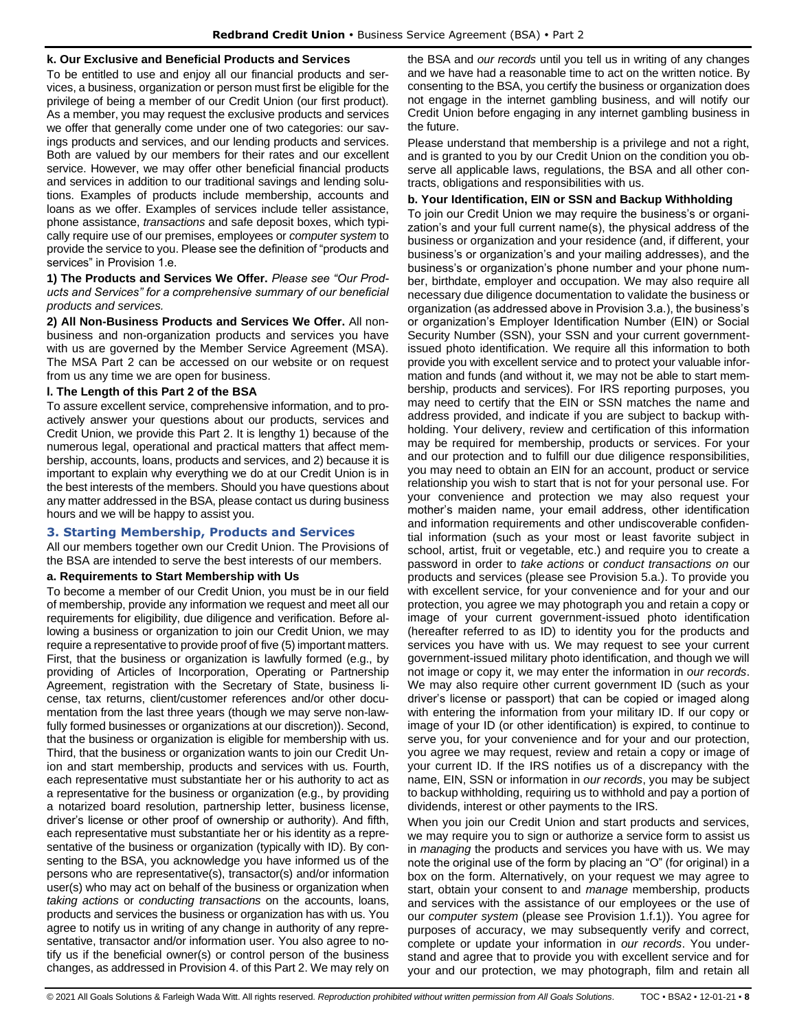### **k. Our Exclusive and Beneficial Products and Services**

To be entitled to use and enjoy all our financial products and services, a business, organization or person must first be eligible for the privilege of being a member of our Credit Union (our first product). As a member, you may request the exclusive products and services we offer that generally come under one of two categories: our savings products and services, and our lending products and services. Both are valued by our members for their rates and our excellent service. However, we may offer other beneficial financial products and services in addition to our traditional savings and lending solutions. Examples of products include membership, accounts and loans as we offer. Examples of services include teller assistance, phone assistance, *transactions* and safe deposit boxes, which typically require use of our premises, employees or *computer system* to provide the service to you. Please see the definition of "products and services" in Provision 1.e.

**1) The Products and Services We Offer.** *Please see "Our Products and Services" for a comprehensive summary of our beneficial products and services.*

**2) All Non-Business Products and Services We Offer.** All nonbusiness and non-organization products and services you have with us are governed by the Member Service Agreement (MSA). The MSA Part 2 can be accessed on our website or on request from us any time we are open for business.

### **l. The Length of this Part 2 of the BSA**

To assure excellent service, comprehensive information, and to proactively answer your questions about our products, services and Credit Union, we provide this Part 2. It is lengthy 1) because of the numerous legal, operational and practical matters that affect membership, accounts, loans, products and services, and 2) because it is important to explain why everything we do at our Credit Union is in the best interests of the members. Should you have questions about any matter addressed in the BSA, please contact us during business hours and we will be happy to assist you.

### <span id="page-7-0"></span>**3. Starting Membership, Products and Services**

All our members together own our Credit Union. The Provisions of the BSA are intended to serve the best interests of our members.

### **a. Requirements to Start Membership with Us**

To become a member of our Credit Union, you must be in our field of membership, provide any information we request and meet all our requirements for eligibility, due diligence and verification. Before allowing a business or organization to join our Credit Union, we may require a representative to provide proof of five (5) important matters. First, that the business or organization is lawfully formed (e.g., by providing of Articles of Incorporation, Operating or Partnership Agreement, registration with the Secretary of State, business license, tax returns, client/customer references and/or other documentation from the last three years (though we may serve non-lawfully formed businesses or organizations at our discretion)). Second, that the business or organization is eligible for membership with us. Third, that the business or organization wants to join our Credit Union and start membership, products and services with us. Fourth, each representative must substantiate her or his authority to act as a representative for the business or organization (e.g., by providing a notarized board resolution, partnership letter, business license, driver's license or other proof of ownership or authority). And fifth, each representative must substantiate her or his identity as a representative of the business or organization (typically with ID). By consenting to the BSA, you acknowledge you have informed us of the persons who are representative(s), transactor(s) and/or information user(s) who may act on behalf of the business or organization when *taking actions* or *conducting transactions* on the accounts, loans, products and services the business or organization has with us. You agree to notify us in writing of any change in authority of any representative, transactor and/or information user. You also agree to notify us if the beneficial owner(s) or control person of the business changes, as addressed in Provision 4. of this Part 2. We may rely on the BSA and *our records* until you tell us in writing of any changes and we have had a reasonable time to act on the written notice. By consenting to the BSA, you certify the business or organization does not engage in the internet gambling business, and will notify our Credit Union before engaging in any internet gambling business in the future.

Please understand that membership is a privilege and not a right, and is granted to you by our Credit Union on the condition you observe all applicable laws, regulations, the BSA and all other contracts, obligations and responsibilities with us.

### **b. Your Identification, EIN or SSN and Backup Withholding**

To join our Credit Union we may require the business's or organization's and your full current name(s), the physical address of the business or organization and your residence (and, if different, your business's or organization's and your mailing addresses), and the business's or organization's phone number and your phone number, birthdate, employer and occupation. We may also require all necessary due diligence documentation to validate the business or organization (as addressed above in Provision 3.a.), the business's or organization's Employer Identification Number (EIN) or Social Security Number (SSN), your SSN and your current governmentissued photo identification. We require all this information to both provide you with excellent service and to protect your valuable information and funds (and without it, we may not be able to start membership, products and services). For IRS reporting purposes, you may need to certify that the EIN or SSN matches the name and address provided, and indicate if you are subject to backup withholding. Your delivery, review and certification of this information may be required for membership, products or services. For your and our protection and to fulfill our due diligence responsibilities, you may need to obtain an EIN for an account, product or service relationship you wish to start that is not for your personal use. For your convenience and protection we may also request your mother's maiden name, your email address, other identification and information requirements and other undiscoverable confidential information (such as your most or least favorite subject in school, artist, fruit or vegetable, etc.) and require you to create a password in order to *take actions* or *conduct transactions on* our products and services (please see Provision 5.a.). To provide you with excellent service, for your convenience and for your and our protection, you agree we may photograph you and retain a copy or image of your current government-issued photo identification (hereafter referred to as ID) to identity you for the products and services you have with us. We may request to see your current government-issued military photo identification, and though we will not image or copy it, we may enter the information in *our records*. We may also require other current government ID (such as your driver's license or passport) that can be copied or imaged along with entering the information from your military ID. If our copy or image of your ID (or other identification) is expired, to continue to serve you, for your convenience and for your and our protection, you agree we may request, review and retain a copy or image of your current ID. If the IRS notifies us of a discrepancy with the name, EIN, SSN or information in *our records*, you may be subject to backup withholding, requiring us to withhold and pay a portion of dividends, interest or other payments to the IRS.

When you join our Credit Union and start products and services, we may require you to sign or authorize a service form to assist us in *managing* the products and services you have with us. We may note the original use of the form by placing an "O" (for original) in a box on the form. Alternatively, on your request we may agree to start, obtain your consent to and *manage* membership, products and services with the assistance of our employees or the use of our *computer system* (please see Provision 1.f.1)). You agree for purposes of accuracy, we may subsequently verify and correct, complete or update your information in *our records*. You understand and agree that to provide you with excellent service and for your and our protection, we may photograph, film and retain all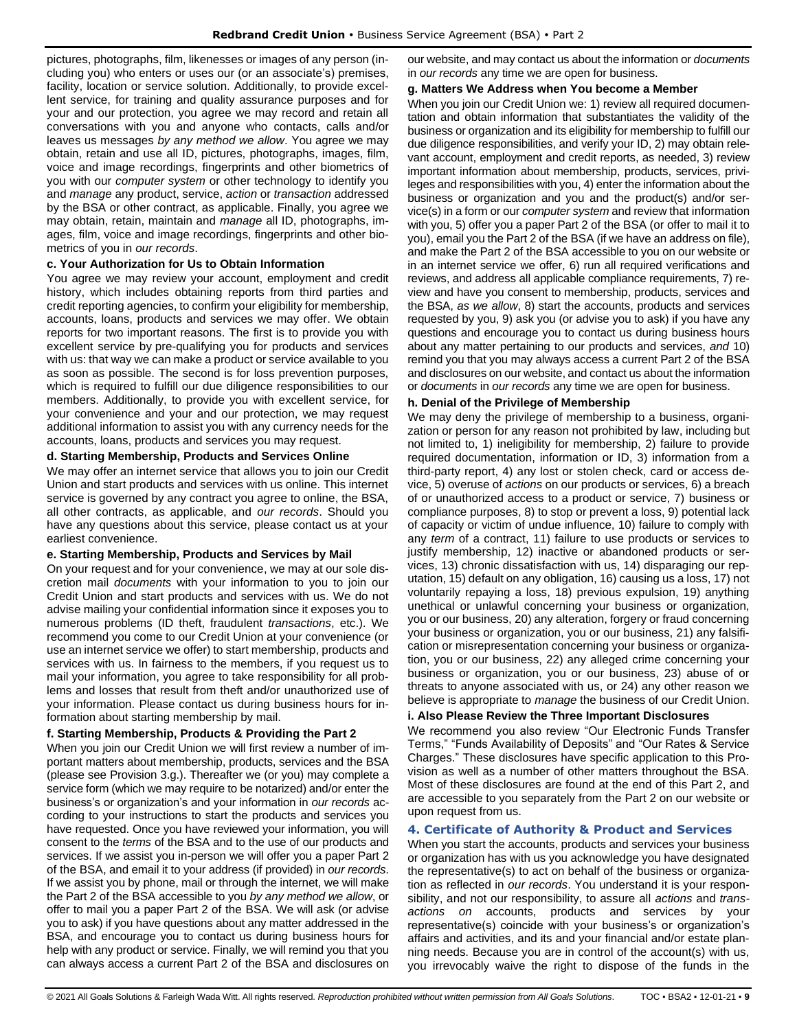pictures, photographs, film, likenesses or images of any person (including you) who enters or uses our (or an associate's) premises, facility, location or service solution. Additionally, to provide excellent service, for training and quality assurance purposes and for your and our protection, you agree we may record and retain all conversations with you and anyone who contacts, calls and/or leaves us messages *by any method we allow*. You agree we may obtain, retain and use all ID, pictures, photographs, images, film, voice and image recordings, fingerprints and other biometrics of you with our *computer system* or other technology to identify you and *manage* any product, service, *action* or *transaction* addressed by the BSA or other contract, as applicable. Finally, you agree we may obtain, retain, maintain and *manage* all ID, photographs, images, film, voice and image recordings, fingerprints and other biometrics of you in *our records*.

### **c. Your Authorization for Us to Obtain Information**

You agree we may review your account, employment and credit history, which includes obtaining reports from third parties and credit reporting agencies, to confirm your eligibility for membership, accounts, loans, products and services we may offer. We obtain reports for two important reasons. The first is to provide you with excellent service by pre-qualifying you for products and services with us: that way we can make a product or service available to you as soon as possible. The second is for loss prevention purposes, which is required to fulfill our due diligence responsibilities to our members. Additionally, to provide you with excellent service, for your convenience and your and our protection, we may request additional information to assist you with any currency needs for the accounts, loans, products and services you may request.

### **d. Starting Membership, Products and Services Online**

We may offer an internet service that allows you to join our Credit Union and start products and services with us online. This internet service is governed by any contract you agree to online, the BSA, all other contracts, as applicable, and *our records*. Should you have any questions about this service, please contact us at your earliest convenience.

### **e. Starting Membership, Products and Services by Mail**

On your request and for your convenience, we may at our sole discretion mail *documents* with your information to you to join our Credit Union and start products and services with us. We do not advise mailing your confidential information since it exposes you to numerous problems (ID theft, fraudulent *transactions*, etc.). We recommend you come to our Credit Union at your convenience (or use an internet service we offer) to start membership, products and services with us. In fairness to the members, if you request us to mail your information, you agree to take responsibility for all problems and losses that result from theft and/or unauthorized use of your information. Please contact us during business hours for information about starting membership by mail.

### **f. Starting Membership, Products & Providing the Part 2**

When you join our Credit Union we will first review a number of important matters about membership, products, services and the BSA (please see Provision 3.g.). Thereafter we (or you) may complete a service form (which we may require to be notarized) and/or enter the business's or organization's and your information in *our records* according to your instructions to start the products and services you have requested. Once you have reviewed your information, you will consent to the *terms* of the BSA and to the use of our products and services. If we assist you in-person we will offer you a paper Part 2 of the BSA, and email it to your address (if provided) in *our records*. If we assist you by phone, mail or through the internet, we will make the Part 2 of the BSA accessible to you *by any method we allow*, or offer to mail you a paper Part 2 of the BSA. We will ask (or advise you to ask) if you have questions about any matter addressed in the BSA, and encourage you to contact us during business hours for help with any product or service. Finally, we will remind you that you can always access a current Part 2 of the BSA and disclosures on our website, and may contact us about the information or *documents*  in *our records* any time we are open for business.

### **g. Matters We Address when You become a Member**

When you join our Credit Union we: 1) review all required documentation and obtain information that substantiates the validity of the business or organization and its eligibility for membership to fulfill our due diligence responsibilities, and verify your ID, 2) may obtain relevant account, employment and credit reports, as needed, 3) review important information about membership, products, services, privileges and responsibilities with you, 4) enter the information about the business or organization and you and the product(s) and/or service(s) in a form or our *computer system* and review that information with you, 5) offer you a paper Part 2 of the BSA (or offer to mail it to you), email you the Part 2 of the BSA (if we have an address on file), and make the Part 2 of the BSA accessible to you on our website or in an internet service we offer, 6) run all required verifications and reviews, and address all applicable compliance requirements, 7) review and have you consent to membership, products, services and the BSA, *as we allow*, 8) start the accounts, products and services requested by you, 9) ask you (or advise you to ask) if you have any questions and encourage you to contact us during business hours about any matter pertaining to our products and services, *and* 10) remind you that you may always access a current Part 2 of the BSA and disclosures on our website, and contact us about the information or *documents* in *our records* any time we are open for business.

### **h. Denial of the Privilege of Membership**

We may deny the privilege of membership to a business, organization or person for any reason not prohibited by law, including but not limited to, 1) ineligibility for membership, 2) failure to provide required documentation, information or ID, 3) information from a third-party report, 4) any lost or stolen check, card or access device, 5) overuse of *actions* on our products or services, 6) a breach of or unauthorized access to a product or service, 7) business or compliance purposes, 8) to stop or prevent a loss, 9) potential lack of capacity or victim of undue influence, 10) failure to comply with any *term* of a contract, 11) failure to use products or services to justify membership, 12) inactive or abandoned products or services, 13) chronic dissatisfaction with us, 14) disparaging our reputation, 15) default on any obligation, 16) causing us a loss, 17) not voluntarily repaying a loss, 18) previous expulsion, 19) anything unethical or unlawful concerning your business or organization, you or our business, 20) any alteration, forgery or fraud concerning your business or organization, you or our business, 21) any falsification or misrepresentation concerning your business or organization, you or our business, 22) any alleged crime concerning your business or organization, you or our business, 23) abuse of or threats to anyone associated with us, or 24) any other reason we believe is appropriate to *manage* the business of our Credit Union.

### **i. Also Please Review the Three Important Disclosures**

We recommend you also review "Our Electronic Funds Transfer Terms," "Funds Availability of Deposits" and "Our Rates & Service Charges." These disclosures have specific application to this Provision as well as a number of other matters throughout the BSA. Most of these disclosures are found at the end of this Part 2, and are accessible to you separately from the Part 2 on our website or upon request from us.

### <span id="page-8-0"></span>**4. Certificate of Authority & Product and Services**

When you start the accounts, products and services your business or organization has with us you acknowledge you have designated the representative(s) to act on behalf of the business or organization as reflected in *our records*. You understand it is your responsibility, and not our responsibility, to assure all *actions* and *transactions on* accounts, products and services by your representative(s) coincide with your business's or organization's affairs and activities, and its and your financial and/or estate planning needs. Because you are in control of the account(s) with us, you irrevocably waive the right to dispose of the funds in the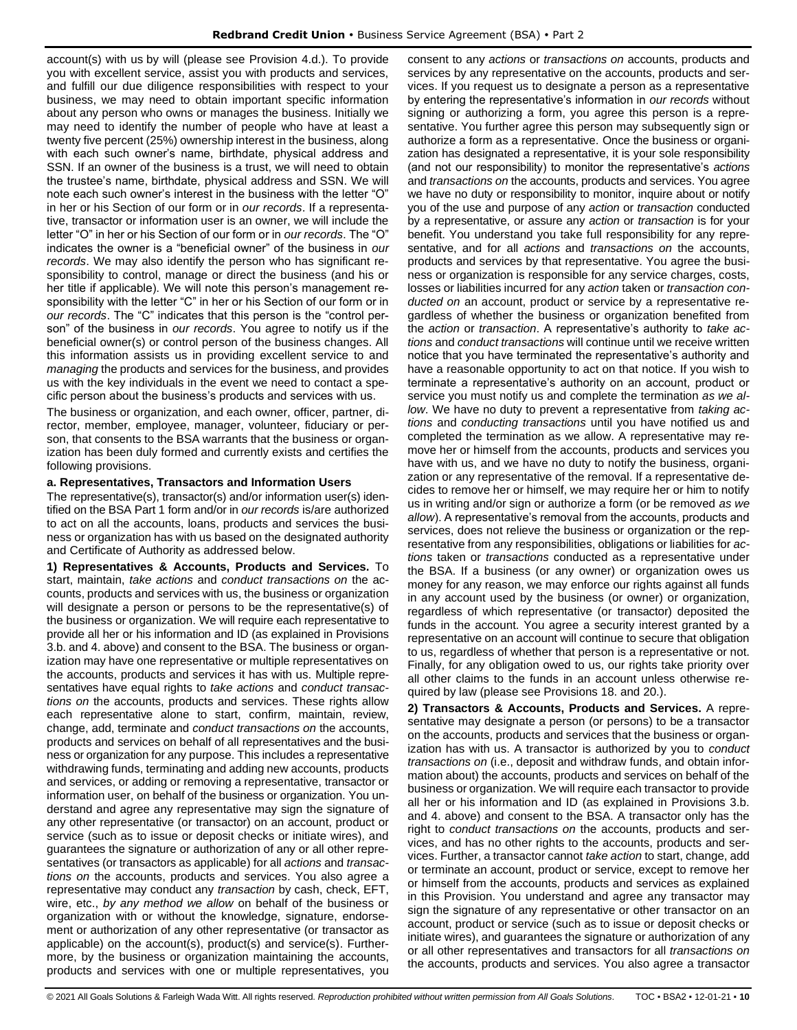account(s) with us by will (please see Provision 4.d.). To provide you with excellent service, assist you with products and services, and fulfill our due diligence responsibilities with respect to your business, we may need to obtain important specific information about any person who owns or manages the business. Initially we may need to identify the number of people who have at least a twenty five percent (25%) ownership interest in the business, along with each such owner's name, birthdate, physical address and SSN. If an owner of the business is a trust, we will need to obtain the trustee's name, birthdate, physical address and SSN. We will note each such owner's interest in the business with the letter "O" in her or his Section of our form or in *our records*. If a representative, transactor or information user is an owner, we will include the letter "O" in her or his Section of our form or in *our records*. The "O" indicates the owner is a "beneficial owner" of the business in *our records*. We may also identify the person who has significant responsibility to control, manage or direct the business (and his or her title if applicable). We will note this person's management responsibility with the letter "C" in her or his Section of our form or in *our records*. The "C" indicates that this person is the "control person" of the business in *our records*. You agree to notify us if the beneficial owner(s) or control person of the business changes. All this information assists us in providing excellent service to and *managing* the products and services for the business, and provides us with the key individuals in the event we need to contact a specific person about the business's products and services with us.

The business or organization, and each owner, officer, partner, director, member, employee, manager, volunteer, fiduciary or person, that consents to the BSA warrants that the business or organization has been duly formed and currently exists and certifies the following provisions.

### **a. Representatives, Transactors and Information Users**

The representative(s), transactor(s) and/or information user(s) identified on the BSA Part 1 form and/or in *our records* is/are authorized to act on all the accounts, loans, products and services the business or organization has with us based on the designated authority and Certificate of Authority as addressed below.

**1) Representatives & Accounts, Products and Services.** To start, maintain, *take actions* and *conduct transactions on* the accounts, products and services with us, the business or organization will designate a person or persons to be the representative(s) of the business or organization. We will require each representative to provide all her or his information and ID (as explained in Provisions 3.b. and 4. above) and consent to the BSA. The business or organization may have one representative or multiple representatives on the accounts, products and services it has with us. Multiple representatives have equal rights to *take actions* and *conduct transactions on* the accounts, products and services. These rights allow each representative alone to start, confirm, maintain, review, change, add, terminate and *conduct transactions on* the accounts, products and services on behalf of all representatives and the business or organization for any purpose. This includes a representative withdrawing funds, terminating and adding new accounts, products and services, or adding or removing a representative, transactor or information user, on behalf of the business or organization. You understand and agree any representative may sign the signature of any other representative (or transactor) on an account, product or service (such as to issue or deposit checks or initiate wires), and guarantees the signature or authorization of any or all other representatives (or transactors as applicable) for all *actions* and *transactions on* the accounts, products and services. You also agree a representative may conduct any *transaction* by cash, check, EFT, wire, etc., *by any method we allow* on behalf of the business or organization with or without the knowledge, signature, endorsement or authorization of any other representative (or transactor as applicable) on the account(s), product(s) and service(s). Furthermore, by the business or organization maintaining the accounts, products and services with one or multiple representatives, you

consent to any *actions* or *transactions on* accounts, products and services by any representative on the accounts, products and services. If you request us to designate a person as a representative by entering the representative's information in *our records* without signing or authorizing a form, you agree this person is a representative. You further agree this person may subsequently sign or authorize a form as a representative. Once the business or organization has designated a representative, it is your sole responsibility (and not our responsibility) to monitor the representative's *actions* and *transactions on* the accounts, products and services. You agree we have no duty or responsibility to monitor, inquire about or notify you of the use and purpose of any *action* or *transaction* conducted by a representative, or assure any *action* or *transaction* is for your benefit. You understand you take full responsibility for any representative, and for all *actions* and *transactions on* the accounts, products and services by that representative. You agree the business or organization is responsible for any service charges, costs, losses or liabilities incurred for any *action* taken or *transaction conducted on* an account, product or service by a representative regardless of whether the business or organization benefited from the *action* or *transaction*. A representative's authority to *take actions* and *conduct transactions* will continue until we receive written notice that you have terminated the representative's authority and have a reasonable opportunity to act on that notice. If you wish to terminate a representative's authority on an account, product or service you must notify us and complete the termination *as we allow*. We have no duty to prevent a representative from *taking actions* and *conducting transactions* until you have notified us and completed the termination as we allow. A representative may remove her or himself from the accounts, products and services you have with us, and we have no duty to notify the business, organization or any representative of the removal. If a representative decides to remove her or himself, we may require her or him to notify us in writing and/or sign or authorize a form (or be removed *as we allow*). A representative's removal from the accounts, products and services, does not relieve the business or organization or the representative from any responsibilities, obligations or liabilities for *actions* taken or *transactions* conducted as a representative under the BSA. If a business (or any owner) or organization owes us money for any reason, we may enforce our rights against all funds in any account used by the business (or owner) or organization, regardless of which representative (or transactor) deposited the funds in the account. You agree a security interest granted by a representative on an account will continue to secure that obligation to us, regardless of whether that person is a representative or not. Finally, for any obligation owed to us, our rights take priority over all other claims to the funds in an account unless otherwise required by law (please see Provisions 18. and 20.).

**2) Transactors & Accounts, Products and Services.** A representative may designate a person (or persons) to be a transactor on the accounts, products and services that the business or organization has with us. A transactor is authorized by you to *conduct transactions on* (i.e., deposit and withdraw funds, and obtain information about) the accounts, products and services on behalf of the business or organization. We will require each transactor to provide all her or his information and ID (as explained in Provisions 3.b. and 4. above) and consent to the BSA. A transactor only has the right to *conduct transactions on* the accounts, products and services, and has no other rights to the accounts, products and services. Further, a transactor cannot *take action* to start, change, add or terminate an account, product or service, except to remove her or himself from the accounts, products and services as explained in this Provision. You understand and agree any transactor may sign the signature of any representative or other transactor on an account, product or service (such as to issue or deposit checks or initiate wires), and guarantees the signature or authorization of any or all other representatives and transactors for all *transactions on*  the accounts, products and services. You also agree a transactor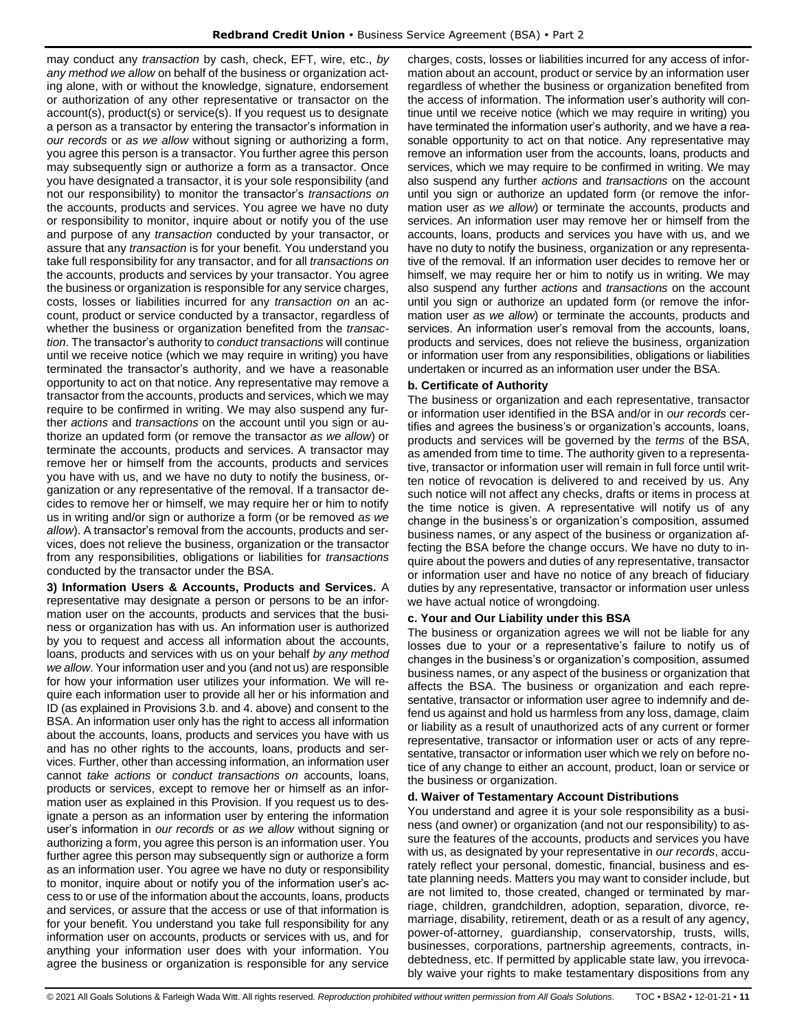may conduct any *transaction* by cash, check, EFT, wire, etc., *by any method we allow* on behalf of the business or organization acting alone, with or without the knowledge, signature, endorsement or authorization of any other representative or transactor on the account(s), product(s) or service(s). If you request us to designate a person as a transactor by entering the transactor's information in *our records* or *as we allow* without signing or authorizing a form, you agree this person is a transactor. You further agree this person may subsequently sign or authorize a form as a transactor. Once you have designated a transactor, it is your sole responsibility (and not our responsibility) to monitor the transactor's *transactions on* the accounts, products and services. You agree we have no duty or responsibility to monitor, inquire about or notify you of the use and purpose of any *transaction* conducted by your transactor, or assure that any *transaction* is for your benefit. You understand you take full responsibility for any transactor, and for all *transactions on* the accounts, products and services by your transactor. You agree the business or organization is responsible for any service charges, costs, losses or liabilities incurred for any *transaction on* an account, product or service conducted by a transactor, regardless of whether the business or organization benefited from the *transaction*. The transactor's authority to *conduct transactions* will continue until we receive notice (which we may require in writing) you have terminated the transactor's authority, and we have a reasonable opportunity to act on that notice. Any representative may remove a transactor from the accounts, products and services, which we may require to be confirmed in writing. We may also suspend any further *actions* and *transactions* on the account until you sign or authorize an updated form (or remove the transactor *as we allow*) or terminate the accounts, products and services. A transactor may remove her or himself from the accounts, products and services you have with us, and we have no duty to notify the business, organization or any representative of the removal. If a transactor decides to remove her or himself, we may require her or him to notify us in writing and/or sign or authorize a form (or be removed *as we allow*). A transactor's removal from the accounts, products and services, does not relieve the business, organization or the transactor from any responsibilities, obligations or liabilities for *transactions* conducted by the transactor under the BSA.

**3) Information Users & Accounts, Products and Services.** A representative may designate a person or persons to be an information user on the accounts, products and services that the business or organization has with us. An information user is authorized by you to request and access all information about the accounts, loans, products and services with us on your behalf *by any method we allow*. Your information user and you (and not us) are responsible for how your information user utilizes your information. We will require each information user to provide all her or his information and ID (as explained in Provisions 3.b. and 4. above) and consent to the BSA. An information user only has the right to access all information about the accounts, loans, products and services you have with us and has no other rights to the accounts, loans, products and services. Further, other than accessing information, an information user cannot *take actions* or *conduct transactions on* accounts, loans, products or services, except to remove her or himself as an information user as explained in this Provision. If you request us to designate a person as an information user by entering the information user's information in *our records* or *as we allow* without signing or authorizing a form, you agree this person is an information user. You further agree this person may subsequently sign or authorize a form as an information user. You agree we have no duty or responsibility to monitor, inquire about or notify you of the information user's access to or use of the information about the accounts, loans, products and services, or assure that the access or use of that information is for your benefit. You understand you take full responsibility for any information user on accounts, products or services with us, and for anything your information user does with your information. You agree the business or organization is responsible for any service charges, costs, losses or liabilities incurred for any access of information about an account, product or service by an information user regardless of whether the business or organization benefited from the access of information. The information user's authority will continue until we receive notice (which we may require in writing) you have terminated the information user's authority, and we have a reasonable opportunity to act on that notice. Any representative may remove an information user from the accounts, loans, products and services, which we may require to be confirmed in writing. We may also suspend any further *actions* and *transactions* on the account until you sign or authorize an updated form (or remove the information user *as we allow*) or terminate the accounts, products and services. An information user may remove her or himself from the accounts, loans, products and services you have with us, and we have no duty to notify the business, organization or any representative of the removal. If an information user decides to remove her or himself, we may require her or him to notify us in writing. We may also suspend any further *actions* and *transactions* on the account until you sign or authorize an updated form (or remove the information user *as we allow*) or terminate the accounts, products and services. An information user's removal from the accounts, loans, products and services, does not relieve the business, organization or information user from any responsibilities, obligations or liabilities undertaken or incurred as an information user under the BSA.

### **b. Certificate of Authority**

The business or organization and each representative, transactor or information user identified in the BSA and/or in *our records* certifies and agrees the business's or organization's accounts, loans, products and services will be governed by the *terms* of the BSA, as amended from time to time. The authority given to a representative, transactor or information user will remain in full force until written notice of revocation is delivered to and received by us. Any such notice will not affect any checks, drafts or items in process at the time notice is given. A representative will notify us of any change in the business's or organization's composition, assumed business names, or any aspect of the business or organization affecting the BSA before the change occurs. We have no duty to inquire about the powers and duties of any representative, transactor or information user and have no notice of any breach of fiduciary duties by any representative, transactor or information user unless we have actual notice of wrongdoing.

#### **c. Your and Our Liability under this BSA**

The business or organization agrees we will not be liable for any losses due to your or a representative's failure to notify us of changes in the business's or organization's composition, assumed business names, or any aspect of the business or organization that affects the BSA. The business or organization and each representative, transactor or information user agree to indemnify and defend us against and hold us harmless from any loss, damage, claim or liability as a result of unauthorized acts of any current or former representative, transactor or information user or acts of any representative, transactor or information user which we rely on before notice of any change to either an account, product, loan or service or the business or organization.

#### **d. Waiver of Testamentary Account Distributions**

You understand and agree it is your sole responsibility as a business (and owner) or organization (and not our responsibility) to assure the features of the accounts, products and services you have with us, as designated by your representative in *our records*, accurately reflect your personal, domestic, financial, business and estate planning needs. Matters you may want to consider include, but are not limited to, those created, changed or terminated by marriage, children, grandchildren, adoption, separation, divorce, remarriage, disability, retirement, death or as a result of any agency, power-of-attorney, guardianship, conservatorship, trusts, wills, businesses, corporations, partnership agreements, contracts, indebtedness, etc. If permitted by applicable state law, you irrevocably waive your rights to make testamentary dispositions from any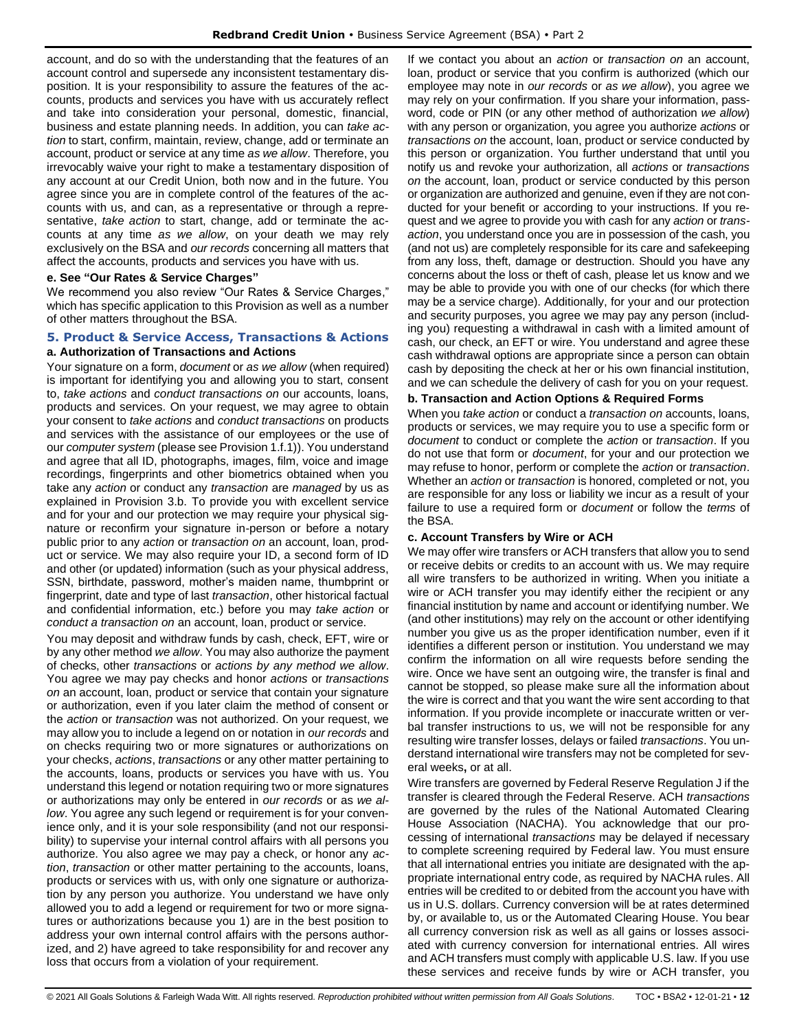account, and do so with the understanding that the features of an account control and supersede any inconsistent testamentary disposition. It is your responsibility to assure the features of the accounts, products and services you have with us accurately reflect and take into consideration your personal, domestic, financial, business and estate planning needs. In addition, you can *take action* to start, confirm, maintain, review, change, add or terminate an account, product or service at any time *as we allow*. Therefore, you irrevocably waive your right to make a testamentary disposition of any account at our Credit Union, both now and in the future. You agree since you are in complete control of the features of the accounts with us, and can, as a representative or through a representative, *take action* to start, change, add or terminate the accounts at any time *as we allow*, on your death we may rely exclusively on the BSA and *our records* concerning all matters that affect the accounts, products and services you have with us.

### **e. See "Our Rates & Service Charges"**

We recommend you also review "Our Rates & Service Charges," which has specific application to this Provision as well as a number of other matters throughout the BSA.

### <span id="page-11-0"></span>**5. Product & Service Access, Transactions & Actions a. Authorization of Transactions and Actions**

Your signature on a form, *document* or *as we allow* (when required) is important for identifying you and allowing you to start, consent to, *take actions* and *conduct transactions on* our accounts, loans, products and services. On your request, we may agree to obtain your consent to *take actions* and *conduct transactions* on products and services with the assistance of our employees or the use of our *computer system* (please see Provision 1.f.1)). You understand and agree that all ID, photographs, images, film, voice and image recordings, fingerprints and other biometrics obtained when you take any *action* or conduct any *transaction* are *managed* by us as explained in Provision 3.b. To provide you with excellent service and for your and our protection we may require your physical signature or reconfirm your signature in-person or before a notary public prior to any *action* or *transaction on* an account, loan, product or service. We may also require your ID, a second form of ID and other (or updated) information (such as your physical address, SSN, birthdate, password, mother's maiden name, thumbprint or fingerprint, date and type of last *transaction*, other historical factual and confidential information, etc.) before you may *take action* or *conduct a transaction on* an account, loan, product or service.

You may deposit and withdraw funds by cash, check, EFT, wire or by any other method *we allow*. You may also authorize the payment of checks, other *transactions* or *actions by any method we allow*. You agree we may pay checks and honor *actions* or *transactions on* an account, loan, product or service that contain your signature or authorization, even if you later claim the method of consent or the *action* or *transaction* was not authorized. On your request, we may allow you to include a legend on or notation in *our records* and on checks requiring two or more signatures or authorizations on your checks, *actions*, *transactions* or any other matter pertaining to the accounts, loans, products or services you have with us. You understand this legend or notation requiring two or more signatures or authorizations may only be entered in *our records* or as *we allow*. You agree any such legend or requirement is for your convenience only, and it is your sole responsibility (and not our responsibility) to supervise your internal control affairs with all persons you authorize. You also agree we may pay a check, or honor any *action*, *transaction* or other matter pertaining to the accounts, loans, products or services with us, with only one signature or authorization by any person you authorize. You understand we have only allowed you to add a legend or requirement for two or more signatures or authorizations because you 1) are in the best position to address your own internal control affairs with the persons authorized, and 2) have agreed to take responsibility for and recover any loss that occurs from a violation of your requirement.

If we contact you about an *action* or *transaction on* an account, loan, product or service that you confirm is authorized (which our employee may note in *our records* or *as we allow*), you agree we may rely on your confirmation. If you share your information, password, code or PIN (or any other method of authorization *we allow*) with any person or organization, you agree you authorize *actions* or *transactions on* the account, loan, product or service conducted by this person or organization. You further understand that until you notify us and revoke your authorization, all *actions* or *transactions on* the account, loan, product or service conducted by this person or organization are authorized and genuine, even if they are not conducted for your benefit or according to your instructions. If you request and we agree to provide you with cash for any *action* or *transaction*, you understand once you are in possession of the cash, you (and not us) are completely responsible for its care and safekeeping from any loss, theft, damage or destruction. Should you have any concerns about the loss or theft of cash, please let us know and we may be able to provide you with one of our checks (for which there may be a service charge). Additionally, for your and our protection and security purposes, you agree we may pay any person (including you) requesting a withdrawal in cash with a limited amount of cash, our check, an EFT or wire. You understand and agree these cash withdrawal options are appropriate since a person can obtain cash by depositing the check at her or his own financial institution, and we can schedule the delivery of cash for you on your request.

### **b. Transaction and Action Options & Required Forms**

When you *take action* or conduct a *transaction on* accounts, loans, products or services, we may require you to use a specific form or *document* to conduct or complete the *action* or *transaction*. If you do not use that form or *document*, for your and our protection we may refuse to honor, perform or complete the *action* or *transaction*. Whether an *action* or *transaction* is honored, completed or not, you are responsible for any loss or liability we incur as a result of your failure to use a required form or *document* or follow the *terms* of the BSA.

### **c. Account Transfers by Wire or ACH**

We may offer wire transfers or ACH transfers that allow you to send or receive debits or credits to an account with us. We may require all wire transfers to be authorized in writing. When you initiate a wire or ACH transfer you may identify either the recipient or any financial institution by name and account or identifying number. We (and other institutions) may rely on the account or other identifying number you give us as the proper identification number, even if it identifies a different person or institution. You understand we may confirm the information on all wire requests before sending the wire. Once we have sent an outgoing wire, the transfer is final and cannot be stopped, so please make sure all the information about the wire is correct and that you want the wire sent according to that information. If you provide incomplete or inaccurate written or verbal transfer instructions to us, we will not be responsible for any resulting wire transfer losses, delays or failed *transactions*. You understand international wire transfers may not be completed for several weeks**,** or at all.

Wire transfers are governed by Federal Reserve Regulation J if the transfer is cleared through the Federal Reserve. ACH *transactions* are governed by the rules of the National Automated Clearing House Association (NACHA). You acknowledge that our processing of international *transactions* may be delayed if necessary to complete screening required by Federal law. You must ensure that all international entries you initiate are designated with the appropriate international entry code, as required by NACHA rules. All entries will be credited to or debited from the account you have with us in U.S. dollars. Currency conversion will be at rates determined by, or available to, us or the Automated Clearing House. You bear all currency conversion risk as well as all gains or losses associated with currency conversion for international entries. All wires and ACH transfers must comply with applicable U.S. law. If you use these services and receive funds by wire or ACH transfer, you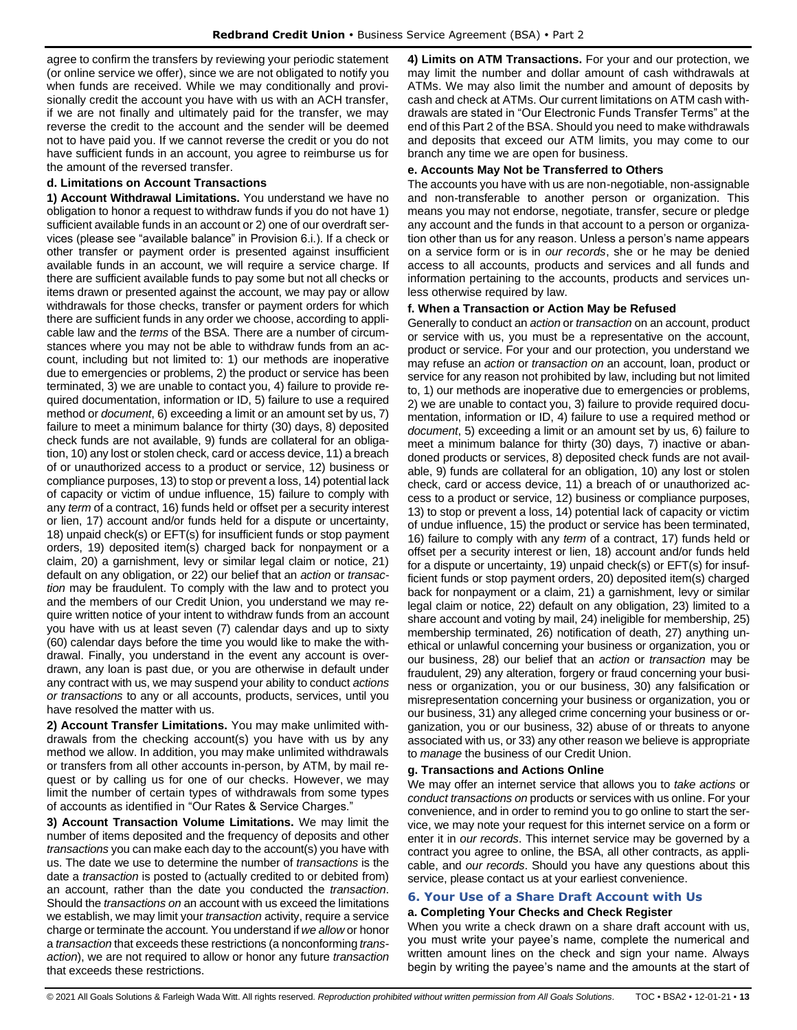agree to confirm the transfers by reviewing your periodic statement (or online service we offer), since we are not obligated to notify you when funds are received. While we may conditionally and provisionally credit the account you have with us with an ACH transfer, if we are not finally and ultimately paid for the transfer, we may reverse the credit to the account and the sender will be deemed not to have paid you. If we cannot reverse the credit or you do not have sufficient funds in an account, you agree to reimburse us for the amount of the reversed transfer.

### **d. Limitations on Account Transactions**

**1) Account Withdrawal Limitations.** You understand we have no obligation to honor a request to withdraw funds if you do not have 1) sufficient available funds in an account or 2) one of our overdraft services (please see "available balance" in Provision 6.i.). If a check or other transfer or payment order is presented against insufficient available funds in an account, we will require a service charge. If there are sufficient available funds to pay some but not all checks or items drawn or presented against the account, we may pay or allow withdrawals for those checks, transfer or payment orders for which there are sufficient funds in any order we choose, according to applicable law and the *terms* of the BSA. There are a number of circumstances where you may not be able to withdraw funds from an account, including but not limited to: 1) our methods are inoperative due to emergencies or problems, 2) the product or service has been terminated, 3) we are unable to contact you, 4) failure to provide required documentation, information or ID, 5) failure to use a required method or *document*, 6) exceeding a limit or an amount set by us, 7) failure to meet a minimum balance for thirty (30) days, 8) deposited check funds are not available, 9) funds are collateral for an obligation, 10) any lost or stolen check, card or access device, 11) a breach of or unauthorized access to a product or service, 12) business or compliance purposes, 13) to stop or prevent a loss, 14) potential lack of capacity or victim of undue influence, 15) failure to comply with any *term* of a contract, 16) funds held or offset per a security interest or lien, 17) account and/or funds held for a dispute or uncertainty, 18) unpaid check(s) or EFT(s) for insufficient funds or stop payment orders, 19) deposited item(s) charged back for nonpayment or a claim, 20) a garnishment, levy or similar legal claim or notice, 21) default on any obligation, or 22) our belief that an *action* or *transaction* may be fraudulent. To comply with the law and to protect you and the members of our Credit Union, you understand we may require written notice of your intent to withdraw funds from an account you have with us at least seven (7) calendar days and up to sixty (60) calendar days before the time you would like to make the withdrawal. Finally, you understand in the event any account is overdrawn, any loan is past due, or you are otherwise in default under any contract with us, we may suspend your ability to conduct *actions or transactions* to any or all accounts, products, services, until you have resolved the matter with us.

**2) Account Transfer Limitations.** You may make unlimited withdrawals from the checking account(s) you have with us by any method we allow. In addition, you may make unlimited withdrawals or transfers from all other accounts in-person, by ATM, by mail request or by calling us for one of our checks. However, we may limit the number of certain types of withdrawals from some types of accounts as identified in "Our Rates & Service Charges."

**3) Account Transaction Volume Limitations.** We may limit the number of items deposited and the frequency of deposits and other *transactions* you can make each day to the account(s) you have with us. The date we use to determine the number of *transactions* is the date a *transaction* is posted to (actually credited to or debited from) an account, rather than the date you conducted the *transaction*. Should the *transactions on* an account with us exceed the limitations we establish, we may limit your *transaction* activity, require a service charge or terminate the account. You understand if *we allow* or honor a *transaction* that exceeds these restrictions (a nonconforming *transaction*), we are not required to allow or honor any future *transaction* that exceeds these restrictions.

**4) Limits on ATM Transactions.** For your and our protection, we may limit the number and dollar amount of cash withdrawals at ATMs. We may also limit the number and amount of deposits by cash and check at ATMs. Our current limitations on ATM cash withdrawals are stated in "Our Electronic Funds Transfer Terms" at the end of this Part 2 of the BSA. Should you need to make withdrawals and deposits that exceed our ATM limits, you may come to our branch any time we are open for business.

#### **e. Accounts May Not be Transferred to Others**

The accounts you have with us are non-negotiable, non-assignable and non-transferable to another person or organization. This means you may not endorse, negotiate, transfer, secure or pledge any account and the funds in that account to a person or organization other than us for any reason. Unless a person's name appears on a service form or is in *our records*, she or he may be denied access to all accounts, products and services and all funds and information pertaining to the accounts, products and services unless otherwise required by law.

### **f. When a Transaction or Action May be Refused**

Generally to conduct an *action* or *transaction* on an account, product or service with us, you must be a representative on the account, product or service. For your and our protection, you understand we may refuse an *action* or *transaction on* an account, loan, product or service for any reason not prohibited by law, including but not limited to, 1) our methods are inoperative due to emergencies or problems, 2) we are unable to contact you, 3) failure to provide required documentation, information or ID, 4) failure to use a required method or *document*, 5) exceeding a limit or an amount set by us, 6) failure to meet a minimum balance for thirty (30) days, 7) inactive or abandoned products or services, 8) deposited check funds are not available, 9) funds are collateral for an obligation, 10) any lost or stolen check, card or access device, 11) a breach of or unauthorized access to a product or service, 12) business or compliance purposes, 13) to stop or prevent a loss, 14) potential lack of capacity or victim of undue influence, 15) the product or service has been terminated, 16) failure to comply with any *term* of a contract, 17) funds held or offset per a security interest or lien, 18) account and/or funds held for a dispute or uncertainty, 19) unpaid check(s) or EFT(s) for insufficient funds or stop payment orders, 20) deposited item(s) charged back for nonpayment or a claim, 21) a garnishment, levy or similar legal claim or notice, 22) default on any obligation, 23) limited to a share account and voting by mail, 24) ineligible for membership, 25) membership terminated, 26) notification of death, 27) anything unethical or unlawful concerning your business or organization, you or our business, 28) our belief that an *action* or *transaction* may be fraudulent, 29) any alteration, forgery or fraud concerning your business or organization, you or our business, 30) any falsification or misrepresentation concerning your business or organization, you or our business, 31) any alleged crime concerning your business or organization, you or our business, 32) abuse of or threats to anyone associated with us, or 33) any other reason we believe is appropriate to *manage* the business of our Credit Union.

### **g. Transactions and Actions Online**

We may offer an internet service that allows you to *take actions* or *conduct transactions on* products or services with us online. For your convenience, and in order to remind you to go online to start the service, we may note your request for this internet service on a form or enter it in *our records*. This internet service may be governed by a contract you agree to online, the BSA, all other contracts, as applicable, and *our records*. Should you have any questions about this service, please contact us at your earliest convenience.

### <span id="page-12-0"></span>**6. Your Use of a Share Draft Account with Us**

### **a. Completing Your Checks and Check Register**

When you write a check drawn on a share draft account with us, you must write your payee's name, complete the numerical and written amount lines on the check and sign your name. Always begin by writing the payee's name and the amounts at the start of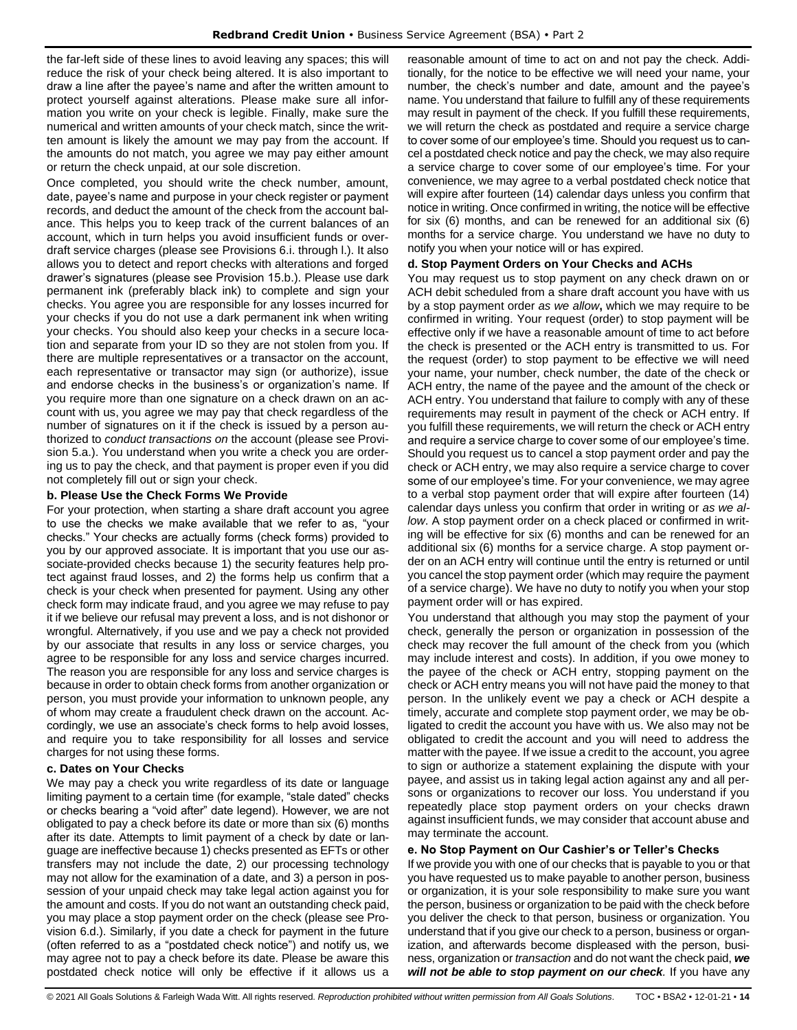the far-left side of these lines to avoid leaving any spaces; this will reduce the risk of your check being altered. It is also important to draw a line after the payee's name and after the written amount to protect yourself against alterations. Please make sure all information you write on your check is legible. Finally, make sure the numerical and written amounts of your check match, since the written amount is likely the amount we may pay from the account. If the amounts do not match, you agree we may pay either amount or return the check unpaid, at our sole discretion.

Once completed, you should write the check number, amount, date, payee's name and purpose in your check register or payment records, and deduct the amount of the check from the account balance. This helps you to keep track of the current balances of an account, which in turn helps you avoid insufficient funds or overdraft service charges (please see Provisions 6.i. through l.). It also allows you to detect and report checks with alterations and forged drawer's signatures (please see Provision 15.b.). Please use dark permanent ink (preferably black ink) to complete and sign your checks. You agree you are responsible for any losses incurred for your checks if you do not use a dark permanent ink when writing your checks. You should also keep your checks in a secure location and separate from your ID so they are not stolen from you. If there are multiple representatives or a transactor on the account, each representative or transactor may sign (or authorize), issue and endorse checks in the business's or organization's name. If you require more than one signature on a check drawn on an account with us, you agree we may pay that check regardless of the number of signatures on it if the check is issued by a person authorized to *conduct transactions on* the account (please see Provision 5.a.). You understand when you write a check you are ordering us to pay the check, and that payment is proper even if you did not completely fill out or sign your check.

### **b. Please Use the Check Forms We Provide**

For your protection, when starting a share draft account you agree to use the checks we make available that we refer to as, "your checks." Your checks are actually forms (check forms) provided to you by our approved associate. It is important that you use our associate-provided checks because 1) the security features help protect against fraud losses, and 2) the forms help us confirm that a check is your check when presented for payment. Using any other check form may indicate fraud, and you agree we may refuse to pay it if we believe our refusal may prevent a loss, and is not dishonor or wrongful. Alternatively, if you use and we pay a check not provided by our associate that results in any loss or service charges, you agree to be responsible for any loss and service charges incurred. The reason you are responsible for any loss and service charges is because in order to obtain check forms from another organization or person, you must provide your information to unknown people, any of whom may create a fraudulent check drawn on the account. Accordingly, we use an associate's check forms to help avoid losses, and require you to take responsibility for all losses and service charges for not using these forms.

### **c. Dates on Your Checks**

We may pay a check you write regardless of its date or language limiting payment to a certain time (for example, "stale dated" checks or checks bearing a "void after" date legend). However, we are not obligated to pay a check before its date or more than six (6) months after its date. Attempts to limit payment of a check by date or language are ineffective because 1) checks presented as EFTs or other transfers may not include the date, 2) our processing technology may not allow for the examination of a date, and 3) a person in possession of your unpaid check may take legal action against you for the amount and costs. If you do not want an outstanding check paid, you may place a stop payment order on the check (please see Provision 6.d.). Similarly, if you date a check for payment in the future (often referred to as a "postdated check notice") and notify us, we may agree not to pay a check before its date. Please be aware this postdated check notice will only be effective if it allows us a reasonable amount of time to act on and not pay the check. Additionally, for the notice to be effective we will need your name, your number, the check's number and date, amount and the payee's name. You understand that failure to fulfill any of these requirements may result in payment of the check. If you fulfill these requirements, we will return the check as postdated and require a service charge to cover some of our employee's time. Should you request us to cancel a postdated check notice and pay the check, we may also require a service charge to cover some of our employee's time. For your convenience, we may agree to a verbal postdated check notice that will expire after fourteen (14) calendar days unless you confirm that notice in writing. Once confirmed in writing, the notice will be effective for six (6) months, and can be renewed for an additional six (6) months for a service charge. You understand we have no duty to notify you when your notice will or has expired.

### **d. Stop Payment Orders on Your Checks and ACHs**

You may request us to stop payment on any check drawn on or ACH debit scheduled from a share draft account you have with us by a stop payment order *as we allow***,** which we may require to be confirmed in writing. Your request (order) to stop payment will be effective only if we have a reasonable amount of time to act before the check is presented or the ACH entry is transmitted to us. For the request (order) to stop payment to be effective we will need your name, your number, check number, the date of the check or ACH entry, the name of the payee and the amount of the check or ACH entry. You understand that failure to comply with any of these requirements may result in payment of the check or ACH entry. If you fulfill these requirements, we will return the check or ACH entry and require a service charge to cover some of our employee's time. Should you request us to cancel a stop payment order and pay the check or ACH entry, we may also require a service charge to cover some of our employee's time. For your convenience, we may agree to a verbal stop payment order that will expire after fourteen (14) calendar days unless you confirm that order in writing or *as we allow*. A stop payment order on a check placed or confirmed in writing will be effective for six (6) months and can be renewed for an additional six (6) months for a service charge. A stop payment order on an ACH entry will continue until the entry is returned or until you cancel the stop payment order (which may require the payment of a service charge). We have no duty to notify you when your stop payment order will or has expired.

You understand that although you may stop the payment of your check, generally the person or organization in possession of the check may recover the full amount of the check from you (which may include interest and costs). In addition, if you owe money to the payee of the check or ACH entry, stopping payment on the check or ACH entry means you will not have paid the money to that person. In the unlikely event we pay a check or ACH despite a timely, accurate and complete stop payment order, we may be obligated to credit the account you have with us. We also may not be obligated to credit the account and you will need to address the matter with the payee. If we issue a credit to the account, you agree to sign or authorize a statement explaining the dispute with your payee, and assist us in taking legal action against any and all persons or organizations to recover our loss. You understand if you repeatedly place stop payment orders on your checks drawn against insufficient funds, we may consider that account abuse and may terminate the account.

#### **e. No Stop Payment on Our Cashier's or Teller's Checks**

If we provide you with one of our checks that is payable to you or that you have requested us to make payable to another person, business or organization, it is your sole responsibility to make sure you want the person, business or organization to be paid with the check before you deliver the check to that person, business or organization. You understand that if you give our check to a person, business or organization, and afterwards become displeased with the person, business, organization or *transaction* and do not want the check paid, *we will not be able to stop payment on our check.* If you have any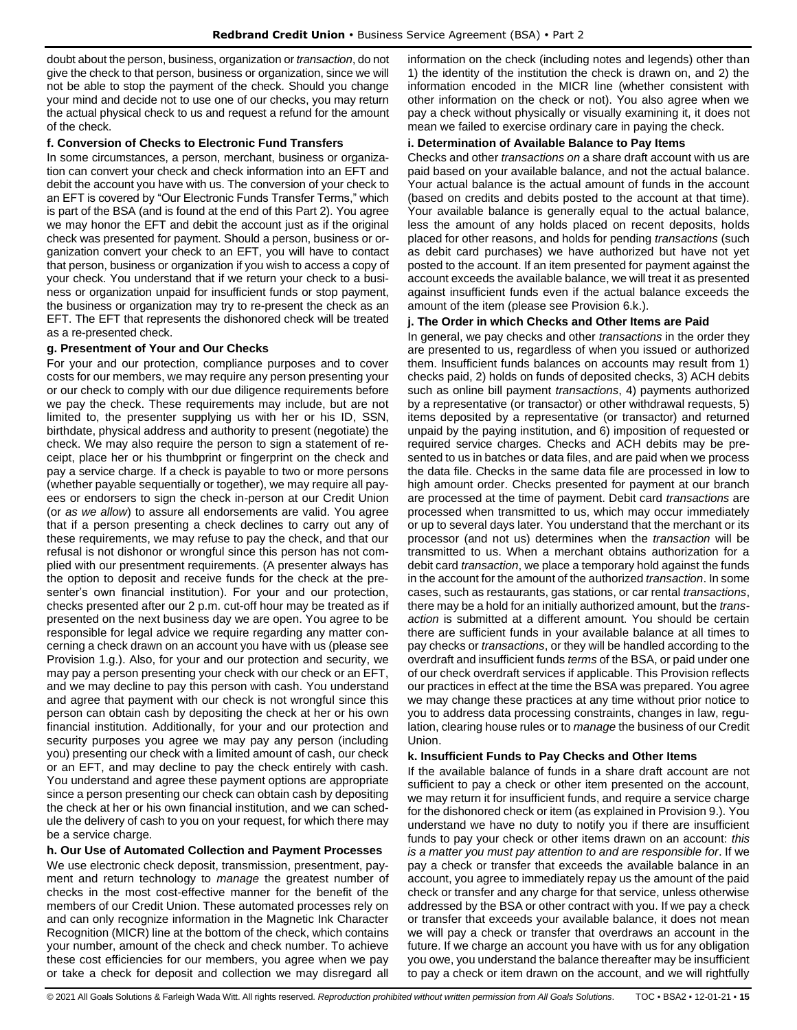doubt about the person, business, organization or *transaction*, do not give the check to that person, business or organization, since we will not be able to stop the payment of the check. Should you change your mind and decide not to use one of our checks, you may return the actual physical check to us and request a refund for the amount of the check.

### **f. Conversion of Checks to Electronic Fund Transfers**

In some circumstances, a person, merchant, business or organization can convert your check and check information into an EFT and debit the account you have with us. The conversion of your check to an EFT is covered by "Our Electronic Funds Transfer Terms," which is part of the BSA (and is found at the end of this Part 2). You agree we may honor the EFT and debit the account just as if the original check was presented for payment. Should a person, business or organization convert your check to an EFT, you will have to contact that person, business or organization if you wish to access a copy of your check. You understand that if we return your check to a business or organization unpaid for insufficient funds or stop payment, the business or organization may try to re-present the check as an EFT. The EFT that represents the dishonored check will be treated as a re-presented check.

### **g. Presentment of Your and Our Checks**

For your and our protection, compliance purposes and to cover costs for our members, we may require any person presenting your or our check to comply with our due diligence requirements before we pay the check. These requirements may include, but are not limited to, the presenter supplying us with her or his ID, SSN, birthdate, physical address and authority to present (negotiate) the check. We may also require the person to sign a statement of receipt, place her or his thumbprint or fingerprint on the check and pay a service charge. If a check is payable to two or more persons (whether payable sequentially or together), we may require all payees or endorsers to sign the check in-person at our Credit Union (or *as we allow*) to assure all endorsements are valid. You agree that if a person presenting a check declines to carry out any of these requirements, we may refuse to pay the check, and that our refusal is not dishonor or wrongful since this person has not complied with our presentment requirements. (A presenter always has the option to deposit and receive funds for the check at the presenter's own financial institution). For your and our protection, checks presented after our 2 p.m. cut-off hour may be treated as if presented on the next business day we are open. You agree to be responsible for legal advice we require regarding any matter concerning a check drawn on an account you have with us (please see Provision 1.g.). Also, for your and our protection and security, we may pay a person presenting your check with our check or an EFT, and we may decline to pay this person with cash. You understand and agree that payment with our check is not wrongful since this person can obtain cash by depositing the check at her or his own financial institution. Additionally, for your and our protection and security purposes you agree we may pay any person (including you) presenting our check with a limited amount of cash, our check or an EFT, and may decline to pay the check entirely with cash. You understand and agree these payment options are appropriate since a person presenting our check can obtain cash by depositing the check at her or his own financial institution, and we can schedule the delivery of cash to you on your request, for which there may be a service charge.

### **h. Our Use of Automated Collection and Payment Processes**

We use electronic check deposit, transmission, presentment, payment and return technology to *manage* the greatest number of checks in the most cost-effective manner for the benefit of the members of our Credit Union. These automated processes rely on and can only recognize information in the Magnetic Ink Character Recognition (MICR) line at the bottom of the check, which contains your number, amount of the check and check number. To achieve these cost efficiencies for our members, you agree when we pay or take a check for deposit and collection we may disregard all information on the check (including notes and legends) other than 1) the identity of the institution the check is drawn on, and 2) the information encoded in the MICR line (whether consistent with other information on the check or not). You also agree when we pay a check without physically or visually examining it, it does not mean we failed to exercise ordinary care in paying the check.

### **i. Determination of Available Balance to Pay Items**

Checks and other *transactions on* a share draft account with us are paid based on your available balance, and not the actual balance. Your actual balance is the actual amount of funds in the account (based on credits and debits posted to the account at that time). Your available balance is generally equal to the actual balance, less the amount of any holds placed on recent deposits, holds placed for other reasons, and holds for pending *transactions* (such as debit card purchases) we have authorized but have not yet posted to the account. If an item presented for payment against the account exceeds the available balance, we will treat it as presented against insufficient funds even if the actual balance exceeds the amount of the item (please see Provision 6.k.).

### **j. The Order in which Checks and Other Items are Paid**

In general, we pay checks and other *transactions* in the order they are presented to us, regardless of when you issued or authorized them. Insufficient funds balances on accounts may result from 1) checks paid, 2) holds on funds of deposited checks, 3) ACH debits such as online bill payment *transactions*, 4) payments authorized by a representative (or transactor) or other withdrawal requests, 5) items deposited by a representative (or transactor) and returned unpaid by the paying institution, and 6) imposition of requested or required service charges. Checks and ACH debits may be presented to us in batches or data files, and are paid when we process the data file. Checks in the same data file are processed in low to high amount order. Checks presented for payment at our branch are processed at the time of payment. Debit card *transactions* are processed when transmitted to us, which may occur immediately or up to several days later. You understand that the merchant or its processor (and not us) determines when the *transaction* will be transmitted to us. When a merchant obtains authorization for a debit card *transaction*, we place a temporary hold against the funds in the account for the amount of the authorized *transaction*. In some cases, such as restaurants, gas stations, or car rental *transactions*, there may be a hold for an initially authorized amount, but the *transaction* is submitted at a different amount. You should be certain there are sufficient funds in your available balance at all times to pay checks or *transactions*, or they will be handled according to the overdraft and insufficient funds *terms* of the BSA, or paid under one of our check overdraft services if applicable. This Provision reflects our practices in effect at the time the BSA was prepared. You agree we may change these practices at any time without prior notice to you to address data processing constraints, changes in law, regulation, clearing house rules or to *manage* the business of our Credit Union.

### **k. Insufficient Funds to Pay Checks and Other Items**

If the available balance of funds in a share draft account are not sufficient to pay a check or other item presented on the account, we may return it for insufficient funds, and require a service charge for the dishonored check or item (as explained in Provision 9.). You understand we have no duty to notify you if there are insufficient funds to pay your check or other items drawn on an account: *this is a matter you must pay attention to and are responsible for*. If we pay a check or transfer that exceeds the available balance in an account, you agree to immediately repay us the amount of the paid check or transfer and any charge for that service, unless otherwise addressed by the BSA or other contract with you. If we pay a check or transfer that exceeds your available balance, it does not mean we will pay a check or transfer that overdraws an account in the future. If we charge an account you have with us for any obligation you owe, you understand the balance thereafter may be insufficient to pay a check or item drawn on the account, and we will rightfully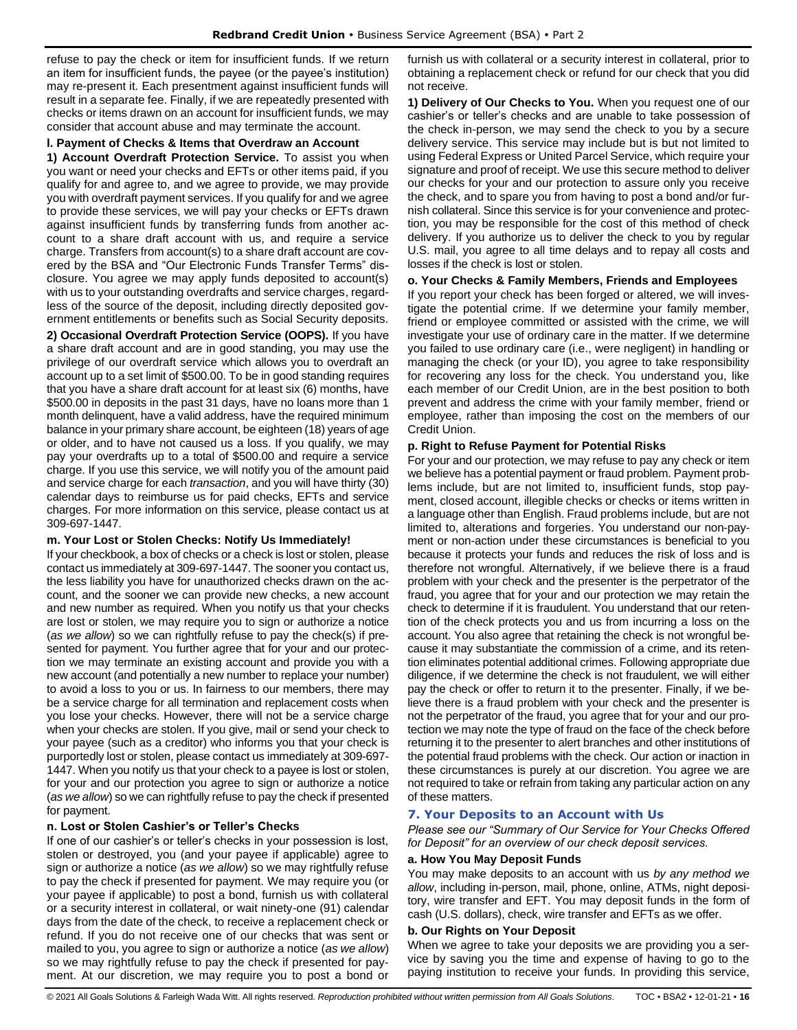refuse to pay the check or item for insufficient funds. If we return an item for insufficient funds, the payee (or the payee's institution) may re-present it. Each presentment against insufficient funds will result in a separate fee. Finally, if we are repeatedly presented with checks or items drawn on an account for insufficient funds, we may consider that account abuse and may terminate the account.

### **l. Payment of Checks & Items that Overdraw an Account**

**1) Account Overdraft Protection Service.** To assist you when you want or need your checks and EFTs or other items paid, if you qualify for and agree to, and we agree to provide, we may provide you with overdraft payment services. If you qualify for and we agree to provide these services, we will pay your checks or EFTs drawn against insufficient funds by transferring funds from another account to a share draft account with us, and require a service charge. Transfers from account(s) to a share draft account are covered by the BSA and "Our Electronic Funds Transfer Terms" disclosure. You agree we may apply funds deposited to account(s) with us to your outstanding overdrafts and service charges, regardless of the source of the deposit, including directly deposited government entitlements or benefits such as Social Security deposits.

**2) Occasional Overdraft Protection Service (OOPS).** If you have a share draft account and are in good standing, you may use the privilege of our overdraft service which allows you to overdraft an account up to a set limit of \$500.00. To be in good standing requires that you have a share draft account for at least six (6) months, have \$500.00 in deposits in the past 31 days, have no loans more than 1 month delinquent, have a valid address, have the required minimum balance in your primary share account, be eighteen (18) years of age or older, and to have not caused us a loss. If you qualify, we may pay your overdrafts up to a total of \$500.00 and require a service charge. If you use this service, we will notify you of the amount paid and service charge for each *transaction*, and you will have thirty (30) calendar days to reimburse us for paid checks, EFTs and service charges. For more information on this service, please contact us at 309-697-1447.

### **m. Your Lost or Stolen Checks: Notify Us Immediately!**

If your checkbook, a box of checks or a check is lost or stolen, please contact us immediately at 309-697-1447. The sooner you contact us, the less liability you have for unauthorized checks drawn on the account, and the sooner we can provide new checks, a new account and new number as required. When you notify us that your checks are lost or stolen, we may require you to sign or authorize a notice (*as we allow*) so we can rightfully refuse to pay the check(s) if presented for payment. You further agree that for your and our protection we may terminate an existing account and provide you with a new account (and potentially a new number to replace your number) to avoid a loss to you or us. In fairness to our members, there may be a service charge for all termination and replacement costs when you lose your checks. However, there will not be a service charge when your checks are stolen. If you give, mail or send your check to your payee (such as a creditor) who informs you that your check is purportedly lost or stolen, please contact us immediately at 309-697- 1447. When you notify us that your check to a payee is lost or stolen, for your and our protection you agree to sign or authorize a notice (*as we allow*) so we can rightfully refuse to pay the check if presented for payment.

### **n. Lost or Stolen Cashier's or Teller's Checks**

If one of our cashier's or teller's checks in your possession is lost, stolen or destroyed, you (and your payee if applicable) agree to sign or authorize a notice (*as we allow*) so we may rightfully refuse to pay the check if presented for payment. We may require you (or your payee if applicable) to post a bond, furnish us with collateral or a security interest in collateral, or wait ninety-one (91) calendar days from the date of the check, to receive a replacement check or refund. If you do not receive one of our checks that was sent or mailed to you, you agree to sign or authorize a notice (*as we allow*) so we may rightfully refuse to pay the check if presented for payment. At our discretion, we may require you to post a bond or

furnish us with collateral or a security interest in collateral, prior to obtaining a replacement check or refund for our check that you did not receive.

**1) Delivery of Our Checks to You.** When you request one of our cashier's or teller's checks and are unable to take possession of the check in-person, we may send the check to you by a secure delivery service. This service may include but is but not limited to using Federal Express or United Parcel Service, which require your signature and proof of receipt. We use this secure method to deliver our checks for your and our protection to assure only you receive the check, and to spare you from having to post a bond and/or furnish collateral. Since this service is for your convenience and protection, you may be responsible for the cost of this method of check delivery. If you authorize us to deliver the check to you by regular U.S. mail, you agree to all time delays and to repay all costs and losses if the check is lost or stolen.

### **o. Your Checks & Family Members, Friends and Employees**

If you report your check has been forged or altered, we will investigate the potential crime. If we determine your family member, friend or employee committed or assisted with the crime, we will investigate your use of ordinary care in the matter. If we determine you failed to use ordinary care (i.e., were negligent) in handling or managing the check (or your ID), you agree to take responsibility for recovering any loss for the check. You understand you, like each member of our Credit Union, are in the best position to both prevent and address the crime with your family member, friend or employee, rather than imposing the cost on the members of our Credit Union.

### **p. Right to Refuse Payment for Potential Risks**

For your and our protection, we may refuse to pay any check or item we believe has a potential payment or fraud problem. Payment problems include, but are not limited to, insufficient funds, stop payment, closed account, illegible checks or checks or items written in a language other than English. Fraud problems include, but are not limited to, alterations and forgeries. You understand our non-payment or non-action under these circumstances is beneficial to you because it protects your funds and reduces the risk of loss and is therefore not wrongful. Alternatively, if we believe there is a fraud problem with your check and the presenter is the perpetrator of the fraud, you agree that for your and our protection we may retain the check to determine if it is fraudulent. You understand that our retention of the check protects you and us from incurring a loss on the account. You also agree that retaining the check is not wrongful because it may substantiate the commission of a crime, and its retention eliminates potential additional crimes. Following appropriate due diligence, if we determine the check is not fraudulent, we will either pay the check or offer to return it to the presenter. Finally, if we believe there is a fraud problem with your check and the presenter is not the perpetrator of the fraud, you agree that for your and our protection we may note the type of fraud on the face of the check before returning it to the presenter to alert branches and other institutions of the potential fraud problems with the check. Our action or inaction in these circumstances is purely at our discretion. You agree we are not required to take or refrain from taking any particular action on any of these matters.

### <span id="page-15-0"></span>**7. Your Deposits to an Account with Us**

*Please see our "Summary of Our Service for Your Checks Offered for Deposit" for an overview of our check deposit services.*

### **a. How You May Deposit Funds**

You may make deposits to an account with us *by any method we allow*, including in-person, mail, phone, online, ATMs, night depository, wire transfer and EFT. You may deposit funds in the form of cash (U.S. dollars), check, wire transfer and EFTs as we offer.

### **b. Our Rights on Your Deposit**

When we agree to take your deposits we are providing you a service by saving you the time and expense of having to go to the paying institution to receive your funds. In providing this service,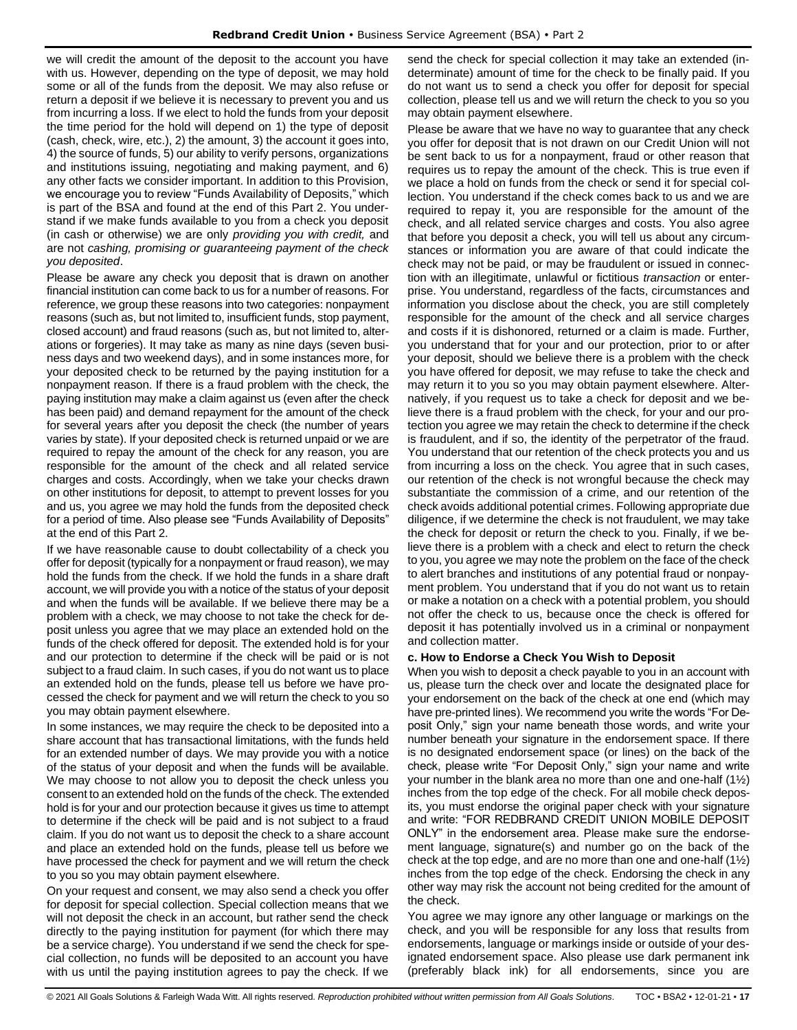we will credit the amount of the deposit to the account you have with us. However, depending on the type of deposit, we may hold some or all of the funds from the deposit. We may also refuse or return a deposit if we believe it is necessary to prevent you and us from incurring a loss. If we elect to hold the funds from your deposit the time period for the hold will depend on 1) the type of deposit (cash, check, wire, etc.), 2) the amount, 3) the account it goes into, 4) the source of funds, 5) our ability to verify persons, organizations and institutions issuing, negotiating and making payment, and 6) any other facts we consider important. In addition to this Provision, we encourage you to review "Funds Availability of Deposits," which is part of the BSA and found at the end of this Part 2. You understand if we make funds available to you from a check you deposit (in cash or otherwise) we are only *providing you with credit,* and are not *cashing, promising or guaranteeing payment of the check you deposited*.

Please be aware any check you deposit that is drawn on another financial institution can come back to us for a number of reasons. For reference, we group these reasons into two categories: nonpayment reasons (such as, but not limited to, insufficient funds, stop payment, closed account) and fraud reasons (such as, but not limited to, alterations or forgeries). It may take as many as nine days (seven business days and two weekend days), and in some instances more, for your deposited check to be returned by the paying institution for a nonpayment reason. If there is a fraud problem with the check, the paying institution may make a claim against us (even after the check has been paid) and demand repayment for the amount of the check for several years after you deposit the check (the number of years varies by state). If your deposited check is returned unpaid or we are required to repay the amount of the check for any reason, you are responsible for the amount of the check and all related service charges and costs. Accordingly, when we take your checks drawn on other institutions for deposit, to attempt to prevent losses for you and us, you agree we may hold the funds from the deposited check for a period of time. Also please see "Funds Availability of Deposits" at the end of this Part 2.

If we have reasonable cause to doubt collectability of a check you offer for deposit (typically for a nonpayment or fraud reason), we may hold the funds from the check. If we hold the funds in a share draft account, we will provide you with a notice of the status of your deposit and when the funds will be available. If we believe there may be a problem with a check, we may choose to not take the check for deposit unless you agree that we may place an extended hold on the funds of the check offered for deposit. The extended hold is for your and our protection to determine if the check will be paid or is not subject to a fraud claim. In such cases, if you do not want us to place an extended hold on the funds, please tell us before we have processed the check for payment and we will return the check to you so you may obtain payment elsewhere.

In some instances, we may require the check to be deposited into a share account that has transactional limitations, with the funds held for an extended number of days. We may provide you with a notice of the status of your deposit and when the funds will be available. We may choose to not allow you to deposit the check unless you consent to an extended hold on the funds of the check. The extended hold is for your and our protection because it gives us time to attempt to determine if the check will be paid and is not subject to a fraud claim. If you do not want us to deposit the check to a share account and place an extended hold on the funds, please tell us before we have processed the check for payment and we will return the check to you so you may obtain payment elsewhere.

On your request and consent, we may also send a check you offer for deposit for special collection. Special collection means that we will not deposit the check in an account, but rather send the check directly to the paying institution for payment (for which there may be a service charge). You understand if we send the check for special collection, no funds will be deposited to an account you have with us until the paying institution agrees to pay the check. If we

send the check for special collection it may take an extended (indeterminate) amount of time for the check to be finally paid. If you do not want us to send a check you offer for deposit for special collection, please tell us and we will return the check to you so you may obtain payment elsewhere.

Please be aware that we have no way to guarantee that any check you offer for deposit that is not drawn on our Credit Union will not be sent back to us for a nonpayment, fraud or other reason that requires us to repay the amount of the check. This is true even if we place a hold on funds from the check or send it for special collection. You understand if the check comes back to us and we are required to repay it, you are responsible for the amount of the check, and all related service charges and costs. You also agree that before you deposit a check, you will tell us about any circumstances or information you are aware of that could indicate the check may not be paid, or may be fraudulent or issued in connection with an illegitimate, unlawful or fictitious *transaction* or enterprise. You understand, regardless of the facts, circumstances and information you disclose about the check, you are still completely responsible for the amount of the check and all service charges and costs if it is dishonored, returned or a claim is made. Further, you understand that for your and our protection, prior to or after your deposit, should we believe there is a problem with the check you have offered for deposit, we may refuse to take the check and may return it to you so you may obtain payment elsewhere. Alternatively, if you request us to take a check for deposit and we believe there is a fraud problem with the check, for your and our protection you agree we may retain the check to determine if the check is fraudulent, and if so, the identity of the perpetrator of the fraud. You understand that our retention of the check protects you and us from incurring a loss on the check. You agree that in such cases, our retention of the check is not wrongful because the check may substantiate the commission of a crime, and our retention of the check avoids additional potential crimes. Following appropriate due diligence, if we determine the check is not fraudulent, we may take the check for deposit or return the check to you. Finally, if we believe there is a problem with a check and elect to return the check to you, you agree we may note the problem on the face of the check to alert branches and institutions of any potential fraud or nonpayment problem. You understand that if you do not want us to retain or make a notation on a check with a potential problem, you should not offer the check to us, because once the check is offered for deposit it has potentially involved us in a criminal or nonpayment and collection matter.

#### **c. How to Endorse a Check You Wish to Deposit**

When you wish to deposit a check payable to you in an account with us, please turn the check over and locate the designated place for your endorsement on the back of the check at one end (which may have pre-printed lines). We recommend you write the words "For Deposit Only," sign your name beneath those words, and write your number beneath your signature in the endorsement space. If there is no designated endorsement space (or lines) on the back of the check, please write "For Deposit Only," sign your name and write your number in the blank area no more than one and one-half (1½) inches from the top edge of the check. For all mobile check deposits, you must endorse the original paper check with your signature and write: "FOR REDBRAND CREDIT UNION MOBILE DEPOSIT ONLY" in the endorsement area. Please make sure the endorsement language, signature(s) and number go on the back of the check at the top edge, and are no more than one and one-half  $(1\frac{1}{2})$ inches from the top edge of the check. Endorsing the check in any other way may risk the account not being credited for the amount of the check.

You agree we may ignore any other language or markings on the check, and you will be responsible for any loss that results from endorsements, language or markings inside or outside of your designated endorsement space. Also please use dark permanent ink (preferably black ink) for all endorsements, since you are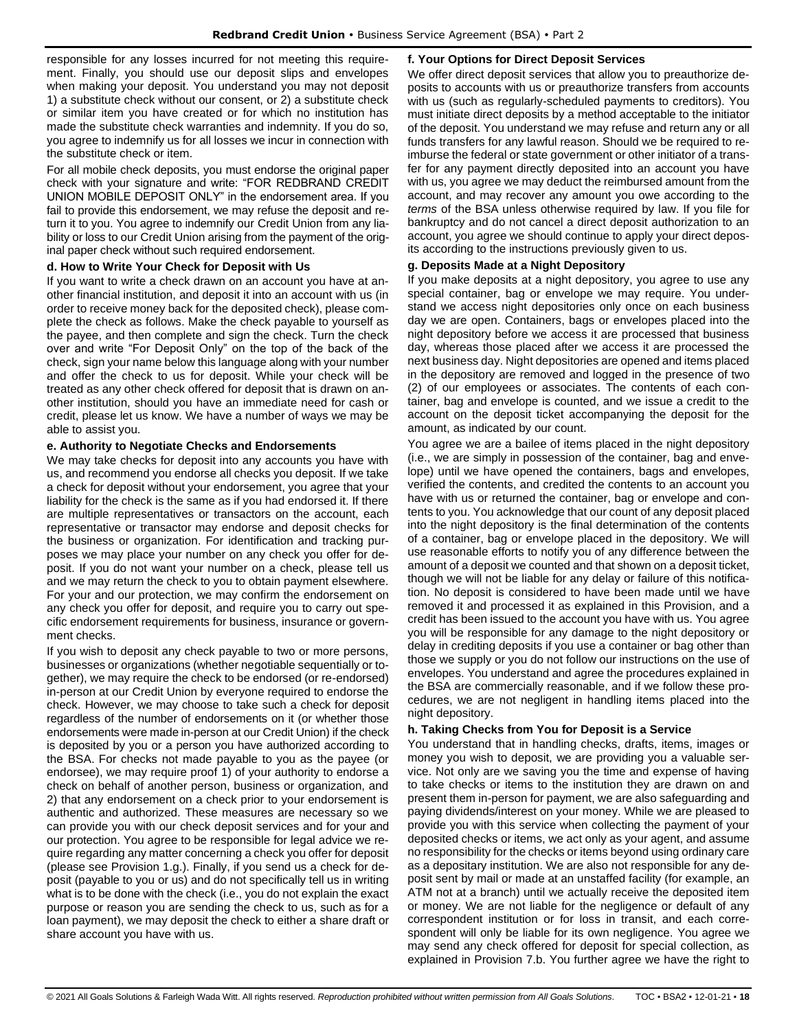responsible for any losses incurred for not meeting this requirement. Finally, you should use our deposit slips and envelopes when making your deposit. You understand you may not deposit 1) a substitute check without our consent, or 2) a substitute check or similar item you have created or for which no institution has made the substitute check warranties and indemnity. If you do so, you agree to indemnify us for all losses we incur in connection with the substitute check or item.

For all mobile check deposits, you must endorse the original paper check with your signature and write: "FOR REDBRAND CREDIT UNION MOBILE DEPOSIT ONLY" in the endorsement area. If you fail to provide this endorsement, we may refuse the deposit and return it to you. You agree to indemnify our Credit Union from any liability or loss to our Credit Union arising from the payment of the original paper check without such required endorsement.

### **d. How to Write Your Check for Deposit with Us**

If you want to write a check drawn on an account you have at another financial institution, and deposit it into an account with us (in order to receive money back for the deposited check), please complete the check as follows. Make the check payable to yourself as the payee, and then complete and sign the check. Turn the check over and write "For Deposit Only" on the top of the back of the check, sign your name below this language along with your number and offer the check to us for deposit. While your check will be treated as any other check offered for deposit that is drawn on another institution, should you have an immediate need for cash or credit, please let us know. We have a number of ways we may be able to assist you.

### **e. Authority to Negotiate Checks and Endorsements**

We may take checks for deposit into any accounts you have with us, and recommend you endorse all checks you deposit. If we take a check for deposit without your endorsement, you agree that your liability for the check is the same as if you had endorsed it. If there are multiple representatives or transactors on the account, each representative or transactor may endorse and deposit checks for the business or organization. For identification and tracking purposes we may place your number on any check you offer for deposit. If you do not want your number on a check, please tell us and we may return the check to you to obtain payment elsewhere. For your and our protection, we may confirm the endorsement on any check you offer for deposit, and require you to carry out specific endorsement requirements for business, insurance or government checks.

If you wish to deposit any check payable to two or more persons, businesses or organizations (whether negotiable sequentially or together), we may require the check to be endorsed (or re-endorsed) in-person at our Credit Union by everyone required to endorse the check. However, we may choose to take such a check for deposit regardless of the number of endorsements on it (or whether those endorsements were made in-person at our Credit Union) if the check is deposited by you or a person you have authorized according to the BSA. For checks not made payable to you as the payee (or endorsee), we may require proof 1) of your authority to endorse a check on behalf of another person, business or organization, and 2) that any endorsement on a check prior to your endorsement is authentic and authorized. These measures are necessary so we can provide you with our check deposit services and for your and our protection. You agree to be responsible for legal advice we require regarding any matter concerning a check you offer for deposit (please see Provision 1.g.). Finally, if you send us a check for deposit (payable to you or us) and do not specifically tell us in writing what is to be done with the check (i.e., you do not explain the exact purpose or reason you are sending the check to us, such as for a loan payment), we may deposit the check to either a share draft or share account you have with us.

### **f. Your Options for Direct Deposit Services**

We offer direct deposit services that allow you to preauthorize deposits to accounts with us or preauthorize transfers from accounts with us (such as regularly-scheduled payments to creditors). You must initiate direct deposits by a method acceptable to the initiator of the deposit. You understand we may refuse and return any or all funds transfers for any lawful reason. Should we be required to reimburse the federal or state government or other initiator of a transfer for any payment directly deposited into an account you have with us, you agree we may deduct the reimbursed amount from the account, and may recover any amount you owe according to the *terms* of the BSA unless otherwise required by law. If you file for bankruptcy and do not cancel a direct deposit authorization to an account, you agree we should continue to apply your direct deposits according to the instructions previously given to us.

### **g. Deposits Made at a Night Depository**

If you make deposits at a night depository, you agree to use any special container, bag or envelope we may require. You understand we access night depositories only once on each business day we are open. Containers, bags or envelopes placed into the night depository before we access it are processed that business day, whereas those placed after we access it are processed the next business day. Night depositories are opened and items placed in the depository are removed and logged in the presence of two (2) of our employees or associates. The contents of each container, bag and envelope is counted, and we issue a credit to the account on the deposit ticket accompanying the deposit for the amount, as indicated by our count.

You agree we are a bailee of items placed in the night depository (i.e., we are simply in possession of the container, bag and envelope) until we have opened the containers, bags and envelopes, verified the contents, and credited the contents to an account you have with us or returned the container, bag or envelope and contents to you. You acknowledge that our count of any deposit placed into the night depository is the final determination of the contents of a container, bag or envelope placed in the depository. We will use reasonable efforts to notify you of any difference between the amount of a deposit we counted and that shown on a deposit ticket, though we will not be liable for any delay or failure of this notification. No deposit is considered to have been made until we have removed it and processed it as explained in this Provision, and a credit has been issued to the account you have with us. You agree you will be responsible for any damage to the night depository or delay in crediting deposits if you use a container or bag other than those we supply or you do not follow our instructions on the use of envelopes. You understand and agree the procedures explained in the BSA are commercially reasonable, and if we follow these procedures, we are not negligent in handling items placed into the night depository.

#### **h. Taking Checks from You for Deposit is a Service**

You understand that in handling checks, drafts, items, images or money you wish to deposit, we are providing you a valuable service. Not only are we saving you the time and expense of having to take checks or items to the institution they are drawn on and present them in-person for payment, we are also safeguarding and paying dividends/interest on your money. While we are pleased to provide you with this service when collecting the payment of your deposited checks or items, we act only as your agent, and assume no responsibility for the checks or items beyond using ordinary care as a depositary institution. We are also not responsible for any deposit sent by mail or made at an unstaffed facility (for example, an ATM not at a branch) until we actually receive the deposited item or money. We are not liable for the negligence or default of any correspondent institution or for loss in transit, and each correspondent will only be liable for its own negligence. You agree we may send any check offered for deposit for special collection, as explained in Provision 7.b. You further agree we have the right to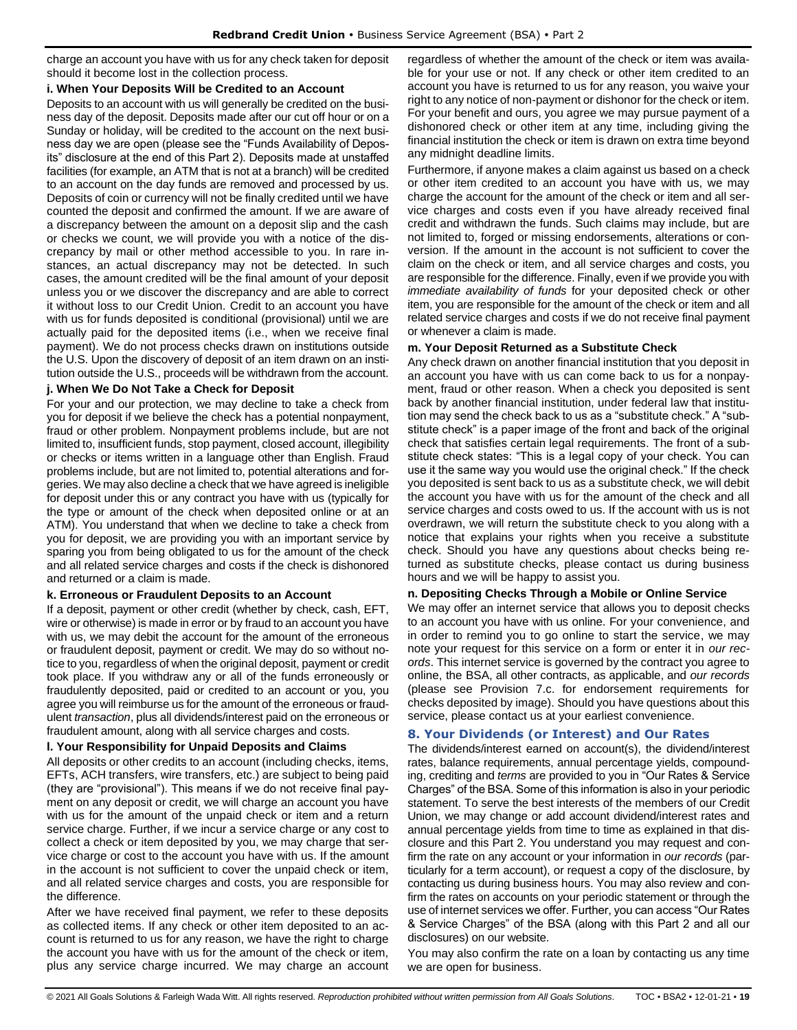charge an account you have with us for any check taken for deposit should it become lost in the collection process.

#### **i. When Your Deposits Will be Credited to an Account**

Deposits to an account with us will generally be credited on the business day of the deposit. Deposits made after our cut off hour or on a Sunday or holiday, will be credited to the account on the next business day we are open (please see the "Funds Availability of Deposits" disclosure at the end of this Part 2). Deposits made at unstaffed facilities (for example, an ATM that is not at a branch) will be credited to an account on the day funds are removed and processed by us. Deposits of coin or currency will not be finally credited until we have counted the deposit and confirmed the amount. If we are aware of a discrepancy between the amount on a deposit slip and the cash or checks we count, we will provide you with a notice of the discrepancy by mail or other method accessible to you. In rare instances, an actual discrepancy may not be detected. In such cases, the amount credited will be the final amount of your deposit unless you or we discover the discrepancy and are able to correct it without loss to our Credit Union. Credit to an account you have with us for funds deposited is conditional (provisional) until we are actually paid for the deposited items (i.e., when we receive final payment). We do not process checks drawn on institutions outside the U.S. Upon the discovery of deposit of an item drawn on an institution outside the U.S., proceeds will be withdrawn from the account.

### **j. When We Do Not Take a Check for Deposit**

For your and our protection, we may decline to take a check from you for deposit if we believe the check has a potential nonpayment, fraud or other problem. Nonpayment problems include, but are not limited to, insufficient funds, stop payment, closed account, illegibility or checks or items written in a language other than English. Fraud problems include, but are not limited to, potential alterations and forgeries. We may also decline a check that we have agreed is ineligible for deposit under this or any contract you have with us (typically for the type or amount of the check when deposited online or at an ATM). You understand that when we decline to take a check from you for deposit, we are providing you with an important service by sparing you from being obligated to us for the amount of the check and all related service charges and costs if the check is dishonored and returned or a claim is made.

### **k. Erroneous or Fraudulent Deposits to an Account**

If a deposit, payment or other credit (whether by check, cash, EFT, wire or otherwise) is made in error or by fraud to an account you have with us, we may debit the account for the amount of the erroneous or fraudulent deposit, payment or credit. We may do so without notice to you, regardless of when the original deposit, payment or credit took place. If you withdraw any or all of the funds erroneously or fraudulently deposited, paid or credited to an account or you, you agree you will reimburse us for the amount of the erroneous or fraudulent *transaction*, plus all dividends/interest paid on the erroneous or fraudulent amount, along with all service charges and costs.

### **l. Your Responsibility for Unpaid Deposits and Claims**

All deposits or other credits to an account (including checks, items, EFTs, ACH transfers, wire transfers, etc.) are subject to being paid (they are "provisional"). This means if we do not receive final payment on any deposit or credit, we will charge an account you have with us for the amount of the unpaid check or item and a return service charge. Further, if we incur a service charge or any cost to collect a check or item deposited by you, we may charge that service charge or cost to the account you have with us. If the amount in the account is not sufficient to cover the unpaid check or item, and all related service charges and costs, you are responsible for the difference.

After we have received final payment, we refer to these deposits as collected items. If any check or other item deposited to an account is returned to us for any reason, we have the right to charge the account you have with us for the amount of the check or item, plus any service charge incurred. We may charge an account regardless of whether the amount of the check or item was available for your use or not. If any check or other item credited to an account you have is returned to us for any reason, you waive your right to any notice of non-payment or dishonor for the check or item. For your benefit and ours, you agree we may pursue payment of a dishonored check or other item at any time, including giving the financial institution the check or item is drawn on extra time beyond any midnight deadline limits.

Furthermore, if anyone makes a claim against us based on a check or other item credited to an account you have with us, we may charge the account for the amount of the check or item and all service charges and costs even if you have already received final credit and withdrawn the funds. Such claims may include, but are not limited to, forged or missing endorsements, alterations or conversion. If the amount in the account is not sufficient to cover the claim on the check or item, and all service charges and costs, you are responsible for the difference. Finally, even if we provide you with *immediate availability of funds* for your deposited check or other item, you are responsible for the amount of the check or item and all related service charges and costs if we do not receive final payment or whenever a claim is made.

### **m. Your Deposit Returned as a Substitute Check**

Any check drawn on another financial institution that you deposit in an account you have with us can come back to us for a nonpayment, fraud or other reason. When a check you deposited is sent back by another financial institution, under federal law that institution may send the check back to us as a "substitute check." A "substitute check" is a paper image of the front and back of the original check that satisfies certain legal requirements. The front of a substitute check states: "This is a legal copy of your check. You can use it the same way you would use the original check." If the check you deposited is sent back to us as a substitute check, we will debit the account you have with us for the amount of the check and all service charges and costs owed to us. If the account with us is not overdrawn, we will return the substitute check to you along with a notice that explains your rights when you receive a substitute check. Should you have any questions about checks being returned as substitute checks, please contact us during business hours and we will be happy to assist you.

### **n. Depositing Checks Through a Mobile or Online Service**

We may offer an internet service that allows you to deposit checks to an account you have with us online. For your convenience, and in order to remind you to go online to start the service, we may note your request for this service on a form or enter it in *our records*. This internet service is governed by the contract you agree to online, the BSA, all other contracts, as applicable, and *our records* (please see Provision 7.c. for endorsement requirements for checks deposited by image). Should you have questions about this service, please contact us at your earliest convenience.

### <span id="page-18-0"></span>**8. Your Dividends (or Interest) and Our Rates**

The dividends/interest earned on account(s), the dividend/interest rates, balance requirements, annual percentage yields, compounding, crediting and *terms* are provided to you in "Our Rates & Service Charges" of the BSA. Some of this information is also in your periodic statement. To serve the best interests of the members of our Credit Union, we may change or add account dividend/interest rates and annual percentage yields from time to time as explained in that disclosure and this Part 2. You understand you may request and confirm the rate on any account or your information in *our records* (particularly for a term account), or request a copy of the disclosure, by contacting us during business hours. You may also review and confirm the rates on accounts on your periodic statement or through the use of internet services we offer. Further, you can access "Our Rates & Service Charges" of the BSA (along with this Part 2 and all our disclosures) on our website.

You may also confirm the rate on a loan by contacting us any time we are open for business.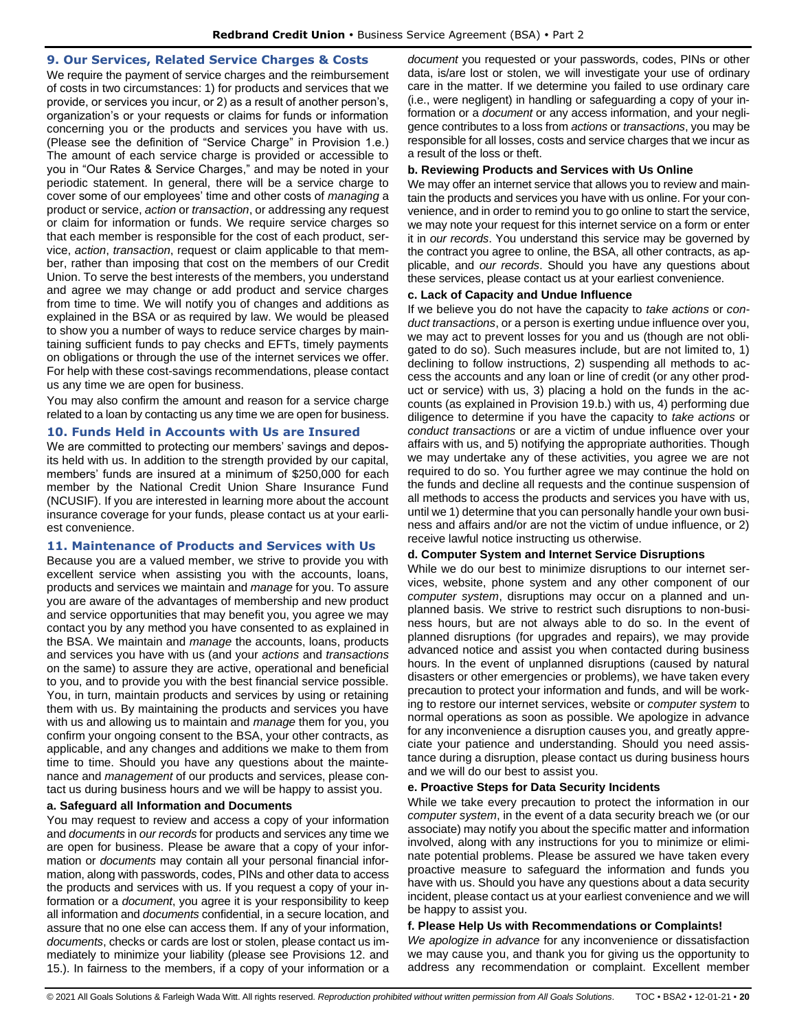### <span id="page-19-0"></span>**9. Our Services, Related Service Charges & Costs**

We require the payment of service charges and the reimbursement of costs in two circumstances: 1) for products and services that we provide, or services you incur, or 2) as a result of another person's, organization's or your requests or claims for funds or information concerning you or the products and services you have with us. (Please see the definition of "Service Charge" in Provision 1.e.) The amount of each service charge is provided or accessible to you in "Our Rates & Service Charges," and may be noted in your periodic statement. In general, there will be a service charge to cover some of our employees' time and other costs of *managing* a product or service, *action* or *transaction*, or addressing any request or claim for information or funds. We require service charges so that each member is responsible for the cost of each product, service, *action*, *transaction*, request or claim applicable to that member, rather than imposing that cost on the members of our Credit Union. To serve the best interests of the members, you understand and agree we may change or add product and service charges from time to time. We will notify you of changes and additions as explained in the BSA or as required by law. We would be pleased to show you a number of ways to reduce service charges by maintaining sufficient funds to pay checks and EFTs, timely payments on obligations or through the use of the internet services we offer. For help with these cost-savings recommendations, please contact us any time we are open for business.

You may also confirm the amount and reason for a service charge related to a loan by contacting us any time we are open for business.

### <span id="page-19-1"></span>**10. Funds Held in Accounts with Us are Insured**

We are committed to protecting our members' savings and deposits held with us. In addition to the strength provided by our capital, members' funds are insured at a minimum of \$250,000 for each member by the National Credit Union Share Insurance Fund (NCUSIF). If you are interested in learning more about the account insurance coverage for your funds, please contact us at your earliest convenience.

#### <span id="page-19-2"></span>**11. Maintenance of Products and Services with Us**

Because you are a valued member, we strive to provide you with excellent service when assisting you with the accounts, loans, products and services we maintain and *manage* for you. To assure you are aware of the advantages of membership and new product and service opportunities that may benefit you, you agree we may contact you by any method you have consented to as explained in the BSA. We maintain and *manage* the accounts, loans, products and services you have with us (and your *actions* and *transactions* on the same) to assure they are active, operational and beneficial to you, and to provide you with the best financial service possible. You, in turn, maintain products and services by using or retaining them with us. By maintaining the products and services you have with us and allowing us to maintain and *manage* them for you, you confirm your ongoing consent to the BSA, your other contracts, as applicable, and any changes and additions we make to them from time to time. Should you have any questions about the maintenance and *management* of our products and services, please contact us during business hours and we will be happy to assist you.

#### **a. Safeguard all Information and Documents**

You may request to review and access a copy of your information and *documents* in *our records* for products and services any time we are open for business. Please be aware that a copy of your information or *documents* may contain all your personal financial information, along with passwords, codes, PINs and other data to access the products and services with us. If you request a copy of your information or a *document*, you agree it is your responsibility to keep all information and *documents* confidential, in a secure location, and assure that no one else can access them. If any of your information, *documents*, checks or cards are lost or stolen, please contact us immediately to minimize your liability (please see Provisions 12. and 15.). In fairness to the members, if a copy of your information or a

*document* you requested or your passwords, codes, PINs or other data, is/are lost or stolen, we will investigate your use of ordinary care in the matter. If we determine you failed to use ordinary care (i.e., were negligent) in handling or safeguarding a copy of your information or a *document* or any access information, and your negligence contributes to a loss from *actions* or *transactions*, you may be responsible for all losses, costs and service charges that we incur as a result of the loss or theft.

#### **b. Reviewing Products and Services with Us Online**

We may offer an internet service that allows you to review and maintain the products and services you have with us online. For your convenience, and in order to remind you to go online to start the service, we may note your request for this internet service on a form or enter it in *our records*. You understand this service may be governed by the contract you agree to online, the BSA, all other contracts, as applicable, and *our records*. Should you have any questions about these services, please contact us at your earliest convenience.

#### **c. Lack of Capacity and Undue Influence**

If we believe you do not have the capacity to *take actions* or *conduct transactions*, or a person is exerting undue influence over you, we may act to prevent losses for you and us (though are not obligated to do so). Such measures include, but are not limited to, 1) declining to follow instructions, 2) suspending all methods to access the accounts and any loan or line of credit (or any other product or service) with us, 3) placing a hold on the funds in the accounts (as explained in Provision 19.b.) with us, 4) performing due diligence to determine if you have the capacity to *take actions* or *conduct transactions* or are a victim of undue influence over your affairs with us, and 5) notifying the appropriate authorities. Though we may undertake any of these activities, you agree we are not required to do so. You further agree we may continue the hold on the funds and decline all requests and the continue suspension of all methods to access the products and services you have with us, until we 1) determine that you can personally handle your own business and affairs and/or are not the victim of undue influence, or 2) receive lawful notice instructing us otherwise.

#### **d. Computer System and Internet Service Disruptions**

While we do our best to minimize disruptions to our internet services, website, phone system and any other component of our *computer system*, disruptions may occur on a planned and unplanned basis. We strive to restrict such disruptions to non-business hours, but are not always able to do so. In the event of planned disruptions (for upgrades and repairs), we may provide advanced notice and assist you when contacted during business hours. In the event of unplanned disruptions (caused by natural disasters or other emergencies or problems), we have taken every precaution to protect your information and funds, and will be working to restore our internet services, website or *computer system* to normal operations as soon as possible. We apologize in advance for any inconvenience a disruption causes you, and greatly appreciate your patience and understanding. Should you need assistance during a disruption, please contact us during business hours and we will do our best to assist you.

#### **e. Proactive Steps for Data Security Incidents**

While we take every precaution to protect the information in our *computer system*, in the event of a data security breach we (or our associate) may notify you about the specific matter and information involved, along with any instructions for you to minimize or eliminate potential problems. Please be assured we have taken every proactive measure to safeguard the information and funds you have with us. Should you have any questions about a data security incident, please contact us at your earliest convenience and we will be happy to assist you.

#### **f. Please Help Us with Recommendations or Complaints!**

*We apologize in advance* for any inconvenience or dissatisfaction we may cause you, and thank you for giving us the opportunity to address any recommendation or complaint. Excellent member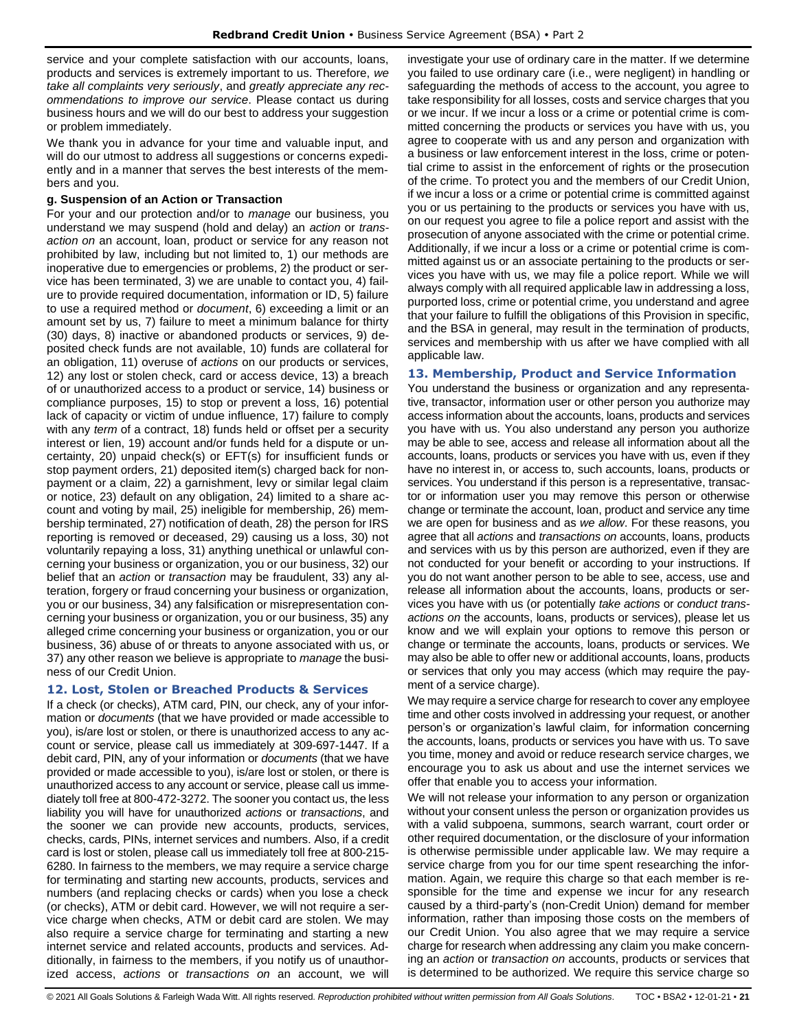service and your complete satisfaction with our accounts, loans, products and services is extremely important to us. Therefore, *we take all complaints very seriously*, and *greatly appreciate any recommendations to improve our service*. Please contact us during business hours and we will do our best to address your suggestion or problem immediately.

We thank you in advance for your time and valuable input, and will do our utmost to address all suggestions or concerns expediently and in a manner that serves the best interests of the members and you.

### **g. Suspension of an Action or Transaction**

For your and our protection and/or to *manage* our business, you understand we may suspend (hold and delay) an *action* or *transaction on* an account, loan, product or service for any reason not prohibited by law, including but not limited to, 1) our methods are inoperative due to emergencies or problems, 2) the product or service has been terminated, 3) we are unable to contact you, 4) failure to provide required documentation, information or ID, 5) failure to use a required method or *document*, 6) exceeding a limit or an amount set by us, 7) failure to meet a minimum balance for thirty (30) days, 8) inactive or abandoned products or services, 9) deposited check funds are not available, 10) funds are collateral for an obligation, 11) overuse of *actions* on our products or services, 12) any lost or stolen check, card or access device, 13) a breach of or unauthorized access to a product or service, 14) business or compliance purposes, 15) to stop or prevent a loss, 16) potential lack of capacity or victim of undue influence, 17) failure to comply with any *term* of a contract, 18) funds held or offset per a security interest or lien, 19) account and/or funds held for a dispute or uncertainty, 20) unpaid check(s) or EFT(s) for insufficient funds or stop payment orders, 21) deposited item(s) charged back for nonpayment or a claim, 22) a garnishment, levy or similar legal claim or notice, 23) default on any obligation, 24) limited to a share account and voting by mail, 25) ineligible for membership, 26) membership terminated, 27) notification of death, 28) the person for IRS reporting is removed or deceased, 29) causing us a loss, 30) not voluntarily repaying a loss, 31) anything unethical or unlawful concerning your business or organization, you or our business, 32) our belief that an *action* or *transaction* may be fraudulent, 33) any alteration, forgery or fraud concerning your business or organization, you or our business, 34) any falsification or misrepresentation concerning your business or organization, you or our business, 35) any alleged crime concerning your business or organization, you or our business, 36) abuse of or threats to anyone associated with us, or 37) any other reason we believe is appropriate to *manage* the business of our Credit Union.

### <span id="page-20-0"></span>**12. Lost, Stolen or Breached Products & Services**

If a check (or checks), ATM card, PIN, our check, any of your information or *documents* (that we have provided or made accessible to you), is/are lost or stolen, or there is unauthorized access to any account or service, please call us immediately at 309-697-1447. If a debit card, PIN, any of your information or *documents* (that we have provided or made accessible to you), is/are lost or stolen, or there is unauthorized access to any account or service, please call us immediately toll free at 800-472-3272. The sooner you contact us, the less liability you will have for unauthorized *actions* or *transactions*, and the sooner we can provide new accounts, products, services, checks, cards, PINs, internet services and numbers. Also, if a credit card is lost or stolen, please call us immediately toll free at 800-215- 6280. In fairness to the members, we may require a service charge for terminating and starting new accounts, products, services and numbers (and replacing checks or cards) when you lose a check (or checks), ATM or debit card. However, we will not require a service charge when checks, ATM or debit card are stolen. We may also require a service charge for terminating and starting a new internet service and related accounts, products and services. Additionally, in fairness to the members, if you notify us of unauthorized access, *actions* or *transactions on* an account, we will

investigate your use of ordinary care in the matter. If we determine you failed to use ordinary care (i.e., were negligent) in handling or safeguarding the methods of access to the account, you agree to take responsibility for all losses, costs and service charges that you or we incur. If we incur a loss or a crime or potential crime is committed concerning the products or services you have with us, you agree to cooperate with us and any person and organization with a business or law enforcement interest in the loss, crime or potential crime to assist in the enforcement of rights or the prosecution of the crime. To protect you and the members of our Credit Union, if we incur a loss or a crime or potential crime is committed against you or us pertaining to the products or services you have with us, on our request you agree to file a police report and assist with the prosecution of anyone associated with the crime or potential crime. Additionally, if we incur a loss or a crime or potential crime is committed against us or an associate pertaining to the products or services you have with us, we may file a police report. While we will always comply with all required applicable law in addressing a loss, purported loss, crime or potential crime, you understand and agree that your failure to fulfill the obligations of this Provision in specific, and the BSA in general, may result in the termination of products, services and membership with us after we have complied with all applicable law.

### <span id="page-20-1"></span>**13. Membership, Product and Service Information**

You understand the business or organization and any representative, transactor, information user or other person you authorize may access information about the accounts, loans, products and services you have with us. You also understand any person you authorize may be able to see, access and release all information about all the accounts, loans, products or services you have with us, even if they have no interest in, or access to, such accounts, loans, products or services. You understand if this person is a representative, transactor or information user you may remove this person or otherwise change or terminate the account, loan, product and service any time we are open for business and as *we allow*. For these reasons, you agree that all *actions* and *transactions on* accounts, loans, products and services with us by this person are authorized, even if they are not conducted for your benefit or according to your instructions. If you do not want another person to be able to see, access, use and release all information about the accounts, loans, products or services you have with us (or potentially *take actions* or *conduct transactions on* the accounts, loans, products or services), please let us know and we will explain your options to remove this person or change or terminate the accounts, loans, products or services. We may also be able to offer new or additional accounts, loans, products or services that only you may access (which may require the payment of a service charge).

We may require a service charge for research to cover any employee time and other costs involved in addressing your request, or another person's or organization's lawful claim, for information concerning the accounts, loans, products or services you have with us. To save you time, money and avoid or reduce research service charges, we encourage you to ask us about and use the internet services we offer that enable you to access your information.

We will not release your information to any person or organization without your consent unless the person or organization provides us with a valid subpoena, summons, search warrant, court order or other required documentation, or the disclosure of your information is otherwise permissible under applicable law. We may require a service charge from you for our time spent researching the information. Again, we require this charge so that each member is responsible for the time and expense we incur for any research caused by a third-party's (non-Credit Union) demand for member information, rather than imposing those costs on the members of our Credit Union. You also agree that we may require a service charge for research when addressing any claim you make concerning an *action* or *transaction on* accounts, products or services that is determined to be authorized. We require this service charge so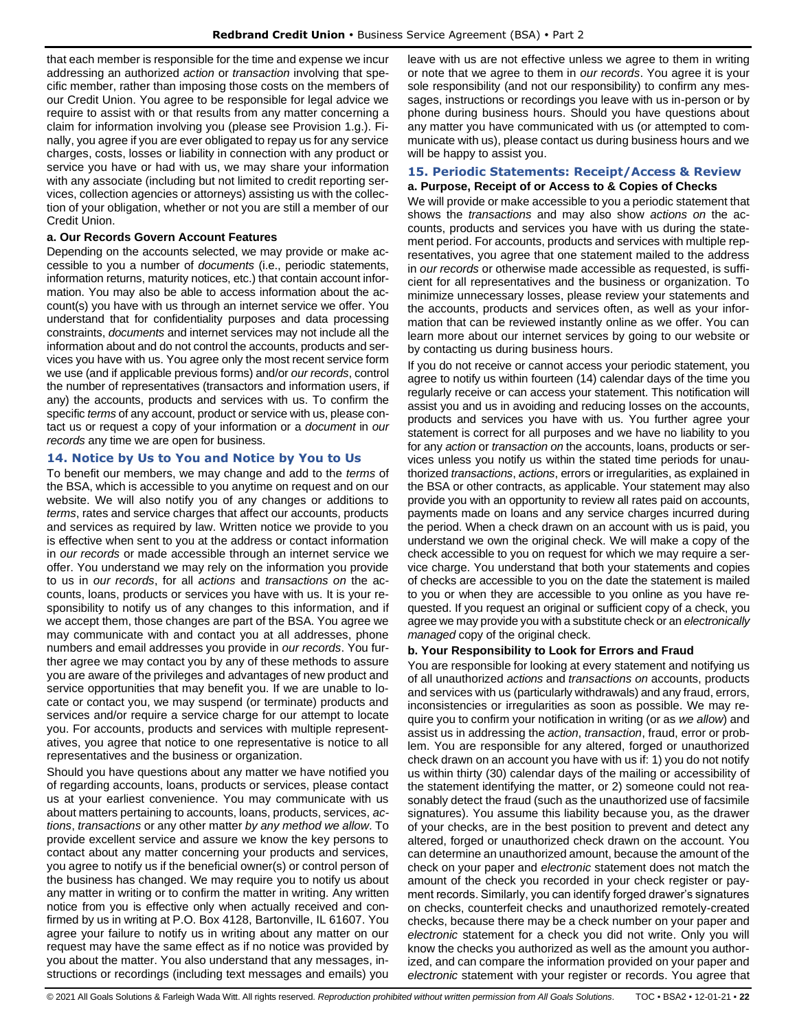that each member is responsible for the time and expense we incur addressing an authorized *action* or *transaction* involving that specific member, rather than imposing those costs on the members of our Credit Union. You agree to be responsible for legal advice we require to assist with or that results from any matter concerning a claim for information involving you (please see Provision 1.g.). Finally, you agree if you are ever obligated to repay us for any service charges, costs, losses or liability in connection with any product or service you have or had with us, we may share your information with any associate (including but not limited to credit reporting services, collection agencies or attorneys) assisting us with the collection of your obligation, whether or not you are still a member of our Credit Union.

### **a. Our Records Govern Account Features**

Depending on the accounts selected, we may provide or make accessible to you a number of *documents* (i.e., periodic statements, information returns, maturity notices, etc.) that contain account information. You may also be able to access information about the account(s) you have with us through an internet service we offer. You understand that for confidentiality purposes and data processing constraints, *documents* and internet services may not include all the information about and do not control the accounts, products and services you have with us. You agree only the most recent service form we use (and if applicable previous forms) and/or *our records*, control the number of representatives (transactors and information users, if any) the accounts, products and services with us. To confirm the specific *terms* of any account, product or service with us, please contact us or request a copy of your information or a *document* in *our records* any time we are open for business.

### <span id="page-21-0"></span>**14. Notice by Us to You and Notice by You to Us**

To benefit our members, we may change and add to the *terms* of the BSA, which is accessible to you anytime on request and on our website. We will also notify you of any changes or additions to *terms*, rates and service charges that affect our accounts, products and services as required by law. Written notice we provide to you is effective when sent to you at the address or contact information in *our records* or made accessible through an internet service we offer. You understand we may rely on the information you provide to us in *our records*, for all *actions* and *transactions on* the accounts, loans, products or services you have with us. It is your responsibility to notify us of any changes to this information, and if we accept them, those changes are part of the BSA. You agree we may communicate with and contact you at all addresses, phone numbers and email addresses you provide in *our records*. You further agree we may contact you by any of these methods to assure you are aware of the privileges and advantages of new product and service opportunities that may benefit you. If we are unable to locate or contact you, we may suspend (or terminate) products and services and/or require a service charge for our attempt to locate you. For accounts, products and services with multiple representatives, you agree that notice to one representative is notice to all representatives and the business or organization.

Should you have questions about any matter we have notified you of regarding accounts, loans, products or services, please contact us at your earliest convenience. You may communicate with us about matters pertaining to accounts, loans, products, services, *actions*, *transactions* or any other matter *by any method we allow*. To provide excellent service and assure we know the key persons to contact about any matter concerning your products and services, you agree to notify us if the beneficial owner(s) or control person of the business has changed. We may require you to notify us about any matter in writing or to confirm the matter in writing. Any written notice from you is effective only when actually received and confirmed by us in writing at P.O. Box 4128, Bartonville, IL 61607. You agree your failure to notify us in writing about any matter on our request may have the same effect as if no notice was provided by you about the matter. You also understand that any messages, instructions or recordings (including text messages and emails) you

leave with us are not effective unless we agree to them in writing or note that we agree to them in *our records*. You agree it is your sole responsibility (and not our responsibility) to confirm any messages, instructions or recordings you leave with us in-person or by phone during business hours. Should you have questions about any matter you have communicated with us (or attempted to communicate with us), please contact us during business hours and we will be happy to assist you.

### <span id="page-21-1"></span>**15. Periodic Statements: Receipt/Access & Review a. Purpose, Receipt of or Access to & Copies of Checks**

We will provide or make accessible to you a periodic statement that shows the *transactions* and may also show *actions on* the accounts, products and services you have with us during the statement period. For accounts, products and services with multiple representatives, you agree that one statement mailed to the address in *our records* or otherwise made accessible as requested, is sufficient for all representatives and the business or organization. To minimize unnecessary losses, please review your statements and the accounts, products and services often, as well as your information that can be reviewed instantly online as we offer. You can learn more about our internet services by going to our website or by contacting us during business hours.

If you do not receive or cannot access your periodic statement, you agree to notify us within fourteen (14) calendar days of the time you regularly receive or can access your statement. This notification will assist you and us in avoiding and reducing losses on the accounts, products and services you have with us. You further agree your statement is correct for all purposes and we have no liability to you for any *action* or *transaction on* the accounts, loans, products or services unless you notify us within the stated time periods for unauthorized *transactions*, *actions*, errors or irregularities, as explained in the BSA or other contracts, as applicable. Your statement may also provide you with an opportunity to review all rates paid on accounts, payments made on loans and any service charges incurred during the period. When a check drawn on an account with us is paid, you understand we own the original check. We will make a copy of the check accessible to you on request for which we may require a service charge. You understand that both your statements and copies of checks are accessible to you on the date the statement is mailed to you or when they are accessible to you online as you have requested. If you request an original or sufficient copy of a check, you agree we may provide you with a substitute check or an *electronically managed* copy of the original check.

#### **b. Your Responsibility to Look for Errors and Fraud**

You are responsible for looking at every statement and notifying us of all unauthorized *actions* and *transactions on* accounts, products and services with us (particularly withdrawals) and any fraud, errors, inconsistencies or irregularities as soon as possible. We may require you to confirm your notification in writing (or as *we allow*) and assist us in addressing the *action*, *transaction*, fraud, error or problem. You are responsible for any altered, forged or unauthorized check drawn on an account you have with us if: 1) you do not notify us within thirty (30) calendar days of the mailing or accessibility of the statement identifying the matter, or 2) someone could not reasonably detect the fraud (such as the unauthorized use of facsimile signatures). You assume this liability because you, as the drawer of your checks, are in the best position to prevent and detect any altered, forged or unauthorized check drawn on the account. You can determine an unauthorized amount, because the amount of the check on your paper and *electronic* statement does not match the amount of the check you recorded in your check register or payment records. Similarly, you can identify forged drawer's signatures on checks, counterfeit checks and unauthorized remotely-created checks, because there may be a check number on your paper and *electronic* statement for a check you did not write. Only you will know the checks you authorized as well as the amount you authorized, and can compare the information provided on your paper and *electronic* statement with your register or records. You agree that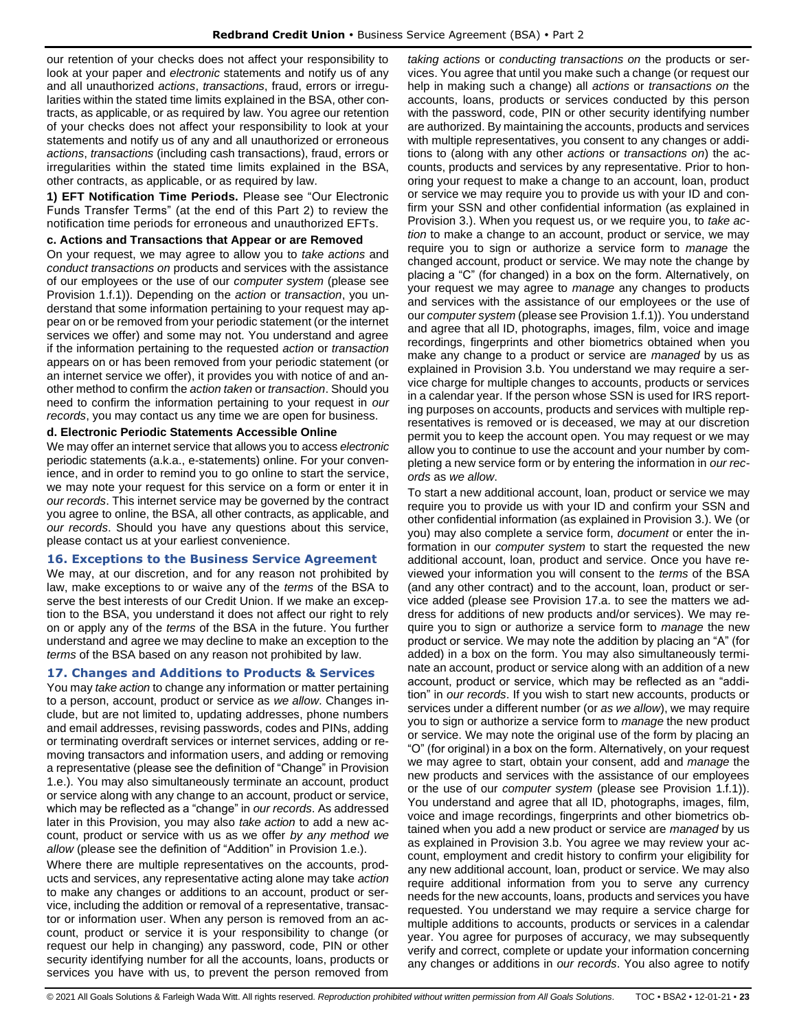our retention of your checks does not affect your responsibility to look at your paper and *electronic* statements and notify us of any and all unauthorized *actions*, *transactions*, fraud, errors or irregularities within the stated time limits explained in the BSA, other contracts, as applicable, or as required by law. You agree our retention of your checks does not affect your responsibility to look at your statements and notify us of any and all unauthorized or erroneous *actions*, *transactions* (including cash transactions), fraud, errors or irregularities within the stated time limits explained in the BSA, other contracts, as applicable, or as required by law.

**1) EFT Notification Time Periods.** Please see "Our Electronic Funds Transfer Terms" (at the end of this Part 2) to review the notification time periods for erroneous and unauthorized EFTs.

### **c. Actions and Transactions that Appear or are Removed**

On your request, we may agree to allow you to *take actions* and *conduct transactions on* products and services with the assistance of our employees or the use of our *computer system* (please see Provision 1.f.1)). Depending on the *action* or *transaction*, you understand that some information pertaining to your request may appear on or be removed from your periodic statement (or the internet services we offer) and some may not. You understand and agree if the information pertaining to the requested *action* or *transaction* appears on or has been removed from your periodic statement (or an internet service we offer), it provides you with notice of and another method to confirm the *action taken* or *transaction*. Should you need to confirm the information pertaining to your request in *our records*, you may contact us any time we are open for business.

#### **d. Electronic Periodic Statements Accessible Online**

We may offer an internet service that allows you to access *electronic* periodic statements (a.k.a., e-statements) online. For your convenience, and in order to remind you to go online to start the service, we may note your request for this service on a form or enter it in *our records*. This internet service may be governed by the contract you agree to online, the BSA, all other contracts, as applicable, and *our records*. Should you have any questions about this service, please contact us at your earliest convenience.

### <span id="page-22-0"></span>**16. Exceptions to the Business Service Agreement**

We may, at our discretion, and for any reason not prohibited by law, make exceptions to or waive any of the *terms* of the BSA to serve the best interests of our Credit Union. If we make an exception to the BSA, you understand it does not affect our right to rely on or apply any of the *terms* of the BSA in the future. You further understand and agree we may decline to make an exception to the *terms* of the BSA based on any reason not prohibited by law.

### <span id="page-22-1"></span>**17. Changes and Additions to Products & Services**

You may *take action* to change any information or matter pertaining to a person, account, product or service as *we allow*. Changes include, but are not limited to, updating addresses, phone numbers and email addresses, revising passwords, codes and PINs, adding or terminating overdraft services or internet services, adding or removing transactors and information users, and adding or removing a representative (please see the definition of "Change" in Provision 1.e.). You may also simultaneously terminate an account, product or service along with any change to an account, product or service, which may be reflected as a "change" in *our records*. As addressed later in this Provision, you may also *take action* to add a new account, product or service with us as we offer *by any method we allow* (please see the definition of "Addition" in Provision 1.e.).

Where there are multiple representatives on the accounts, products and services, any representative acting alone may take *action* to make any changes or additions to an account, product or service, including the addition or removal of a representative, transactor or information user. When any person is removed from an account, product or service it is your responsibility to change (or request our help in changing) any password, code, PIN or other security identifying number for all the accounts, loans, products or services you have with us, to prevent the person removed from

*taking actions* or *conducting transactions on* the products or services. You agree that until you make such a change (or request our help in making such a change) all *actions* or *transactions on* the accounts, loans, products or services conducted by this person with the password, code, PIN or other security identifying number are authorized. By maintaining the accounts, products and services with multiple representatives, you consent to any changes or additions to (along with any other *actions* or *transactions on*) the accounts, products and services by any representative. Prior to honoring your request to make a change to an account, loan, product or service we may require you to provide us with your ID and confirm your SSN and other confidential information (as explained in Provision 3.). When you request us, or we require you, to *take action* to make a change to an account, product or service, we may require you to sign or authorize a service form to *manage* the changed account, product or service. We may note the change by placing a "C" (for changed) in a box on the form. Alternatively, on your request we may agree to *manage* any changes to products and services with the assistance of our employees or the use of our *computer system* (please see Provision 1.f.1)). You understand and agree that all ID, photographs, images, film, voice and image recordings, fingerprints and other biometrics obtained when you make any change to a product or service are *managed* by us as explained in Provision 3.b. You understand we may require a service charge for multiple changes to accounts, products or services in a calendar year. If the person whose SSN is used for IRS reporting purposes on accounts, products and services with multiple representatives is removed or is deceased, we may at our discretion permit you to keep the account open. You may request or we may allow you to continue to use the account and your number by completing a new service form or by entering the information in *our records* as *we allow*.

To start a new additional account, loan, product or service we may require you to provide us with your ID and confirm your SSN and other confidential information (as explained in Provision 3.). We (or you) may also complete a service form, *document* or enter the information in our *computer system* to start the requested the new additional account, loan, product and service. Once you have reviewed your information you will consent to the *terms* of the BSA (and any other contract) and to the account, loan, product or service added (please see Provision 17.a. to see the matters we address for additions of new products and/or services). We may require you to sign or authorize a service form to *manage* the new product or service. We may note the addition by placing an "A" (for added) in a box on the form. You may also simultaneously terminate an account, product or service along with an addition of a new account, product or service, which may be reflected as an "addition" in *our records*. If you wish to start new accounts, products or services under a different number (or *as we allow*), we may require you to sign or authorize a service form to *manage* the new product or service. We may note the original use of the form by placing an "O" (for original) in a box on the form. Alternatively, on your request we may agree to start, obtain your consent, add and *manage* the new products and services with the assistance of our employees or the use of our *computer system* (please see Provision 1.f.1)). You understand and agree that all ID, photographs, images, film, voice and image recordings, fingerprints and other biometrics obtained when you add a new product or service are *managed* by us as explained in Provision 3.b. You agree we may review your account, employment and credit history to confirm your eligibility for any new additional account, loan, product or service. We may also require additional information from you to serve any currency needs for the new accounts, loans, products and services you have requested. You understand we may require a service charge for multiple additions to accounts, products or services in a calendar year. You agree for purposes of accuracy, we may subsequently verify and correct, complete or update your information concerning any changes or additions in *our records*. You also agree to notify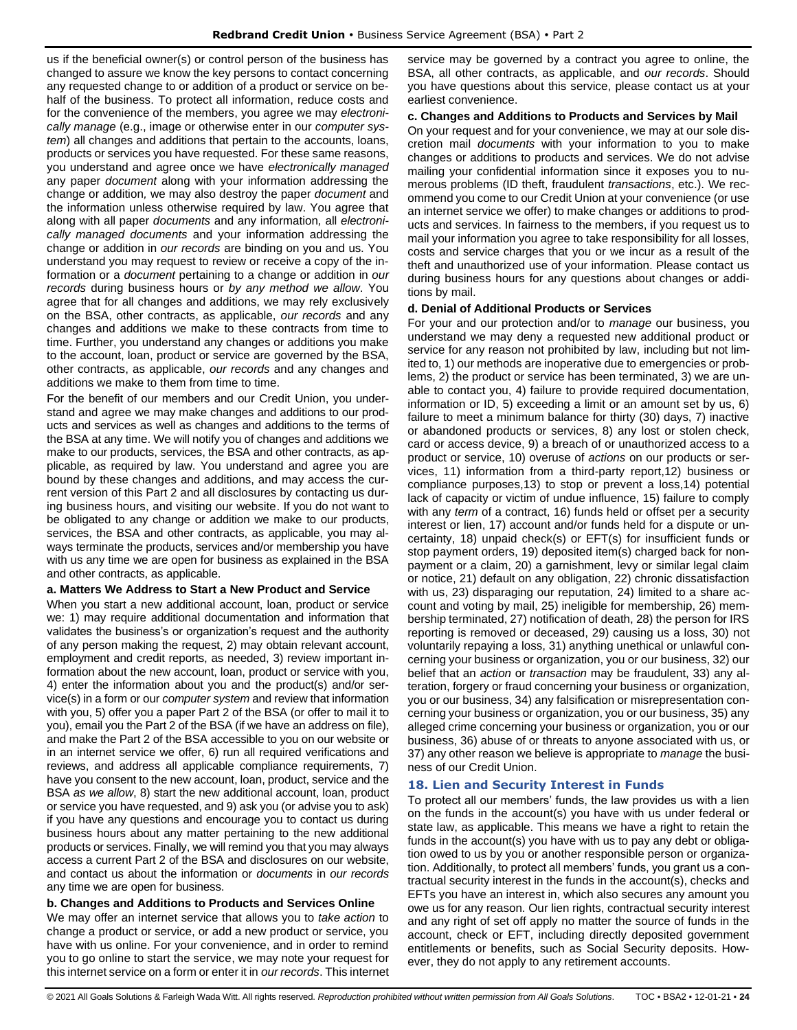us if the beneficial owner(s) or control person of the business has changed to assure we know the key persons to contact concerning any requested change to or addition of a product or service on behalf of the business. To protect all information, reduce costs and for the convenience of the members, you agree we may *electronically manage* (e.g., image or otherwise enter in our *computer system*) all changes and additions that pertain to the accounts, loans, products or services you have requested. For these same reasons, you understand and agree once we have *electronically managed* any paper *document* along with your information addressing the change or addition*,* we may also destroy the paper *document* and the information unless otherwise required by law. You agree that along with all paper *documents* and any information*,* all *electronically managed documents* and your information addressing the change or addition in *our records* are binding on you and us. You understand you may request to review or receive a copy of the information or a *document* pertaining to a change or addition in *our records* during business hours or *by any method we allow*. You agree that for all changes and additions, we may rely exclusively on the BSA, other contracts, as applicable, *our records* and any changes and additions we make to these contracts from time to time. Further, you understand any changes or additions you make to the account, loan, product or service are governed by the BSA, other contracts, as applicable, *our records* and any changes and additions we make to them from time to time.

For the benefit of our members and our Credit Union, you understand and agree we may make changes and additions to our products and services as well as changes and additions to the terms of the BSA at any time. We will notify you of changes and additions we make to our products, services, the BSA and other contracts, as applicable, as required by law. You understand and agree you are bound by these changes and additions, and may access the current version of this Part 2 and all disclosures by contacting us during business hours, and visiting our website. If you do not want to be obligated to any change or addition we make to our products, services, the BSA and other contracts, as applicable, you may always terminate the products, services and/or membership you have with us any time we are open for business as explained in the BSA and other contracts, as applicable.

### **a. Matters We Address to Start a New Product and Service**

When you start a new additional account, loan, product or service we: 1) may require additional documentation and information that validates the business's or organization's request and the authority of any person making the request, 2) may obtain relevant account, employment and credit reports, as needed, 3) review important information about the new account, loan, product or service with you, 4) enter the information about you and the product(s) and/or service(s) in a form or our *computer system* and review that information with you, 5) offer you a paper Part 2 of the BSA (or offer to mail it to you), email you the Part 2 of the BSA (if we have an address on file), and make the Part 2 of the BSA accessible to you on our website or in an internet service we offer, 6) run all required verifications and reviews, and address all applicable compliance requirements, 7) have you consent to the new account, loan, product, service and the BSA *as we allow*, 8) start the new additional account, loan, product or service you have requested, and 9) ask you (or advise you to ask) if you have any questions and encourage you to contact us during business hours about any matter pertaining to the new additional products or services. Finally, we will remind you that you may always access a current Part 2 of the BSA and disclosures on our website, and contact us about the information or *documents* in *our records* any time we are open for business.

#### **b. Changes and Additions to Products and Services Online**

We may offer an internet service that allows you to *take action* to change a product or service, or add a new product or service, you have with us online. For your convenience, and in order to remind you to go online to start the service, we may note your request for this internet service on a form or enter it in *our records*. This internet service may be governed by a contract you agree to online, the BSA, all other contracts, as applicable, and *our records*. Should you have questions about this service, please contact us at your earliest convenience.

#### **c. Changes and Additions to Products and Services by Mail**

On your request and for your convenience, we may at our sole discretion mail *documents* with your information to you to make changes or additions to products and services. We do not advise mailing your confidential information since it exposes you to numerous problems (ID theft, fraudulent *transactions*, etc.). We recommend you come to our Credit Union at your convenience (or use an internet service we offer) to make changes or additions to products and services. In fairness to the members, if you request us to mail your information you agree to take responsibility for all losses, costs and service charges that you or we incur as a result of the theft and unauthorized use of your information. Please contact us during business hours for any questions about changes or additions by mail.

### **d. Denial of Additional Products or Services**

For your and our protection and/or to *manage* our business, you understand we may deny a requested new additional product or service for any reason not prohibited by law, including but not limited to, 1) our methods are inoperative due to emergencies or problems, 2) the product or service has been terminated, 3) we are unable to contact you, 4) failure to provide required documentation, information or ID, 5) exceeding a limit or an amount set by us, 6) failure to meet a minimum balance for thirty (30) days, 7) inactive or abandoned products or services, 8) any lost or stolen check, card or access device, 9) a breach of or unauthorized access to a product or service, 10) overuse of *actions* on our products or services, 11) information from a third-party report,12) business or compliance purposes,13) to stop or prevent a loss,14) potential lack of capacity or victim of undue influence, 15) failure to comply with any *term* of a contract, 16) funds held or offset per a security interest or lien, 17) account and/or funds held for a dispute or uncertainty, 18) unpaid check(s) or EFT(s) for insufficient funds or stop payment orders, 19) deposited item(s) charged back for nonpayment or a claim, 20) a garnishment, levy or similar legal claim or notice, 21) default on any obligation, 22) chronic dissatisfaction with us, 23) disparaging our reputation, 24) limited to a share account and voting by mail, 25) ineligible for membership, 26) membership terminated, 27) notification of death, 28) the person for IRS reporting is removed or deceased, 29) causing us a loss, 30) not voluntarily repaying a loss, 31) anything unethical or unlawful concerning your business or organization, you or our business, 32) our belief that an *action* or *transaction* may be fraudulent, 33) any alteration, forgery or fraud concerning your business or organization, you or our business, 34) any falsification or misrepresentation concerning your business or organization, you or our business, 35) any alleged crime concerning your business or organization, you or our business, 36) abuse of or threats to anyone associated with us, or 37) any other reason we believe is appropriate to *manage* the business of our Credit Union.

### <span id="page-23-0"></span>**18. Lien and Security Interest in Funds**

To protect all our members' funds, the law provides us with a lien on the funds in the account(s) you have with us under federal or state law, as applicable. This means we have a right to retain the funds in the account(s) you have with us to pay any debt or obligation owed to us by you or another responsible person or organization. Additionally, to protect all members' funds, you grant us a contractual security interest in the funds in the account(s), checks and EFTs you have an interest in, which also secures any amount you owe us for any reason. Our lien rights, contractual security interest and any right of set off apply no matter the source of funds in the account, check or EFT, including directly deposited government entitlements or benefits, such as Social Security deposits. However, they do not apply to any retirement accounts.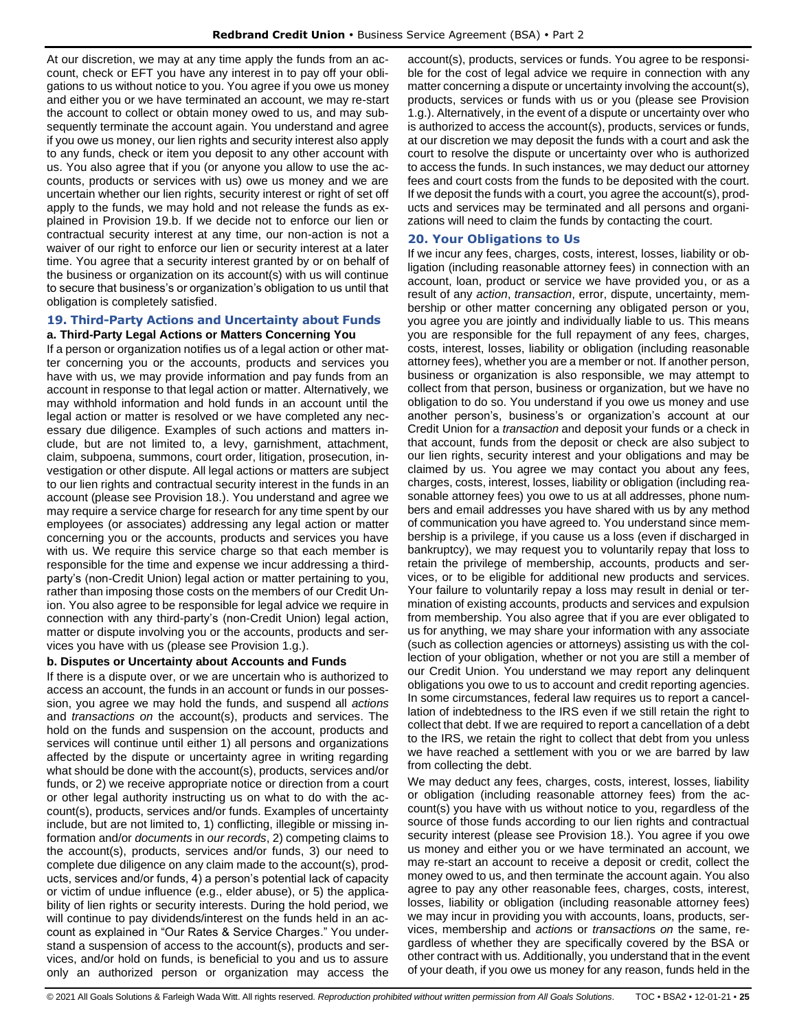At our discretion, we may at any time apply the funds from an account, check or EFT you have any interest in to pay off your obligations to us without notice to you. You agree if you owe us money and either you or we have terminated an account, we may re-start the account to collect or obtain money owed to us, and may subsequently terminate the account again. You understand and agree if you owe us money, our lien rights and security interest also apply to any funds, check or item you deposit to any other account with us. You also agree that if you (or anyone you allow to use the accounts, products or services with us) owe us money and we are uncertain whether our lien rights, security interest or right of set off apply to the funds, we may hold and not release the funds as explained in Provision 19.b. If we decide not to enforce our lien or contractual security interest at any time, our non-action is not a waiver of our right to enforce our lien or security interest at a later time. You agree that a security interest granted by or on behalf of the business or organization on its account(s) with us will continue to secure that business's or organization's obligation to us until that obligation is completely satisfied.

# <span id="page-24-0"></span>**19. Third-Party Actions and Uncertainty about Funds**

### **a. Third-Party Legal Actions or Matters Concerning You**

If a person or organization notifies us of a legal action or other matter concerning you or the accounts, products and services you have with us, we may provide information and pay funds from an account in response to that legal action or matter. Alternatively, we may withhold information and hold funds in an account until the legal action or matter is resolved or we have completed any necessary due diligence. Examples of such actions and matters include, but are not limited to, a levy, garnishment, attachment, claim, subpoena, summons, court order, litigation, prosecution, investigation or other dispute. All legal actions or matters are subject to our lien rights and contractual security interest in the funds in an account (please see Provision 18.). You understand and agree we may require a service charge for research for any time spent by our employees (or associates) addressing any legal action or matter concerning you or the accounts, products and services you have with us. We require this service charge so that each member is responsible for the time and expense we incur addressing a thirdparty's (non-Credit Union) legal action or matter pertaining to you, rather than imposing those costs on the members of our Credit Union. You also agree to be responsible for legal advice we require in connection with any third-party's (non-Credit Union) legal action, matter or dispute involving you or the accounts, products and services you have with us (please see Provision 1.g.).

### **b. Disputes or Uncertainty about Accounts and Funds**

If there is a dispute over, or we are uncertain who is authorized to access an account, the funds in an account or funds in our possession, you agree we may hold the funds, and suspend all *actions* and *transactions on* the account(s), products and services. The hold on the funds and suspension on the account, products and services will continue until either 1) all persons and organizations affected by the dispute or uncertainty agree in writing regarding what should be done with the account(s), products, services and/or funds, or 2) we receive appropriate notice or direction from a court or other legal authority instructing us on what to do with the account(s), products, services and/or funds. Examples of uncertainty include, but are not limited to, 1) conflicting, illegible or missing information and/or *documents* in *our records*, 2) competing claims to the account(s), products, services and/or funds, 3) our need to complete due diligence on any claim made to the account(s), products, services and/or funds, 4) a person's potential lack of capacity or victim of undue influence (e.g., elder abuse), or 5) the applicability of lien rights or security interests. During the hold period, we will continue to pay dividends/interest on the funds held in an account as explained in "Our Rates & Service Charges." You understand a suspension of access to the account(s), products and services, and/or hold on funds, is beneficial to you and us to assure only an authorized person or organization may access the

account(s), products, services or funds. You agree to be responsible for the cost of legal advice we require in connection with any matter concerning a dispute or uncertainty involving the account(s), products, services or funds with us or you (please see Provision 1.g.). Alternatively, in the event of a dispute or uncertainty over who is authorized to access the account(s), products, services or funds, at our discretion we may deposit the funds with a court and ask the court to resolve the dispute or uncertainty over who is authorized to access the funds. In such instances, we may deduct our attorney fees and court costs from the funds to be deposited with the court. If we deposit the funds with a court, you agree the account(s), products and services may be terminated and all persons and organizations will need to claim the funds by contacting the court.

### <span id="page-24-1"></span>**20. Your Obligations to Us**

If we incur any fees, charges, costs, interest, losses, liability or obligation (including reasonable attorney fees) in connection with an account, loan, product or service we have provided you, or as a result of any *action*, *transaction*, error, dispute, uncertainty, membership or other matter concerning any obligated person or you, you agree you are jointly and individually liable to us. This means you are responsible for the full repayment of any fees, charges, costs, interest, losses, liability or obligation (including reasonable attorney fees), whether you are a member or not. If another person, business or organization is also responsible, we may attempt to collect from that person, business or organization, but we have no obligation to do so. You understand if you owe us money and use another person's, business's or organization's account at our Credit Union for a *transaction* and deposit your funds or a check in that account, funds from the deposit or check are also subject to our lien rights, security interest and your obligations and may be claimed by us. You agree we may contact you about any fees, charges, costs, interest, losses, liability or obligation (including reasonable attorney fees) you owe to us at all addresses, phone numbers and email addresses you have shared with us by any method of communication you have agreed to. You understand since membership is a privilege, if you cause us a loss (even if discharged in bankruptcy), we may request you to voluntarily repay that loss to retain the privilege of membership, accounts, products and services, or to be eligible for additional new products and services. Your failure to voluntarily repay a loss may result in denial or termination of existing accounts, products and services and expulsion from membership. You also agree that if you are ever obligated to us for anything, we may share your information with any associate (such as collection agencies or attorneys) assisting us with the collection of your obligation, whether or not you are still a member of our Credit Union. You understand we may report any delinquent obligations you owe to us to account and credit reporting agencies. In some circumstances, federal law requires us to report a cancellation of indebtedness to the IRS even if we still retain the right to collect that debt. If we are required to report a cancellation of a debt to the IRS, we retain the right to collect that debt from you unless we have reached a settlement with you or we are barred by law from collecting the debt.

We may deduct any fees, charges, costs, interest, losses, liability or obligation (including reasonable attorney fees) from the account(s) you have with us without notice to you, regardless of the source of those funds according to our lien rights and contractual security interest (please see Provision 18.). You agree if you owe us money and either you or we have terminated an account, we may re-start an account to receive a deposit or credit, collect the money owed to us, and then terminate the account again. You also agree to pay any other reasonable fees, charges, costs, interest, losses, liability or obligation (including reasonable attorney fees) we may incur in providing you with accounts, loans, products, services, membership and *action*s or *transaction*s *on* the same, regardless of whether they are specifically covered by the BSA or other contract with us. Additionally, you understand that in the event of your death, if you owe us money for any reason, funds held in the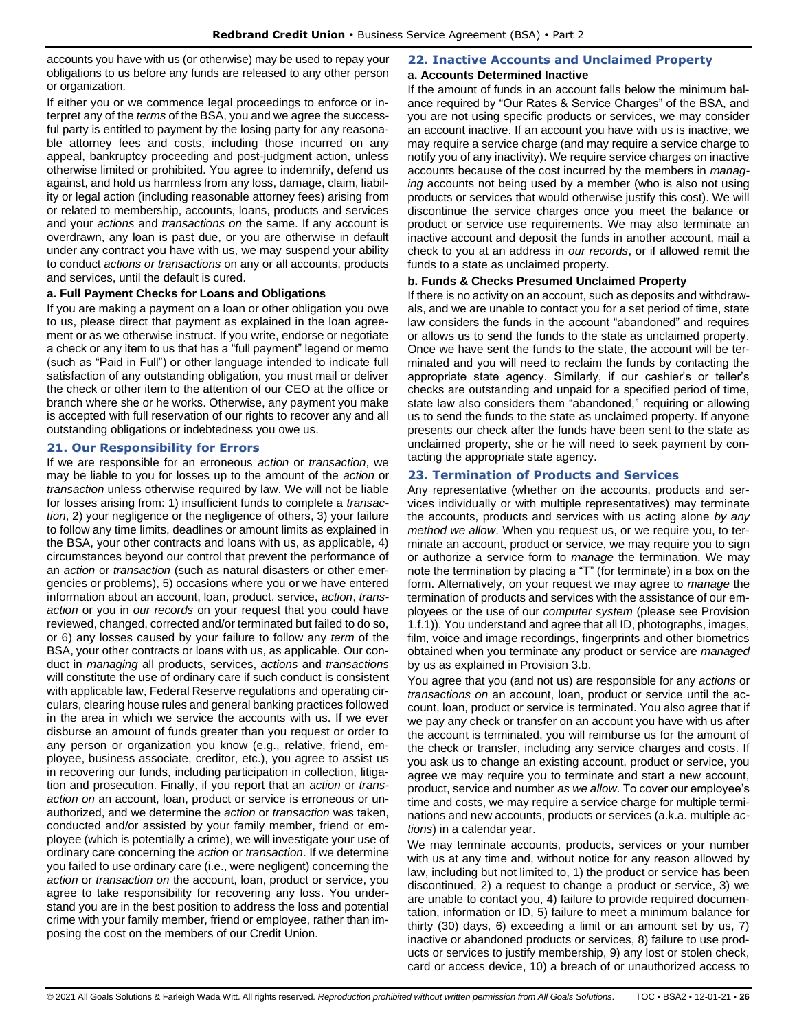accounts you have with us (or otherwise) may be used to repay your obligations to us before any funds are released to any other person or organization.

If either you or we commence legal proceedings to enforce or interpret any of the *terms* of the BSA, you and we agree the successful party is entitled to payment by the losing party for any reasonable attorney fees and costs, including those incurred on any appeal, bankruptcy proceeding and post-judgment action, unless otherwise limited or prohibited. You agree to indemnify, defend us against, and hold us harmless from any loss, damage, claim, liability or legal action (including reasonable attorney fees) arising from or related to membership, accounts, loans, products and services and your *actions* and *transactions on* the same. If any account is overdrawn, any loan is past due, or you are otherwise in default under any contract you have with us, we may suspend your ability to conduct *actions or transactions* on any or all accounts, products and services, until the default is cured.

### **a. Full Payment Checks for Loans and Obligations**

If you are making a payment on a loan or other obligation you owe to us, please direct that payment as explained in the loan agreement or as we otherwise instruct. If you write, endorse or negotiate a check or any item to us that has a "full payment" legend or memo (such as "Paid in Full") or other language intended to indicate full satisfaction of any outstanding obligation, you must mail or deliver the check or other item to the attention of our CEO at the office or branch where she or he works. Otherwise, any payment you make is accepted with full reservation of our rights to recover any and all outstanding obligations or indebtedness you owe us.

### <span id="page-25-0"></span>**21. Our Responsibility for Errors**

If we are responsible for an erroneous *action* or *transaction*, we may be liable to you for losses up to the amount of the *action* or *transaction* unless otherwise required by law. We will not be liable for losses arising from: 1) insufficient funds to complete a *transaction*, 2) your negligence or the negligence of others, 3) your failure to follow any time limits, deadlines or amount limits as explained in the BSA, your other contracts and loans with us, as applicable, 4) circumstances beyond our control that prevent the performance of an *action* or *transaction* (such as natural disasters or other emergencies or problems), 5) occasions where you or we have entered information about an account, loan, product, service, *action*, *transaction* or you in *our records* on your request that you could have reviewed, changed, corrected and/or terminated but failed to do so, or 6) any losses caused by your failure to follow any *term* of the BSA, your other contracts or loans with us, as applicable. Our conduct in *managing* all products, services, *actions* and *transactions* will constitute the use of ordinary care if such conduct is consistent with applicable law, Federal Reserve regulations and operating circulars, clearing house rules and general banking practices followed in the area in which we service the accounts with us. If we ever disburse an amount of funds greater than you request or order to any person or organization you know (e.g., relative, friend, employee, business associate, creditor, etc.), you agree to assist us in recovering our funds, including participation in collection, litigation and prosecution. Finally, if you report that an *action* or *transaction on* an account, loan, product or service is erroneous or unauthorized, and we determine the *action* or *transaction* was taken, conducted and/or assisted by your family member, friend or employee (which is potentially a crime), we will investigate your use of ordinary care concerning the *action* or *transaction*. If we determine you failed to use ordinary care (i.e., were negligent) concerning the *action* or *transaction on* the account, loan, product or service, you agree to take responsibility for recovering any loss. You understand you are in the best position to address the loss and potential crime with your family member, friend or employee, rather than imposing the cost on the members of our Credit Union.

# <span id="page-25-1"></span>**22. Inactive Accounts and Unclaimed Property**

### **a. Accounts Determined Inactive**

If the amount of funds in an account falls below the minimum balance required by "Our Rates & Service Charges" of the BSA, and you are not using specific products or services, we may consider an account inactive. If an account you have with us is inactive, we may require a service charge (and may require a service charge to notify you of any inactivity). We require service charges on inactive accounts because of the cost incurred by the members in *managing* accounts not being used by a member (who is also not using products or services that would otherwise justify this cost). We will discontinue the service charges once you meet the balance or product or service use requirements. We may also terminate an inactive account and deposit the funds in another account, mail a check to you at an address in *our records*, or if allowed remit the funds to a state as unclaimed property.

### **b. Funds & Checks Presumed Unclaimed Property**

If there is no activity on an account, such as deposits and withdrawals, and we are unable to contact you for a set period of time, state law considers the funds in the account "abandoned" and requires or allows us to send the funds to the state as unclaimed property. Once we have sent the funds to the state, the account will be terminated and you will need to reclaim the funds by contacting the appropriate state agency. Similarly, if our cashier's or teller's checks are outstanding and unpaid for a specified period of time, state law also considers them "abandoned," requiring or allowing us to send the funds to the state as unclaimed property. If anyone presents our check after the funds have been sent to the state as unclaimed property, she or he will need to seek payment by contacting the appropriate state agency.

### <span id="page-25-2"></span>**23. Termination of Products and Services**

Any representative (whether on the accounts, products and services individually or with multiple representatives) may terminate the accounts, products and services with us acting alone *by any method we allow*. When you request us, or we require you, to terminate an account, product or service, we may require you to sign or authorize a service form to *manage* the termination. We may note the termination by placing a "T" (for terminate) in a box on the form. Alternatively, on your request we may agree to *manage* the termination of products and services with the assistance of our employees or the use of our *computer system* (please see Provision 1.f.1)). You understand and agree that all ID, photographs, images, film, voice and image recordings, fingerprints and other biometrics obtained when you terminate any product or service are *managed* by us as explained in Provision 3.b.

You agree that you (and not us) are responsible for any *actions* or *transactions on* an account, loan, product or service until the account, loan, product or service is terminated. You also agree that if we pay any check or transfer on an account you have with us after the account is terminated, you will reimburse us for the amount of the check or transfer, including any service charges and costs. If you ask us to change an existing account, product or service, you agree we may require you to terminate and start a new account, product, service and number *as we allow*. To cover our employee's time and costs, we may require a service charge for multiple terminations and new accounts, products or services (a.k.a. multiple *actions*) in a calendar year.

We may terminate accounts, products, services or your number with us at any time and, without notice for any reason allowed by law, including but not limited to, 1) the product or service has been discontinued, 2) a request to change a product or service, 3) we are unable to contact you, 4) failure to provide required documentation, information or ID, 5) failure to meet a minimum balance for thirty (30) days, 6) exceeding a limit or an amount set by us, 7) inactive or abandoned products or services, 8) failure to use products or services to justify membership, 9) any lost or stolen check, card or access device, 10) a breach of or unauthorized access to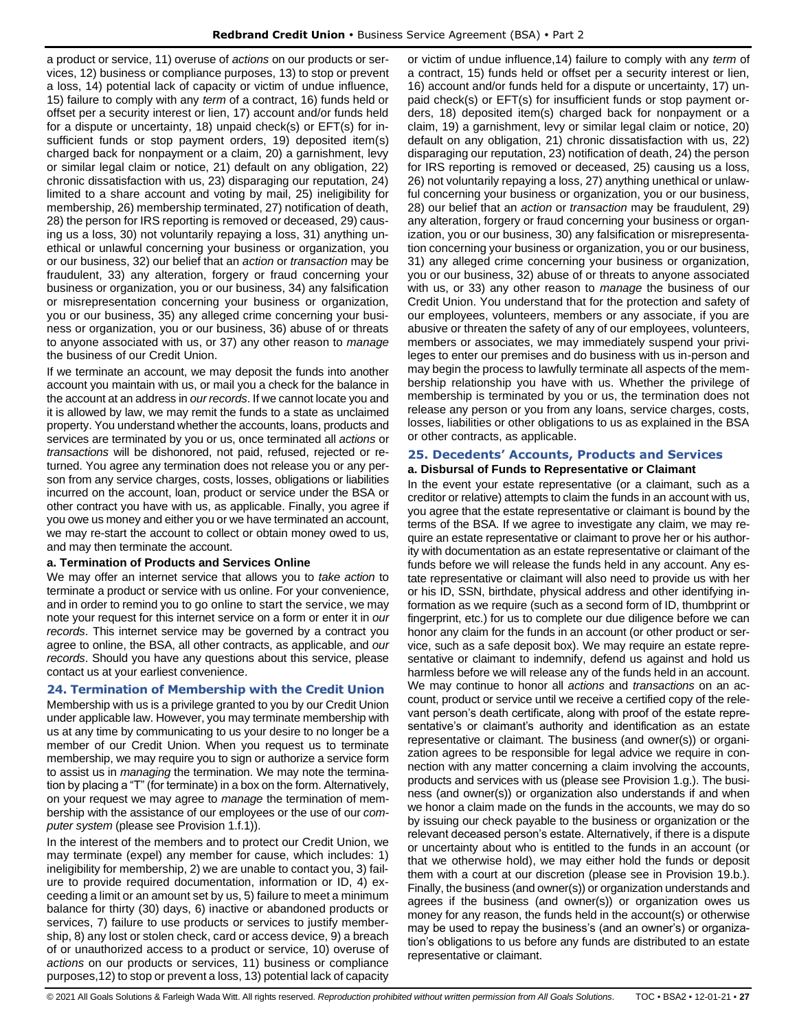a product or service, 11) overuse of *actions* on our products or services, 12) business or compliance purposes, 13) to stop or prevent a loss, 14) potential lack of capacity or victim of undue influence, 15) failure to comply with any *term* of a contract, 16) funds held or offset per a security interest or lien, 17) account and/or funds held for a dispute or uncertainty, 18) unpaid check(s) or EFT(s) for insufficient funds or stop payment orders, 19) deposited item(s) charged back for nonpayment or a claim, 20) a garnishment, levy or similar legal claim or notice, 21) default on any obligation, 22) chronic dissatisfaction with us, 23) disparaging our reputation, 24) limited to a share account and voting by mail, 25) ineligibility for membership, 26) membership terminated, 27) notification of death, 28) the person for IRS reporting is removed or deceased, 29) causing us a loss, 30) not voluntarily repaying a loss, 31) anything unethical or unlawful concerning your business or organization, you or our business, 32) our belief that an *action* or *transaction* may be fraudulent, 33) any alteration, forgery or fraud concerning your business or organization, you or our business, 34) any falsification or misrepresentation concerning your business or organization, you or our business, 35) any alleged crime concerning your business or organization, you or our business, 36) abuse of or threats to anyone associated with us, or 37) any other reason to *manage* the business of our Credit Union.

If we terminate an account, we may deposit the funds into another account you maintain with us, or mail you a check for the balance in the account at an address in *our records*. If we cannot locate you and it is allowed by law, we may remit the funds to a state as unclaimed property. You understand whether the accounts, loans, products and services are terminated by you or us, once terminated all *actions* or *transactions* will be dishonored, not paid, refused, rejected or returned. You agree any termination does not release you or any person from any service charges, costs, losses, obligations or liabilities incurred on the account, loan, product or service under the BSA or other contract you have with us, as applicable. Finally, you agree if you owe us money and either you or we have terminated an account, we may re-start the account to collect or obtain money owed to us, and may then terminate the account.

### **a. Termination of Products and Services Online**

We may offer an internet service that allows you to *take action* to terminate a product or service with us online. For your convenience, and in order to remind you to go online to start the service, we may note your request for this internet service on a form or enter it in *our records*. This internet service may be governed by a contract you agree to online, the BSA, all other contracts, as applicable, and *our records*. Should you have any questions about this service, please contact us at your earliest convenience.

### <span id="page-26-0"></span>**24. Termination of Membership with the Credit Union**

Membership with us is a privilege granted to you by our Credit Union under applicable law. However, you may terminate membership with us at any time by communicating to us your desire to no longer be a member of our Credit Union. When you request us to terminate membership, we may require you to sign or authorize a service form to assist us in *managing* the termination. We may note the termination by placing a "T" (for terminate) in a box on the form. Alternatively, on your request we may agree to *manage* the termination of membership with the assistance of our employees or the use of our *computer system* (please see Provision 1.f.1)).

In the interest of the members and to protect our Credit Union, we may terminate (expel) any member for cause, which includes: 1) ineligibility for membership, 2) we are unable to contact you, 3) failure to provide required documentation, information or ID, 4) exceeding a limit or an amount set by us, 5) failure to meet a minimum balance for thirty (30) days, 6) inactive or abandoned products or services, 7) failure to use products or services to justify membership, 8) any lost or stolen check, card or access device, 9) a breach of or unauthorized access to a product or service, 10) overuse of *actions* on our products or services, 11) business or compliance purposes,12) to stop or prevent a loss, 13) potential lack of capacity

or victim of undue influence,14) failure to comply with any *term* of a contract, 15) funds held or offset per a security interest or lien, 16) account and/or funds held for a dispute or uncertainty, 17) unpaid check(s) or EFT(s) for insufficient funds or stop payment orders, 18) deposited item(s) charged back for nonpayment or a claim, 19) a garnishment, levy or similar legal claim or notice, 20) default on any obligation, 21) chronic dissatisfaction with us, 22) disparaging our reputation, 23) notification of death, 24) the person for IRS reporting is removed or deceased, 25) causing us a loss, 26) not voluntarily repaying a loss, 27) anything unethical or unlawful concerning your business or organization, you or our business, 28) our belief that an *action* or *transaction* may be fraudulent, 29) any alteration, forgery or fraud concerning your business or organization, you or our business, 30) any falsification or misrepresentation concerning your business or organization, you or our business, 31) any alleged crime concerning your business or organization, you or our business, 32) abuse of or threats to anyone associated with us, or 33) any other reason to *manage* the business of our Credit Union. You understand that for the protection and safety of our employees, volunteers, members or any associate, if you are abusive or threaten the safety of any of our employees, volunteers, members or associates, we may immediately suspend your privileges to enter our premises and do business with us in-person and may begin the process to lawfully terminate all aspects of the membership relationship you have with us. Whether the privilege of membership is terminated by you or us, the termination does not release any person or you from any loans, service charges, costs, losses, liabilities or other obligations to us as explained in the BSA or other contracts, as applicable.

### <span id="page-26-1"></span>**25. Decedents' Accounts, Products and Services**

### **a. Disbursal of Funds to Representative or Claimant**

In the event your estate representative (or a claimant, such as a creditor or relative) attempts to claim the funds in an account with us, you agree that the estate representative or claimant is bound by the terms of the BSA. If we agree to investigate any claim, we may require an estate representative or claimant to prove her or his authority with documentation as an estate representative or claimant of the funds before we will release the funds held in any account. Any estate representative or claimant will also need to provide us with her or his ID, SSN, birthdate, physical address and other identifying information as we require (such as a second form of ID, thumbprint or fingerprint, etc.) for us to complete our due diligence before we can honor any claim for the funds in an account (or other product or service, such as a safe deposit box). We may require an estate representative or claimant to indemnify, defend us against and hold us harmless before we will release any of the funds held in an account. We may continue to honor all *actions* and *transactions* on an account, product or service until we receive a certified copy of the relevant person's death certificate, along with proof of the estate representative's or claimant's authority and identification as an estate representative or claimant. The business (and owner(s)) or organization agrees to be responsible for legal advice we require in connection with any matter concerning a claim involving the accounts, products and services with us (please see Provision 1.g.). The business (and owner(s)) or organization also understands if and when we honor a claim made on the funds in the accounts, we may do so by issuing our check payable to the business or organization or the relevant deceased person's estate. Alternatively, if there is a dispute or uncertainty about who is entitled to the funds in an account (or that we otherwise hold), we may either hold the funds or deposit them with a court at our discretion (please see in Provision 19.b.). Finally, the business (and owner(s)) or organization understands and agrees if the business (and owner(s)) or organization owes us money for any reason, the funds held in the account(s) or otherwise may be used to repay the business's (and an owner's) or organization's obligations to us before any funds are distributed to an estate representative or claimant.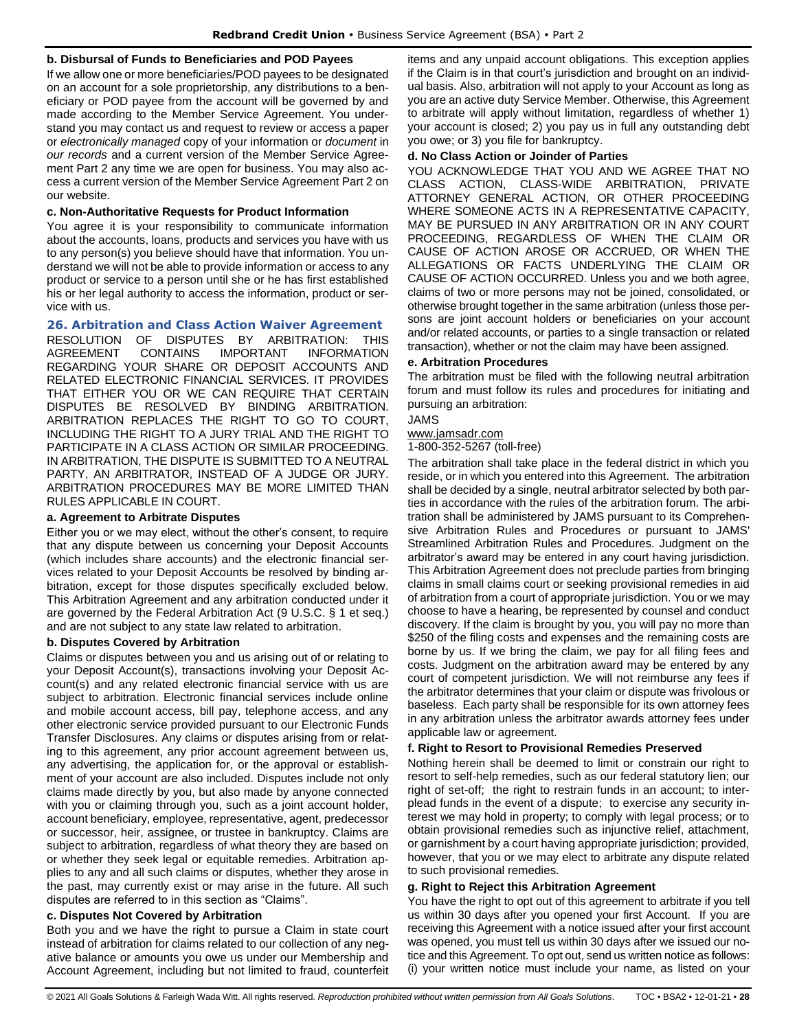### **b. Disbursal of Funds to Beneficiaries and POD Payees**

If we allow one or more beneficiaries/POD payees to be designated on an account for a sole proprietorship, any distributions to a beneficiary or POD payee from the account will be governed by and made according to the Member Service Agreement. You understand you may contact us and request to review or access a paper or *electronically managed* copy of your information or *document* in *our records* and a current version of the Member Service Agreement Part 2 any time we are open for business. You may also access a current version of the Member Service Agreement Part 2 on our website.

### **c. Non-Authoritative Requests for Product Information**

You agree it is your responsibility to communicate information about the accounts, loans, products and services you have with us to any person(s) you believe should have that information. You understand we will not be able to provide information or access to any product or service to a person until she or he has first established his or her legal authority to access the information, product or service with us.

### <span id="page-27-0"></span>**26. Arbitration and Class Action Waiver Agreement**

RESOLUTION OF DISPUTES BY ARBITRATION: THIS AGREEMENT CONTAINS IMPORTANT INFORMATION REGARDING YOUR SHARE OR DEPOSIT ACCOUNTS AND RELATED ELECTRONIC FINANCIAL SERVICES. IT PROVIDES THAT EITHER YOU OR WE CAN REQUIRE THAT CERTAIN DISPUTES BE RESOLVED BY BINDING ARBITRATION. ARBITRATION REPLACES THE RIGHT TO GO TO COURT, INCLUDING THE RIGHT TO A JURY TRIAL AND THE RIGHT TO PARTICIPATE IN A CLASS ACTION OR SIMILAR PROCEEDING. IN ARBITRATION, THE DISPUTE IS SUBMITTED TO A NEUTRAL PARTY, AN ARBITRATOR, INSTEAD OF A JUDGE OR JURY. ARBITRATION PROCEDURES MAY BE MORE LIMITED THAN RULES APPLICABLE IN COURT.

### **a. Agreement to Arbitrate Disputes**

Either you or we may elect, without the other's consent, to require that any dispute between us concerning your Deposit Accounts (which includes share accounts) and the electronic financial services related to your Deposit Accounts be resolved by binding arbitration, except for those disputes specifically excluded below. This Arbitration Agreement and any arbitration conducted under it are governed by the Federal Arbitration Act (9 U.S.C. § 1 et seq.) and are not subject to any state law related to arbitration.

### **b. Disputes Covered by Arbitration**

Claims or disputes between you and us arising out of or relating to your Deposit Account(s), transactions involving your Deposit Account(s) and any related electronic financial service with us are subject to arbitration. Electronic financial services include online and mobile account access, bill pay, telephone access, and any other electronic service provided pursuant to our Electronic Funds Transfer Disclosures. Any claims or disputes arising from or relating to this agreement, any prior account agreement between us, any advertising, the application for, or the approval or establishment of your account are also included. Disputes include not only claims made directly by you, but also made by anyone connected with you or claiming through you, such as a joint account holder, account beneficiary, employee, representative, agent, predecessor or successor, heir, assignee, or trustee in bankruptcy. Claims are subject to arbitration, regardless of what theory they are based on or whether they seek legal or equitable remedies. Arbitration applies to any and all such claims or disputes, whether they arose in the past, may currently exist or may arise in the future. All such disputes are referred to in this section as "Claims".

### **c. Disputes Not Covered by Arbitration**

Both you and we have the right to pursue a Claim in state court instead of arbitration for claims related to our collection of any negative balance or amounts you owe us under our Membership and Account Agreement, including but not limited to fraud, counterfeit items and any unpaid account obligations. This exception applies if the Claim is in that court's jurisdiction and brought on an individual basis. Also, arbitration will not apply to your Account as long as you are an active duty Service Member. Otherwise, this Agreement to arbitrate will apply without limitation, regardless of whether 1) your account is closed; 2) you pay us in full any outstanding debt you owe; or 3) you file for bankruptcy.

### **d. No Class Action or Joinder of Parties**

YOU ACKNOWLEDGE THAT YOU AND WE AGREE THAT NO CLASS ACTION, CLASS-WIDE ARBITRATION, PRIVATE ATTORNEY GENERAL ACTION, OR OTHER PROCEEDING WHERE SOMEONE ACTS IN A REPRESENTATIVE CAPACITY, MAY BE PURSUED IN ANY ARBITRATION OR IN ANY COURT PROCEEDING, REGARDLESS OF WHEN THE CLAIM OR CAUSE OF ACTION AROSE OR ACCRUED, OR WHEN THE ALLEGATIONS OR FACTS UNDERLYING THE CLAIM OR CAUSE OF ACTION OCCURRED. Unless you and we both agree, claims of two or more persons may not be joined, consolidated, or otherwise brought together in the same arbitration (unless those persons are joint account holders or beneficiaries on your account and/or related accounts, or parties to a single transaction or related transaction), whether or not the claim may have been assigned.

### **e. Arbitration Procedures**

The arbitration must be filed with the following neutral arbitration forum and must follow its rules and procedures for initiating and pursuing an arbitration:

### JAMS

[www.jamsadr.com](http://www.jamsadr.com/)

1-800-352-5267 (toll-free)

The arbitration shall take place in the federal district in which you reside, or in which you entered into this Agreement. The arbitration shall be decided by a single, neutral arbitrator selected by both parties in accordance with the rules of the arbitration forum. The arbitration shall be administered by JAMS pursuant to its Comprehensive Arbitration Rules and Procedures or pursuant to JAMS' Streamlined Arbitration Rules and Procedures. Judgment on the arbitrator's award may be entered in any court having jurisdiction. This Arbitration Agreement does not preclude parties from bringing claims in small claims court or seeking provisional remedies in aid of arbitration from a court of appropriate jurisdiction. You or we may choose to have a hearing, be represented by counsel and conduct discovery. If the claim is brought by you, you will pay no more than \$250 of the filing costs and expenses and the remaining costs are borne by us. If we bring the claim, we pay for all filing fees and costs. Judgment on the arbitration award may be entered by any court of competent jurisdiction. We will not reimburse any fees if the arbitrator determines that your claim or dispute was frivolous or baseless. Each party shall be responsible for its own attorney fees in any arbitration unless the arbitrator awards attorney fees under applicable law or agreement.

### **f. Right to Resort to Provisional Remedies Preserved**

Nothing herein shall be deemed to limit or constrain our right to resort to self-help remedies, such as our federal statutory lien; our right of set-off; the right to restrain funds in an account; to interplead funds in the event of a dispute; to exercise any security interest we may hold in property; to comply with legal process; or to obtain provisional remedies such as injunctive relief, attachment, or garnishment by a court having appropriate jurisdiction; provided, however, that you or we may elect to arbitrate any dispute related to such provisional remedies.

### **g. Right to Reject this Arbitration Agreement**

You have the right to opt out of this agreement to arbitrate if you tell us within 30 days after you opened your first Account. If you are receiving this Agreement with a notice issued after your first account was opened, you must tell us within 30 days after we issued our notice and this Agreement. To opt out, send us written notice as follows: (i) your written notice must include your name, as listed on your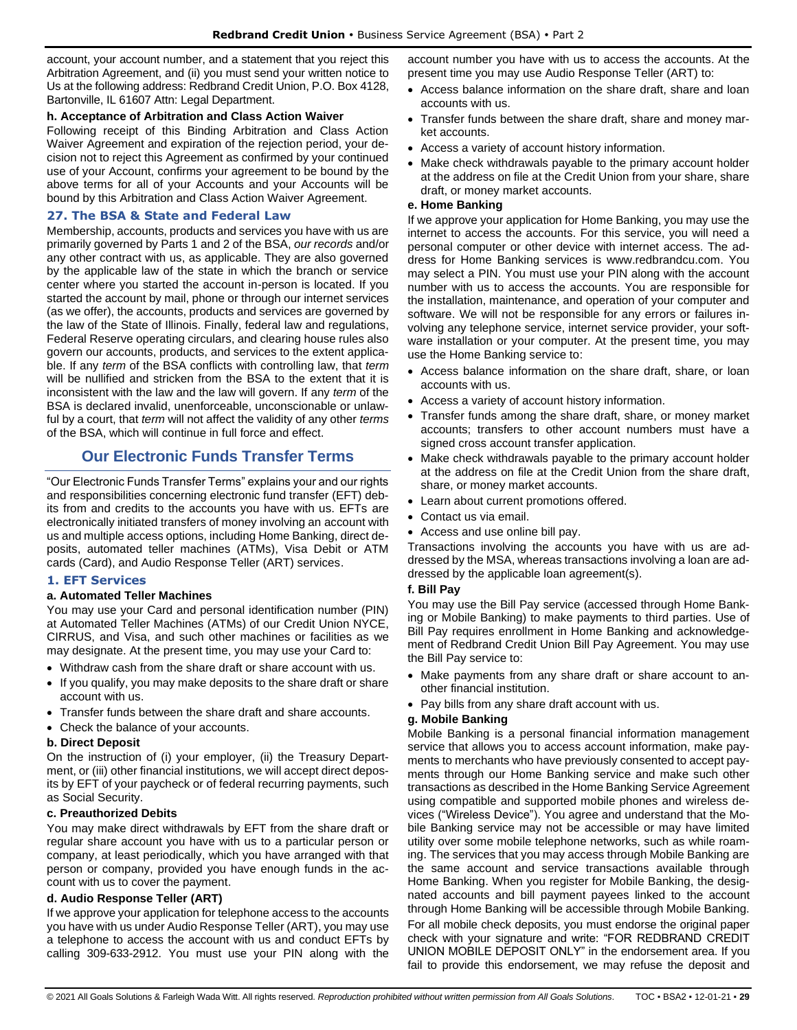account, your account number, and a statement that you reject this Arbitration Agreement, and (ii) you must send your written notice to Us at the following address: Redbrand Credit Union, P.O. Box 4128, Bartonville, IL 61607 Attn: Legal Department.

### **h. Acceptance of Arbitration and Class Action Waiver**

Following receipt of this Binding Arbitration and Class Action Waiver Agreement and expiration of the rejection period, your decision not to reject this Agreement as confirmed by your continued use of your Account, confirms your agreement to be bound by the above terms for all of your Accounts and your Accounts will be bound by this Arbitration and Class Action Waiver Agreement.

### <span id="page-28-0"></span>**27. The BSA & State and Federal Law**

Membership, accounts, products and services you have with us are primarily governed by Parts 1 and 2 of the BSA, *our records* and/or any other contract with us, as applicable. They are also governed by the applicable law of the state in which the branch or service center where you started the account in-person is located. If you started the account by mail, phone or through our internet services (as we offer), the accounts, products and services are governed by the law of the State of Illinois. Finally, federal law and regulations, Federal Reserve operating circulars, and clearing house rules also govern our accounts, products, and services to the extent applicable. If any *term* of the BSA conflicts with controlling law, that *term* will be nullified and stricken from the BSA to the extent that it is inconsistent with the law and the law will govern. If any *term* of the BSA is declared invalid, unenforceable, unconscionable or unlawful by a court, that *term* will not affect the validity of any other *terms* of the BSA, which will continue in full force and effect.

### **Our Electronic Funds Transfer Terms**

<span id="page-28-1"></span>"Our Electronic Funds Transfer Terms" explains your and our rights and responsibilities concerning electronic fund transfer (EFT) debits from and credits to the accounts you have with us. EFTs are electronically initiated transfers of money involving an account with us and multiple access options, including Home Banking, direct deposits, automated teller machines (ATMs), Visa Debit or ATM cards (Card), and Audio Response Teller (ART) services.

### <span id="page-28-2"></span>**1. EFT Services**

### **a. Automated Teller Machines**

You may use your Card and personal identification number (PIN) at Automated Teller Machines (ATMs) of our Credit Union NYCE, CIRRUS, and Visa, and such other machines or facilities as we may designate. At the present time, you may use your Card to:

- Withdraw cash from the share draft or share account with us.
- If you qualify, you may make deposits to the share draft or share account with us.
- Transfer funds between the share draft and share accounts.
- Check the balance of your accounts.

#### **b. Direct Deposit**

On the instruction of (i) your employer, (ii) the Treasury Department, or (iii) other financial institutions, we will accept direct deposits by EFT of your paycheck or of federal recurring payments, such as Social Security.

### **c. Preauthorized Debits**

You may make direct withdrawals by EFT from the share draft or regular share account you have with us to a particular person or company, at least periodically, which you have arranged with that person or company, provided you have enough funds in the account with us to cover the payment.

#### **d. Audio Response Teller (ART)**

If we approve your application for telephone access to the accounts you have with us under Audio Response Teller (ART), you may use a telephone to access the account with us and conduct EFTs by calling 309-633-2912. You must use your PIN along with the account number you have with us to access the accounts. At the present time you may use Audio Response Teller (ART) to:

- Access balance information on the share draft, share and loan accounts with us.
- Transfer funds between the share draft, share and money market accounts.
- Access a variety of account history information.
- Make check withdrawals payable to the primary account holder at the address on file at the Credit Union from your share, share draft, or money market accounts.

### **e. Home Banking**

If we approve your application for Home Banking, you may use the internet to access the accounts. For this service, you will need a personal computer or other device with internet access. The address for Home Banking services is www.redbrandcu.com. You may select a PIN. You must use your PIN along with the account number with us to access the accounts. You are responsible for the installation, maintenance, and operation of your computer and software. We will not be responsible for any errors or failures involving any telephone service, internet service provider, your software installation or your computer. At the present time, you may use the Home Banking service to:

- Access balance information on the share draft, share, or loan accounts with us.
- Access a variety of account history information.
- Transfer funds among the share draft, share, or money market accounts; transfers to other account numbers must have a signed cross account transfer application.
- Make check withdrawals payable to the primary account holder at the address on file at the Credit Union from the share draft, share, or money market accounts.
- Learn about current promotions offered.
- Contact us via email.
- Access and use online bill pay.

Transactions involving the accounts you have with us are addressed by the MSA, whereas transactions involving a loan are addressed by the applicable loan agreement(s).

### **f. Bill Pay**

You may use the Bill Pay service (accessed through Home Banking or Mobile Banking) to make payments to third parties. Use of Bill Pay requires enrollment in Home Banking and acknowledgement of Redbrand Credit Union Bill Pay Agreement. You may use the Bill Pay service to:

- Make payments from any share draft or share account to another financial institution.
- Pay bills from any share draft account with us.

#### **g. Mobile Banking**

Mobile Banking is a personal financial information management service that allows you to access account information, make payments to merchants who have previously consented to accept payments through our Home Banking service and make such other transactions as described in the Home Banking Service Agreement using compatible and supported mobile phones and wireless devices ("Wireless Device"). You agree and understand that the Mobile Banking service may not be accessible or may have limited utility over some mobile telephone networks, such as while roaming. The services that you may access through Mobile Banking are the same account and service transactions available through Home Banking. When you register for Mobile Banking, the designated accounts and bill payment payees linked to the account through Home Banking will be accessible through Mobile Banking. For all mobile check deposits, you must endorse the original paper check with your signature and write: "FOR REDBRAND CREDIT UNION MOBILE DEPOSIT ONLY" in the endorsement area. If you fail to provide this endorsement, we may refuse the deposit and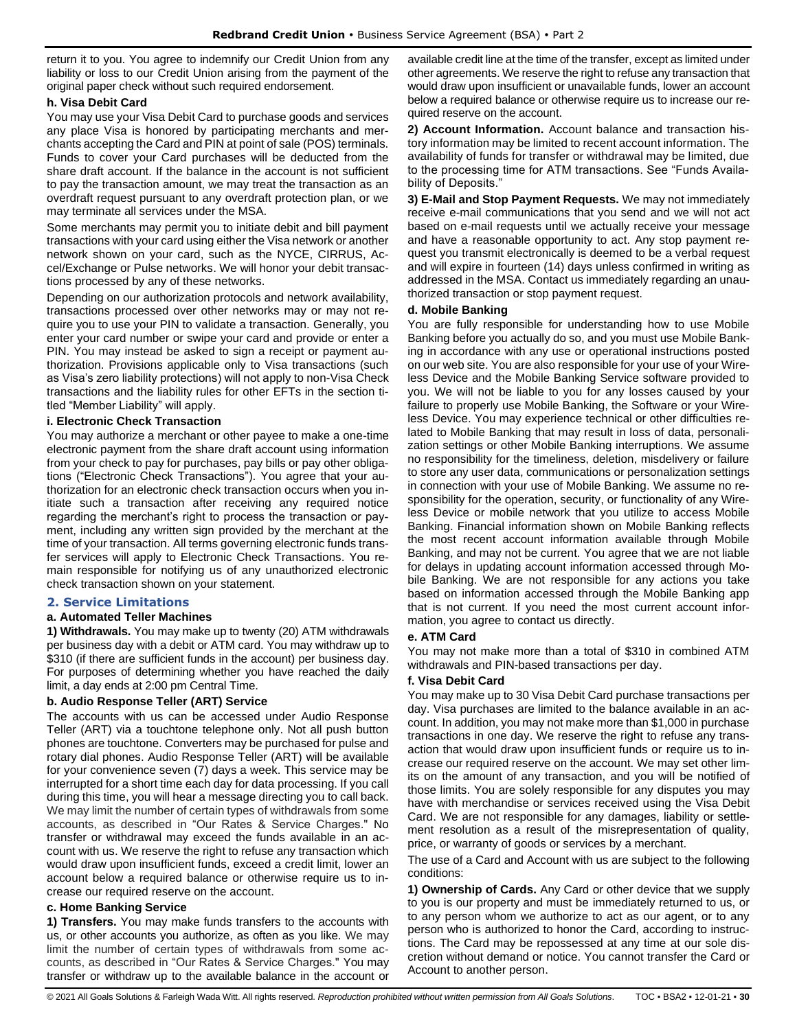return it to you. You agree to indemnify our Credit Union from any liability or loss to our Credit Union arising from the payment of the original paper check without such required endorsement.

### **h. Visa Debit Card**

You may use your Visa Debit Card to purchase goods and services any place Visa is honored by participating merchants and merchants accepting the Card and PIN at point of sale (POS) terminals. Funds to cover your Card purchases will be deducted from the share draft account. If the balance in the account is not sufficient to pay the transaction amount, we may treat the transaction as an overdraft request pursuant to any overdraft protection plan, or we may terminate all services under the MSA.

Some merchants may permit you to initiate debit and bill payment transactions with your card using either the Visa network or another network shown on your card, such as the NYCE, CIRRUS, Accel/Exchange or Pulse networks. We will honor your debit transactions processed by any of these networks.

Depending on our authorization protocols and network availability, transactions processed over other networks may or may not require you to use your PIN to validate a transaction. Generally, you enter your card number or swipe your card and provide or enter a PIN. You may instead be asked to sign a receipt or payment authorization. Provisions applicable only to Visa transactions (such as Visa's zero liability protections) will not apply to non-Visa Check transactions and the liability rules for other EFTs in the section titled "Member Liability" will apply.

### **i. Electronic Check Transaction**

You may authorize a merchant or other payee to make a one-time electronic payment from the share draft account using information from your check to pay for purchases, pay bills or pay other obligations ("Electronic Check Transactions"). You agree that your authorization for an electronic check transaction occurs when you initiate such a transaction after receiving any required notice regarding the merchant's right to process the transaction or payment, including any written sign provided by the merchant at the time of your transaction. All terms governing electronic funds transfer services will apply to Electronic Check Transactions. You remain responsible for notifying us of any unauthorized electronic check transaction shown on your statement.

### <span id="page-29-0"></span>**2. Service Limitations**

#### **a. Automated Teller Machines**

**1) Withdrawals.** You may make up to twenty (20) ATM withdrawals per business day with a debit or ATM card. You may withdraw up to \$310 (if there are sufficient funds in the account) per business day. For purposes of determining whether you have reached the daily limit, a day ends at 2:00 pm Central Time.

#### **b. Audio Response Teller (ART) Service**

The accounts with us can be accessed under Audio Response Teller (ART) via a touchtone telephone only. Not all push button phones are touchtone. Converters may be purchased for pulse and rotary dial phones. Audio Response Teller (ART) will be available for your convenience seven (7) days a week. This service may be interrupted for a short time each day for data processing. If you call during this time, you will hear a message directing you to call back. We may limit the number of certain types of withdrawals from some accounts, as described in "Our Rates & Service Charges." No transfer or withdrawal may exceed the funds available in an account with us. We reserve the right to refuse any transaction which would draw upon insufficient funds, exceed a credit limit, lower an account below a required balance or otherwise require us to increase our required reserve on the account.

#### **c. Home Banking Service**

**1) Transfers.** You may make funds transfers to the accounts with us, or other accounts you authorize, as often as you like. We may limit the number of certain types of withdrawals from some accounts, as described in "Our Rates & Service Charges." You may transfer or withdraw up to the available balance in the account or

available credit line at the time of the transfer, except as limited under other agreements. We reserve the right to refuse any transaction that would draw upon insufficient or unavailable funds, lower an account below a required balance or otherwise require us to increase our required reserve on the account.

**2) Account Information.** Account balance and transaction history information may be limited to recent account information. The availability of funds for transfer or withdrawal may be limited, due to the processing time for ATM transactions. See "Funds Availability of Deposits."

**3) E-Mail and Stop Payment Requests.** We may not immediately receive e-mail communications that you send and we will not act based on e-mail requests until we actually receive your message and have a reasonable opportunity to act. Any stop payment request you transmit electronically is deemed to be a verbal request and will expire in fourteen (14) days unless confirmed in writing as addressed in the MSA. Contact us immediately regarding an unauthorized transaction or stop payment request.

#### **d. Mobile Banking**

You are fully responsible for understanding how to use Mobile Banking before you actually do so, and you must use Mobile Banking in accordance with any use or operational instructions posted on our web site. You are also responsible for your use of your Wireless Device and the Mobile Banking Service software provided to you. We will not be liable to you for any losses caused by your failure to properly use Mobile Banking, the Software or your Wireless Device. You may experience technical or other difficulties related to Mobile Banking that may result in loss of data, personalization settings or other Mobile Banking interruptions. We assume no responsibility for the timeliness, deletion, misdelivery or failure to store any user data, communications or personalization settings in connection with your use of Mobile Banking. We assume no responsibility for the operation, security, or functionality of any Wireless Device or mobile network that you utilize to access Mobile Banking. Financial information shown on Mobile Banking reflects the most recent account information available through Mobile Banking, and may not be current. You agree that we are not liable for delays in updating account information accessed through Mobile Banking. We are not responsible for any actions you take based on information accessed through the Mobile Banking app that is not current. If you need the most current account information, you agree to contact us directly.

#### **e. ATM Card**

You may not make more than a total of \$310 in combined ATM withdrawals and PIN-based transactions per day.

### **f. Visa Debit Card**

You may make up to 30 Visa Debit Card purchase transactions per day. Visa purchases are limited to the balance available in an account. In addition, you may not make more than \$1,000 in purchase transactions in one day. We reserve the right to refuse any transaction that would draw upon insufficient funds or require us to increase our required reserve on the account. We may set other limits on the amount of any transaction, and you will be notified of those limits. You are solely responsible for any disputes you may have with merchandise or services received using the Visa Debit Card. We are not responsible for any damages, liability or settlement resolution as a result of the misrepresentation of quality, price, or warranty of goods or services by a merchant.

The use of a Card and Account with us are subject to the following conditions:

**1) Ownership of Cards.** Any Card or other device that we supply to you is our property and must be immediately returned to us, or to any person whom we authorize to act as our agent, or to any person who is authorized to honor the Card, according to instructions. The Card may be repossessed at any time at our sole discretion without demand or notice. You cannot transfer the Card or Account to another person.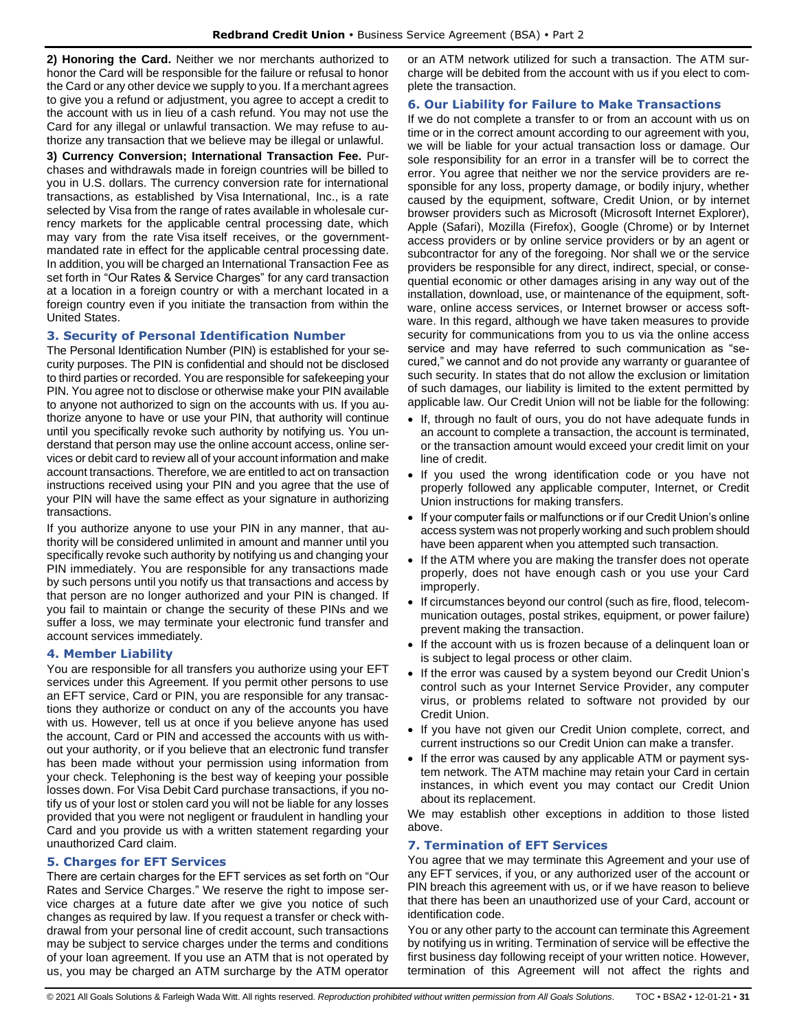**2) Honoring the Card.** Neither we nor merchants authorized to honor the Card will be responsible for the failure or refusal to honor the Card or any other device we supply to you. If a merchant agrees to give you a refund or adjustment, you agree to accept a credit to the account with us in lieu of a cash refund. You may not use the Card for any illegal or unlawful transaction. We may refuse to authorize any transaction that we believe may be illegal or unlawful.

**3) Currency Conversion; International Transaction Fee.** Purchases and withdrawals made in foreign countries will be billed to you in U.S. dollars. The currency conversion rate for international transactions, as established by Visa International, Inc., is a rate selected by Visa from the range of rates available in wholesale currency markets for the applicable central processing date, which may vary from the rate Visa itself receives, or the governmentmandated rate in effect for the applicable central processing date. In addition, you will be charged an International Transaction Fee as set forth in "Our Rates & Service Charges" for any card transaction at a location in a foreign country or with a merchant located in a foreign country even if you initiate the transaction from within the United States.

### <span id="page-30-0"></span>**3. Security of Personal Identification Number**

The Personal Identification Number (PIN) is established for your security purposes. The PIN is confidential and should not be disclosed to third parties or recorded. You are responsible for safekeeping your PIN. You agree not to disclose or otherwise make your PIN available to anyone not authorized to sign on the accounts with us. If you authorize anyone to have or use your PIN, that authority will continue until you specifically revoke such authority by notifying us. You understand that person may use the online account access, online services or debit card to review all of your account information and make account transactions. Therefore, we are entitled to act on transaction instructions received using your PIN and you agree that the use of your PIN will have the same effect as your signature in authorizing transactions.

If you authorize anyone to use your PIN in any manner, that authority will be considered unlimited in amount and manner until you specifically revoke such authority by notifying us and changing your PIN immediately. You are responsible for any transactions made by such persons until you notify us that transactions and access by that person are no longer authorized and your PIN is changed. If you fail to maintain or change the security of these PINs and we suffer a loss, we may terminate your electronic fund transfer and account services immediately.

### <span id="page-30-1"></span>**4. Member Liability**

You are responsible for all transfers you authorize using your EFT services under this Agreement. If you permit other persons to use an EFT service, Card or PIN, you are responsible for any transactions they authorize or conduct on any of the accounts you have with us. However, tell us at once if you believe anyone has used the account, Card or PIN and accessed the accounts with us without your authority, or if you believe that an electronic fund transfer has been made without your permission using information from your check. Telephoning is the best way of keeping your possible losses down. For Visa Debit Card purchase transactions, if you notify us of your lost or stolen card you will not be liable for any losses provided that you were not negligent or fraudulent in handling your Card and you provide us with a written statement regarding your unauthorized Card claim.

### <span id="page-30-2"></span>**5. Charges for EFT Services**

There are certain charges for the EFT services as set forth on "Our Rates and Service Charges." We reserve the right to impose service charges at a future date after we give you notice of such changes as required by law. If you request a transfer or check withdrawal from your personal line of credit account, such transactions may be subject to service charges under the terms and conditions of your loan agreement. If you use an ATM that is not operated by us, you may be charged an ATM surcharge by the ATM operator or an ATM network utilized for such a transaction. The ATM surcharge will be debited from the account with us if you elect to complete the transaction.

### <span id="page-30-3"></span>**6. Our Liability for Failure to Make Transactions**

If we do not complete a transfer to or from an account with us on time or in the correct amount according to our agreement with you, we will be liable for your actual transaction loss or damage. Our sole responsibility for an error in a transfer will be to correct the error. You agree that neither we nor the service providers are responsible for any loss, property damage, or bodily injury, whether caused by the equipment, software, Credit Union, or by internet browser providers such as Microsoft (Microsoft Internet Explorer), Apple (Safari), Mozilla (Firefox), Google (Chrome) or by Internet access providers or by online service providers or by an agent or subcontractor for any of the foregoing. Nor shall we or the service providers be responsible for any direct, indirect, special, or consequential economic or other damages arising in any way out of the installation, download, use, or maintenance of the equipment, software, online access services, or Internet browser or access software. In this regard, although we have taken measures to provide security for communications from you to us via the online access service and may have referred to such communication as "secured," we cannot and do not provide any warranty or guarantee of such security. In states that do not allow the exclusion or limitation of such damages, our liability is limited to the extent permitted by applicable law. Our Credit Union will not be liable for the following:

- If, through no fault of ours, you do not have adequate funds in an account to complete a transaction, the account is terminated, or the transaction amount would exceed your credit limit on your line of credit.
- If you used the wrong identification code or you have not properly followed any applicable computer, Internet, or Credit Union instructions for making transfers.
- If your computer fails or malfunctions or if our Credit Union's online access system was not properly working and such problem should have been apparent when you attempted such transaction.
- If the ATM where you are making the transfer does not operate properly, does not have enough cash or you use your Card improperly.
- If circumstances beyond our control (such as fire, flood, telecommunication outages, postal strikes, equipment, or power failure) prevent making the transaction.
- If the account with us is frozen because of a delinquent loan or is subject to legal process or other claim.
- If the error was caused by a system beyond our Credit Union's control such as your Internet Service Provider, any computer virus, or problems related to software not provided by our Credit Union.
- If you have not given our Credit Union complete, correct, and current instructions so our Credit Union can make a transfer.
- If the error was caused by any applicable ATM or payment system network. The ATM machine may retain your Card in certain instances, in which event you may contact our Credit Union about its replacement.

We may establish other exceptions in addition to those listed above.

### <span id="page-30-4"></span>**7. Termination of EFT Services**

You agree that we may terminate this Agreement and your use of any EFT services, if you, or any authorized user of the account or PIN breach this agreement with us, or if we have reason to believe that there has been an unauthorized use of your Card, account or identification code.

You or any other party to the account can terminate this Agreement by notifying us in writing. Termination of service will be effective the first business day following receipt of your written notice. However, termination of this Agreement will not affect the rights and